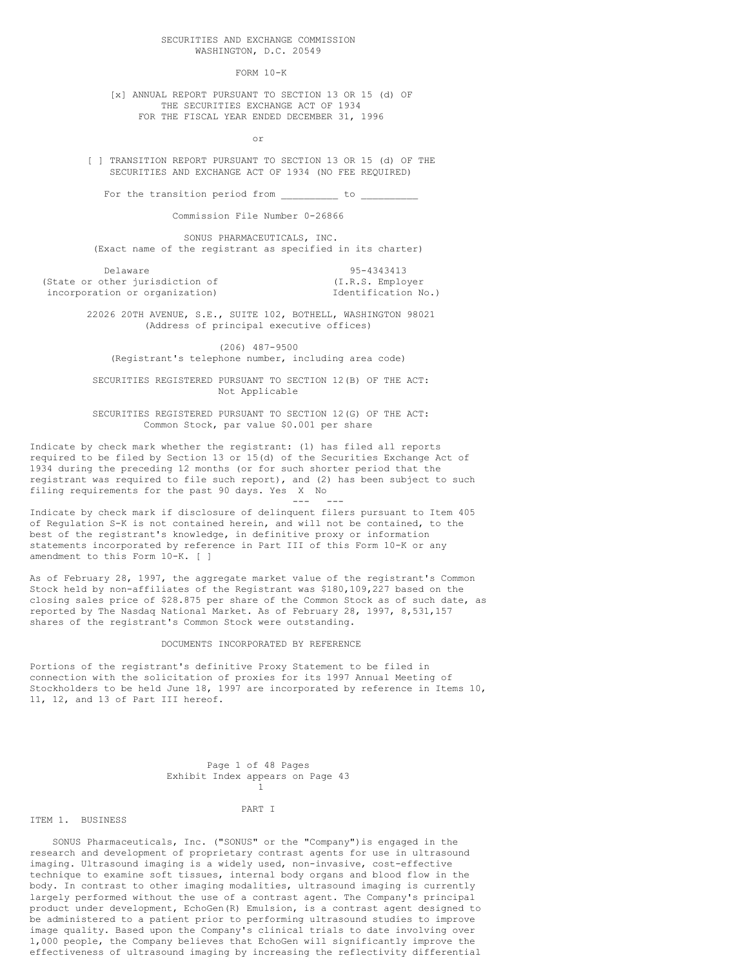SECURITIES AND EXCHANGE COMMISSION WASHINGTON, D.C. 20549

FORM 10-K

[x] ANNUAL REPORT PURSUANT TO SECTION 13 OR 15 (d) OF THE SECURITIES EXCHANGE ACT OF 1934 FOR THE FISCAL YEAR ENDED DECEMBER 31, 1996

or

[ ] TRANSITION REPORT PURSUANT TO SECTION 13 OR 15 (d) OF THE SECURITIES AND EXCHANGE ACT OF 1934 (NO FEE REQUIRED)

For the transition period from \_\_\_\_\_\_\_\_\_\_ to \_

Commission File Number 0-26866

SONUS PHARMACEUTICALS, INC. (Exact name of the registrant as specified in its charter)

Delaware 95-4343413<br>
Delaware 95-4343413<br>
(I.R.S. Employer) (I.R.S. Employer (State or other jurisdiction of incorporation or organization) and incorporation No.)

> 22026 20TH AVENUE, S.E., SUITE 102, BOTHELL, WASHINGTON 98021 (Address of principal executive offices)

(206) 487-9500 (Registrant's telephone number, including area code)

SECURITIES REGISTERED PURSUANT TO SECTION 12(B) OF THE ACT: Not Applicable

SECURITIES REGISTERED PURSUANT TO SECTION 12(G) OF THE ACT: Common Stock, par value \$0.001 per share

Indicate by check mark whether the registrant: (1) has filed all reports required to be filed by Section 13 or 15(d) of the Securities Exchange Act of 1934 during the preceding 12 months (or for such shorter period that the registrant was required to file such report), and (2) has been subject to such filing requirements for the past 90 days. Yes X No

--- ---

Indicate by check mark if disclosure of delinquent filers pursuant to Item 405 of Regulation S-K is not contained herein, and will not be contained, to the best of the registrant's knowledge, in definitive proxy or information statements incorporated by reference in Part III of this Form 10-K or any amendment to this Form 10-K. [ ]

As of February 28, 1997, the aggregate market value of the registrant's Common Stock held by non-affiliates of the Registrant was \$180,109,227 based on the closing sales price of \$28.875 per share of the Common Stock as of such date, as reported by The Nasdaq National Market. As of February 28, 1997, 8,531,157 shares of the registrant's Common Stock were outstanding.

#### DOCUMENTS INCORPORATED BY REFERENCE

Portions of the registrant's definitive Proxy Statement to be filed in connection with the solicitation of proxies for its 1997 Annual Meeting of Stockholders to be held June 18, 1997 are incorporated by reference in Items 10, 11, 12, and 13 of Part III hereof.

|                                  | Page 1 of 48 Pages |  |  |  |  |
|----------------------------------|--------------------|--|--|--|--|
| Exhibit Index appears on Page 43 |                    |  |  |  |  |
|                                  |                    |  |  |  |  |

ITEM 1. BUSINESS

PART I

SONUS Pharmaceuticals, Inc. ("SONUS" or the "Company")is engaged in the research and development of proprietary contrast agents for use in ultrasound imaging. Ultrasound imaging is a widely used, non-invasive, cost-effective technique to examine soft tissues, internal body organs and blood flow in the body. In contrast to other imaging modalities, ultrasound imaging is currently largely performed without the use of a contrast agent. The Company's principal product under development, EchoGen(R) Emulsion, is a contrast agent designed to be administered to a patient prior to performing ultrasound studies to improve image quality. Based upon the Company's clinical trials to date involving over 1,000 people, the Company believes that EchoGen will significantly improve the effectiveness of ultrasound imaging by increasing the reflectivity differential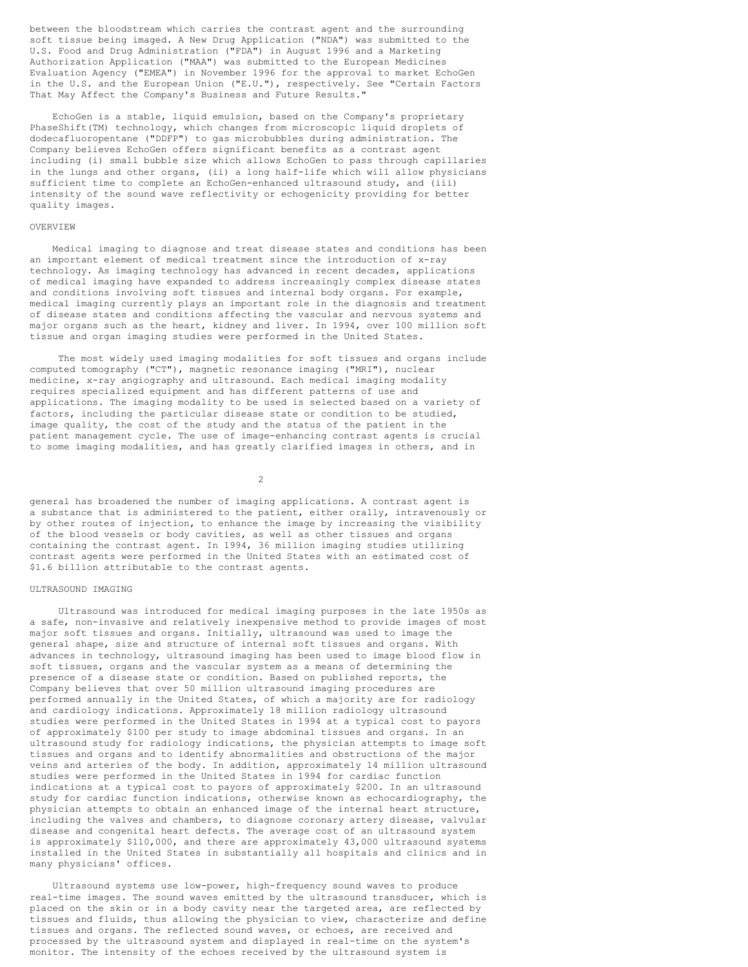between the bloodstream which carries the contrast agent and the surrounding soft tissue being imaged. A New Drug Application ("NDA") was submitted to the U.S. Food and Drug Administration ("FDA") in August 1996 and a Marketing Authorization Application ("MAA") was submitted to the European Medicines Evaluation Agency ("EMEA") in November 1996 for the approval to market EchoGen in the U.S. and the European Union ("E.U."), respectively. See "Certain Factors That May Affect the Company's Business and Future Results."

EchoGen is a stable, liquid emulsion, based on the Company's proprietary PhaseShift(TM) technology, which changes from microscopic liquid droplets of dodecafluoropentane ("DDFP") to gas microbubbles during administration. The Company believes EchoGen offers significant benefits as a contrast agent including (i) small bubble size which allows EchoGen to pass through capillaries in the lungs and other organs, (ii) a long half-life which will allow physicians sufficient time to complete an EchoGen-enhanced ultrasound study, and (iii) intensity of the sound wave reflectivity or echogenicity providing for better quality images.

#### OVERVIEW

Medical imaging to diagnose and treat disease states and conditions has been an important element of medical treatment since the introduction of x-ray technology. As imaging technology has advanced in recent decades, applications of medical imaging have expanded to address increasingly complex disease states and conditions involving soft tissues and internal body organs. For example, medical imaging currently plays an important role in the diagnosis and treatment of disease states and conditions affecting the vascular and nervous systems and major organs such as the heart, kidney and liver. In 1994, over 100 million soft tissue and organ imaging studies were performed in the United States.

The most widely used imaging modalities for soft tissues and organs include computed tomography ("CT"), magnetic resonance imaging ("MRI"), nuclear medicine, x-ray angiography and ultrasound. Each medical imaging modality requires specialized equipment and has different patterns of use and applications. The imaging modality to be used is selected based on a variety of factors, including the particular disease state or condition to be studied, image quality, the cost of the study and the status of the patient in the patient management cycle. The use of image-enhancing contrast agents is crucial to some imaging modalities, and has greatly clarified images in others, and in

 $\mathfrak{D}$ 

general has broadened the number of imaging applications. A contrast agent is a substance that is administered to the patient, either orally, intravenously or by other routes of injection, to enhance the image by increasing the visibility of the blood vessels or body cavities, as well as other tissues and organs containing the contrast agent. In 1994, 36 million imaging studies utilizing contrast agents were performed in the United States with an estimated cost of \$1.6 billion attributable to the contrast agents.

#### ULTRASOUND IMAGING

Ultrasound was introduced for medical imaging purposes in the late 1950s as a safe, non-invasive and relatively inexpensive method to provide images of most major soft tissues and organs. Initially, ultrasound was used to image the general shape, size and structure of internal soft tissues and organs. With advances in technology, ultrasound imaging has been used to image blood flow in soft tissues, organs and the vascular system as a means of determining the presence of a disease state or condition. Based on published reports, the Company believes that over 50 million ultrasound imaging procedures are performed annually in the United States, of which a majority are for radiology and cardiology indications. Approximately 18 million radiology ultrasound studies were performed in the United States in 1994 at a typical cost to payors of approximately \$100 per study to image abdominal tissues and organs. In an ultrasound study for radiology indications, the physician attempts to image soft tissues and organs and to identify abnormalities and obstructions of the major veins and arteries of the body. In addition, approximately 14 million ultrasound studies were performed in the United States in 1994 for cardiac function indications at a typical cost to payors of approximately \$200. In an ultrasound study for cardiac function indications, otherwise known as echocardiography, the physician attempts to obtain an enhanced image of the internal heart structure, including the valves and chambers, to diagnose coronary artery disease, valvular disease and congenital heart defects. The average cost of an ultrasound system is approximately \$110,000, and there are approximately 43,000 ultrasound systems installed in the United States in substantially all hospitals and clinics and in many physicians' offices.

Ultrasound systems use low-power, high-frequency sound waves to produce real-time images. The sound waves emitted by the ultrasound transducer, which is placed on the skin or in a body cavity near the targeted area, are reflected by tissues and fluids, thus allowing the physician to view, characterize and define tissues and organs. The reflected sound waves, or echoes, are received and processed by the ultrasound system and displayed in real-time on the system's monitor. The intensity of the echoes received by the ultrasound system is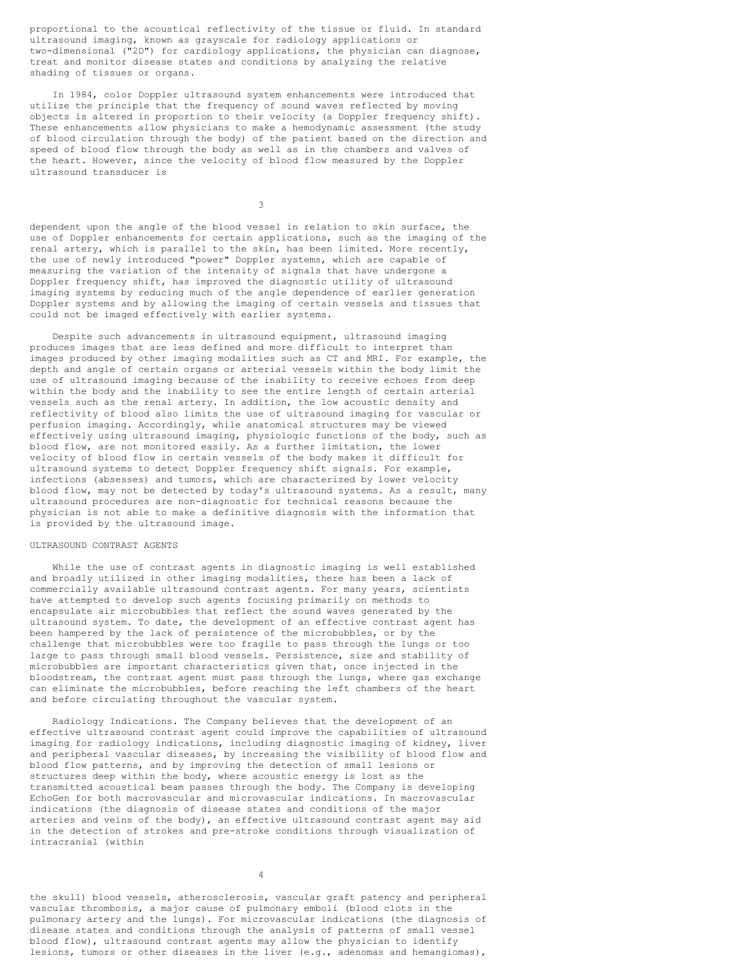proportional to the acoustical reflectivity of the tissue or fluid. In standard ultrasound imaging, known as grayscale for radiology applications or two-dimensional ("2D") for cardiology applications, the physician can diagnose, treat and monitor disease states and conditions by analyzing the relative shading of tissues or organs.

In 1984, color Doppler ultrasound system enhancements were introduced that utilize the principle that the frequency of sound waves reflected by moving objects is altered in proportion to their velocity (a Doppler frequency shift). These enhancements allow physicians to make a hemodynamic assessment (the study of blood circulation through the body) of the patient based on the direction and speed of blood flow through the body as well as in the chambers and valves of the heart. However, since the velocity of blood flow measured by the Doppler ultrasound transducer is

3

dependent upon the angle of the blood vessel in relation to skin surface, the use of Doppler enhancements for certain applications, such as the imaging of the renal artery, which is parallel to the skin, has been limited. More recently, the use of newly introduced "power" Doppler systems, which are capable of measuring the variation of the intensity of signals that have undergone a Doppler frequency shift, has improved the diagnostic utility of ultrasound imaging systems by reducing much of the angle dependence of earlier generation Doppler systems and by allowing the imaging of certain vessels and tissues that could not be imaged effectively with earlier systems.

Despite such advancements in ultrasound equipment, ultrasound imaging produces images that are less defined and more difficult to interpret than images produced by other imaging modalities such as CT and MRI. For example, the depth and angle of certain organs or arterial vessels within the body limit the use of ultrasound imaging because of the inability to receive echoes from deep within the body and the inability to see the entire length of certain arterial vessels such as the renal artery. In addition, the low acoustic density and reflectivity of blood also limits the use of ultrasound imaging for vascular or perfusion imaging. Accordingly, while anatomical structures may be viewed effectively using ultrasound imaging, physiologic functions of the body, such as blood flow, are not monitored easily. As a further limitation, the lower velocity of blood flow in certain vessels of the body makes it difficult for ultrasound systems to detect Doppler frequency shift signals. For example, infections (absesses) and tumors, which are characterized by lower velocity blood flow, may not be detected by today's ultrasound systems. As a result, many ultrasound procedures are non-diagnostic for technical reasons because the physician is not able to make a definitive diagnosis with the information that is provided by the ultrasound image.

## ULTRASOUND CONTRAST AGENTS

While the use of contrast agents in diagnostic imaging is well established and broadly utilized in other imaging modalities, there has been a lack of commercially available ultrasound contrast agents. For many years, scientists have attempted to develop such agents focusing primarily on methods to encapsulate air microbubbles that reflect the sound waves generated by the ultrasound system. To date, the development of an effective contrast agent has been hampered by the lack of persistence of the microbubbles, or by the challenge that microbubbles were too fragile to pass through the lungs or too large to pass through small blood vessels. Persistence, size and stability of microbubbles are important characteristics given that, once injected in the bloodstream, the contrast agent must pass through the lungs, where gas exchange can eliminate the microbubbles, before reaching the left chambers of the heart and before circulating throughout the vascular system.

Radiology Indications. The Company believes that the development of an effective ultrasound contrast agent could improve the capabilities of ultrasound imaging for radiology indications, including diagnostic imaging of kidney, liver and peripheral vascular diseases, by increasing the visibility of blood flow and blood flow patterns, and by improving the detection of small lesions or structures deep within the body, where acoustic energy is lost as the transmitted acoustical beam passes through the body. The Company is developing EchoGen for both macrovascular and microvascular indications. In macrovascular indications (the diagnosis of disease states and conditions of the major arteries and veins of the body), an effective ultrasound contrast agent may aid in the detection of strokes and pre-stroke conditions through visualization of intracranial (within

4

the skull) blood vessels, atherosclerosis, vascular graft patency and peripheral vascular thrombosis, a major cause of pulmonary emboli (blood clots in the pulmonary artery and the lungs). For microvascular indications (the diagnosis of disease states and conditions through the analysis of patterns of small vessel blood flow), ultrasound contrast agents may allow the physician to identify lesions, tumors or other diseases in the liver (e.g., adenomas and hemangiomas),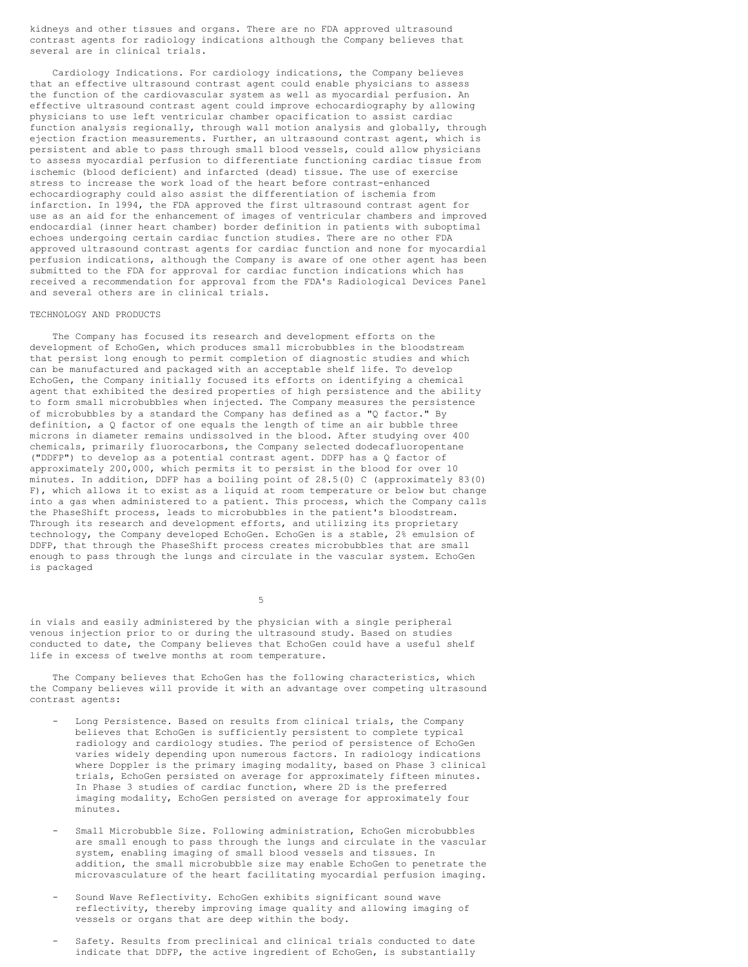kidneys and other tissues and organs. There are no FDA approved ultrasound contrast agents for radiology indications although the Company believes that several are in clinical trials.

Cardiology Indications. For cardiology indications, the Company believes that an effective ultrasound contrast agent could enable physicians to assess the function of the cardiovascular system as well as myocardial perfusion. An effective ultrasound contrast agent could improve echocardiography by allowing physicians to use left ventricular chamber opacification to assist cardiac function analysis regionally, through wall motion analysis and globally, through ejection fraction measurements. Further, an ultrasound contrast agent, which is persistent and able to pass through small blood vessels, could allow physicians to assess myocardial perfusion to differentiate functioning cardiac tissue from ischemic (blood deficient) and infarcted (dead) tissue. The use of exercise stress to increase the work load of the heart before contrast-enhanced echocardiography could also assist the differentiation of ischemia from infarction. In 1994, the FDA approved the first ultrasound contrast agent for use as an aid for the enhancement of images of ventricular chambers and improved endocardial (inner heart chamber) border definition in patients with suboptimal echoes undergoing certain cardiac function studies. There are no other FDA approved ultrasound contrast agents for cardiac function and none for myocardial perfusion indications, although the Company is aware of one other agent has been submitted to the FDA for approval for cardiac function indications which has received a recommendation for approval from the FDA's Radiological Devices Panel and several others are in clinical trials.

#### TECHNOLOGY AND PRODUCTS

The Company has focused its research and development efforts on the development of EchoGen, which produces small microbubbles in the bloodstream that persist long enough to permit completion of diagnostic studies and which can be manufactured and packaged with an acceptable shelf life. To develop EchoGen, the Company initially focused its efforts on identifying a chemical agent that exhibited the desired properties of high persistence and the ability to form small microbubbles when injected. The Company measures the persistence of microbubbles by a standard the Company has defined as a "Q factor." By definition, a Q factor of one equals the length of time an air bubble three microns in diameter remains undissolved in the blood. After studying over 400 chemicals, primarily fluorocarbons, the Company selected dodecafluoropentane ("DDFP") to develop as a potential contrast agent. DDFP has a Q factor of approximately 200,000, which permits it to persist in the blood for over 10 minutes. In addition, DDFP has a boiling point of 28.5(0) C (approximately 83(0) F), which allows it to exist as a liquid at room temperature or below but change into a gas when administered to a patient. This process, which the Company calls the PhaseShift process, leads to microbubbles in the patient's bloodstream. Through its research and development efforts, and utilizing its proprietary technology, the Company developed EchoGen. EchoGen is a stable, 2% emulsion of DDFP, that through the PhaseShift process creates microbubbles that are small enough to pass through the lungs and circulate in the vascular system. EchoGen is packaged

5

in vials and easily administered by the physician with a single peripheral venous injection prior to or during the ultrasound study. Based on studies conducted to date, the Company believes that EchoGen could have a useful shelf life in excess of twelve months at room temperature.

The Company believes that EchoGen has the following characteristics, which the Company believes will provide it with an advantage over competing ultrasound contrast agents:

- Long Persistence. Based on results from clinical trials, the Company believes that EchoGen is sufficiently persistent to complete typical radiology and cardiology studies. The period of persistence of EchoGen varies widely depending upon numerous factors. In radiology indications where Doppler is the primary imaging modality, based on Phase 3 clinical trials, EchoGen persisted on average for approximately fifteen minutes. In Phase 3 studies of cardiac function, where 2D is the preferred imaging modality, EchoGen persisted on average for approximately four minutes.
- Small Microbubble Size. Following administration, EchoGen microbubbles are small enough to pass through the lungs and circulate in the vascular system, enabling imaging of small blood vessels and tissues. In addition, the small microbubble size may enable EchoGen to penetrate the microvasculature of the heart facilitating myocardial perfusion imaging.
- Sound Wave Reflectivity. EchoGen exhibits significant sound wave reflectivity, thereby improving image quality and allowing imaging of vessels or organs that are deep within the body.
- Safety. Results from preclinical and clinical trials conducted to date indicate that DDFP, the active ingredient of EchoGen, is substantially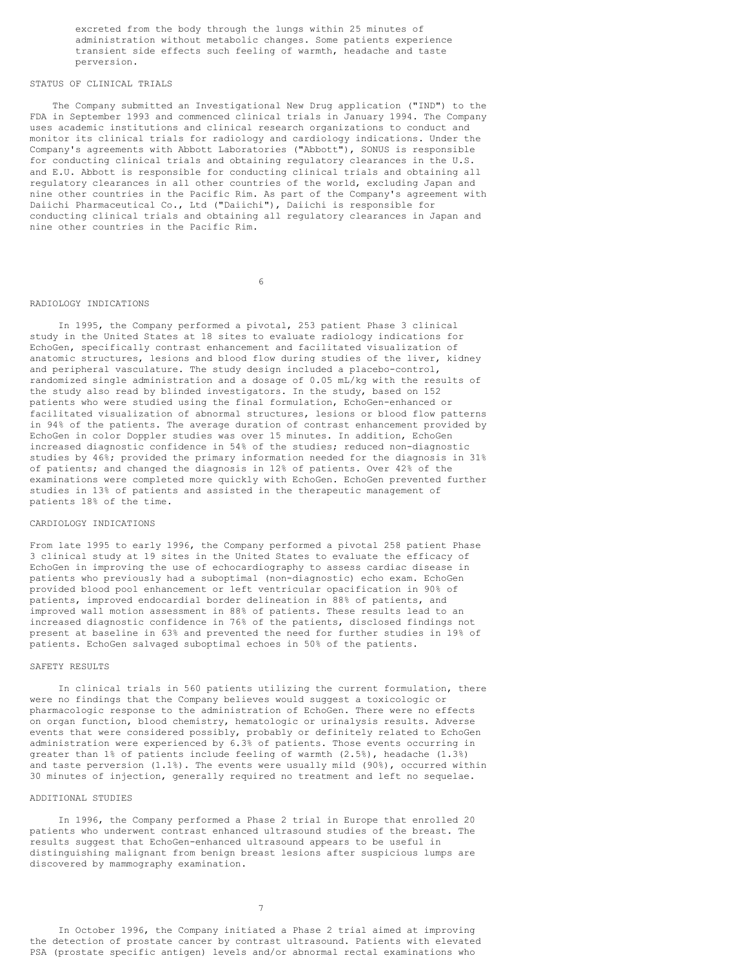excreted from the body through the lungs within 25 minutes of administration without metabolic changes. Some patients experience transient side effects such feeling of warmth, headache and taste perversion.

## STATUS OF CLINICAL TRIALS

The Company submitted an Investigational New Drug application ("IND") to the FDA in September 1993 and commenced clinical trials in January 1994. The Company uses academic institutions and clinical research organizations to conduct and monitor its clinical trials for radiology and cardiology indications. Under the Company's agreements with Abbott Laboratories ("Abbott"), SONUS is responsible for conducting clinical trials and obtaining regulatory clearances in the U.S. and E.U. Abbott is responsible for conducting clinical trials and obtaining all regulatory clearances in all other countries of the world, excluding Japan and nine other countries in the Pacific Rim. As part of the Company's agreement with Daiichi Pharmaceutical Co., Ltd ("Daiichi"), Daiichi is responsible for conducting clinical trials and obtaining all regulatory clearances in Japan and nine other countries in the Pacific Rim.

6

### RADIOLOGY INDICATIONS

In 1995, the Company performed a pivotal, 253 patient Phase 3 clinical study in the United States at 18 sites to evaluate radiology indications for EchoGen, specifically contrast enhancement and facilitated visualization of anatomic structures, lesions and blood flow during studies of the liver, kidney and peripheral vasculature. The study design included a placebo-control, randomized single administration and a dosage of 0.05 mL/kg with the results of the study also read by blinded investigators. In the study, based on 152 patients who were studied using the final formulation, EchoGen-enhanced or facilitated visualization of abnormal structures, lesions or blood flow patterns in 94% of the patients. The average duration of contrast enhancement provided by EchoGen in color Doppler studies was over 15 minutes. In addition, EchoGen increased diagnostic confidence in 54% of the studies; reduced non-diagnostic studies by 46%; provided the primary information needed for the diagnosis in 31% of patients; and changed the diagnosis in 12% of patients. Over 42% of the examinations were completed more quickly with EchoGen. EchoGen prevented further studies in 13% of patients and assisted in the therapeutic management of patients 18% of the time.

## CARDIOLOGY INDICATIONS

From late 1995 to early 1996, the Company performed a pivotal 258 patient Phase 3 clinical study at 19 sites in the United States to evaluate the efficacy of EchoGen in improving the use of echocardiography to assess cardiac disease in patients who previously had a suboptimal (non-diagnostic) echo exam. EchoGen provided blood pool enhancement or left ventricular opacification in 90% of patients, improved endocardial border delineation in 88% of patients, and improved wall motion assessment in 88% of patients. These results lead to an increased diagnostic confidence in 76% of the patients, disclosed findings not present at baseline in 63% and prevented the need for further studies in 19% of patients. EchoGen salvaged suboptimal echoes in 50% of the patients.

#### SAFETY RESULTS

In clinical trials in 560 patients utilizing the current formulation, there were no findings that the Company believes would suggest a toxicologic or pharmacologic response to the administration of EchoGen. There were no effects on organ function, blood chemistry, hematologic or urinalysis results. Adverse events that were considered possibly, probably or definitely related to EchoGen administration were experienced by 6.3% of patients. Those events occurring in greater than 1% of patients include feeling of warmth (2.5%), headache (1.3%) and taste perversion (1.1%). The events were usually mild (90%), occurred within 30 minutes of injection, generally required no treatment and left no sequelae.

#### ADDITIONAL STUDIES

In 1996, the Company performed a Phase 2 trial in Europe that enrolled 20 patients who underwent contrast enhanced ultrasound studies of the breast. The results suggest that EchoGen-enhanced ultrasound appears to be useful in distinguishing malignant from benign breast lesions after suspicious lumps are discovered by mammography examination.

In October 1996, the Company initiated a Phase 2 trial aimed at improving the detection of prostate cancer by contrast ultrasound. Patients with elevated PSA (prostate specific antigen) levels and/or abnormal rectal examinations who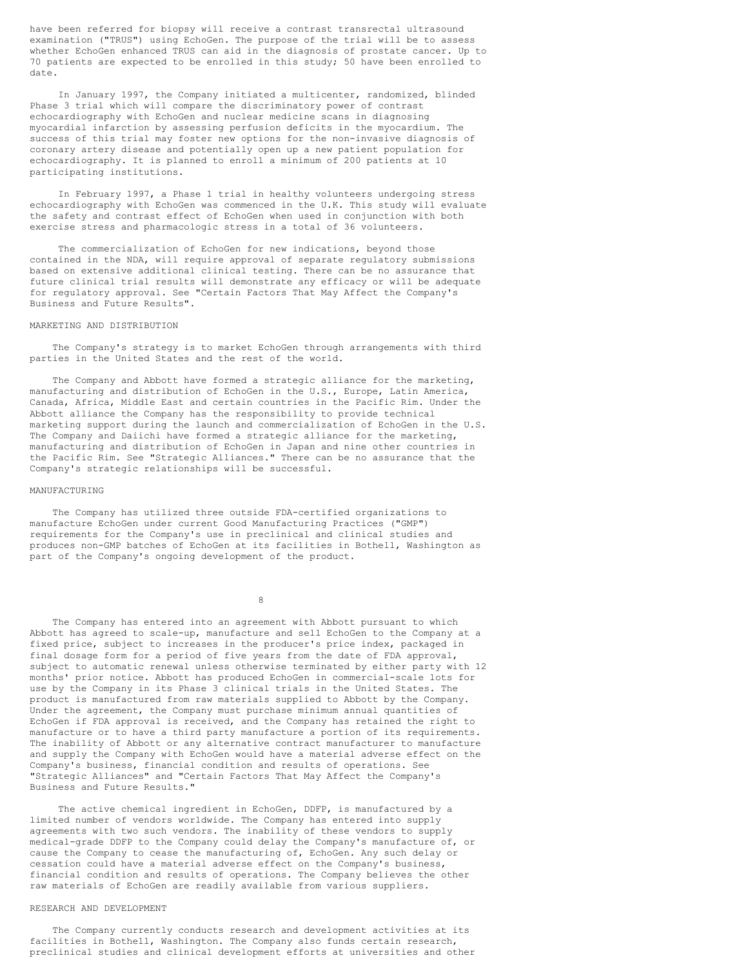have been referred for biopsy will receive a contrast transrectal ultrasound examination ("TRUS") using EchoGen. The purpose of the trial will be to assess whether EchoGen enhanced TRUS can aid in the diagnosis of prostate cancer. Up to 70 patients are expected to be enrolled in this study; 50 have been enrolled to date.

In January 1997, the Company initiated a multicenter, randomized, blinded Phase 3 trial which will compare the discriminatory power of contrast echocardiography with EchoGen and nuclear medicine scans in diagnosing myocardial infarction by assessing perfusion deficits in the myocardium. The success of this trial may foster new options for the non-invasive diagnosis of coronary artery disease and potentially open up a new patient population for echocardiography. It is planned to enroll a minimum of 200 patients at 10 participating institutions.

In February 1997, a Phase 1 trial in healthy volunteers undergoing stress echocardiography with EchoGen was commenced in the U.K. This study will evaluate the safety and contrast effect of EchoGen when used in conjunction with both exercise stress and pharmacologic stress in a total of 36 volunteers.

The commercialization of EchoGen for new indications, beyond those contained in the NDA, will require approval of separate regulatory submissions based on extensive additional clinical testing. There can be no assurance that future clinical trial results will demonstrate any efficacy or will be adequate for regulatory approval. See "Certain Factors That May Affect the Company's Business and Future Results".

#### MARKETING AND DISTRIBUTION

The Company's strategy is to market EchoGen through arrangements with third parties in the United States and the rest of the world.

The Company and Abbott have formed a strategic alliance for the marketing, manufacturing and distribution of EchoGen in the U.S., Europe, Latin America, Canada, Africa, Middle East and certain countries in the Pacific Rim. Under the Abbott alliance the Company has the responsibility to provide technical marketing support during the launch and commercialization of EchoGen in the U.S. The Company and Daiichi have formed a strategic alliance for the marketing, manufacturing and distribution of EchoGen in Japan and nine other countries in the Pacific Rim. See "Strategic Alliances." There can be no assurance that the Company's strategic relationships will be successful.

#### MANUFACTURING

The Company has utilized three outside FDA-certified organizations to manufacture EchoGen under current Good Manufacturing Practices ("GMP") requirements for the Company's use in preclinical and clinical studies and produces non-GMP batches of EchoGen at its facilities in Bothell, Washington as part of the Company's ongoing development of the product.

8

The Company has entered into an agreement with Abbott pursuant to which Abbott has agreed to scale-up, manufacture and sell EchoGen to the Company at a fixed price, subject to increases in the producer's price index, packaged in final dosage form for a period of five years from the date of FDA approval, subject to automatic renewal unless otherwise terminated by either party with 12 months' prior notice. Abbott has produced EchoGen in commercial-scale lots for use by the Company in its Phase 3 clinical trials in the United States. The product is manufactured from raw materials supplied to Abbott by the Company. Under the agreement, the Company must purchase minimum annual quantities of EchoGen if FDA approval is received, and the Company has retained the right to manufacture or to have a third party manufacture a portion of its requirements. The inability of Abbott or any alternative contract manufacturer to manufacture and supply the Company with EchoGen would have a material adverse effect on the Company's business, financial condition and results of operations. See "Strategic Alliances" and "Certain Factors That May Affect the Company's Business and Future Results."

The active chemical ingredient in EchoGen, DDFP, is manufactured by a limited number of vendors worldwide. The Company has entered into supply agreements with two such vendors. The inability of these vendors to supply medical-grade DDFP to the Company could delay the Company's manufacture of, or cause the Company to cease the manufacturing of, EchoGen. Any such delay or cessation could have a material adverse effect on the Company's business, financial condition and results of operations. The Company believes the other raw materials of EchoGen are readily available from various suppliers.

#### RESEARCH AND DEVELOPMENT

The Company currently conducts research and development activities at its facilities in Bothell, Washington. The Company also funds certain research, preclinical studies and clinical development efforts at universities and other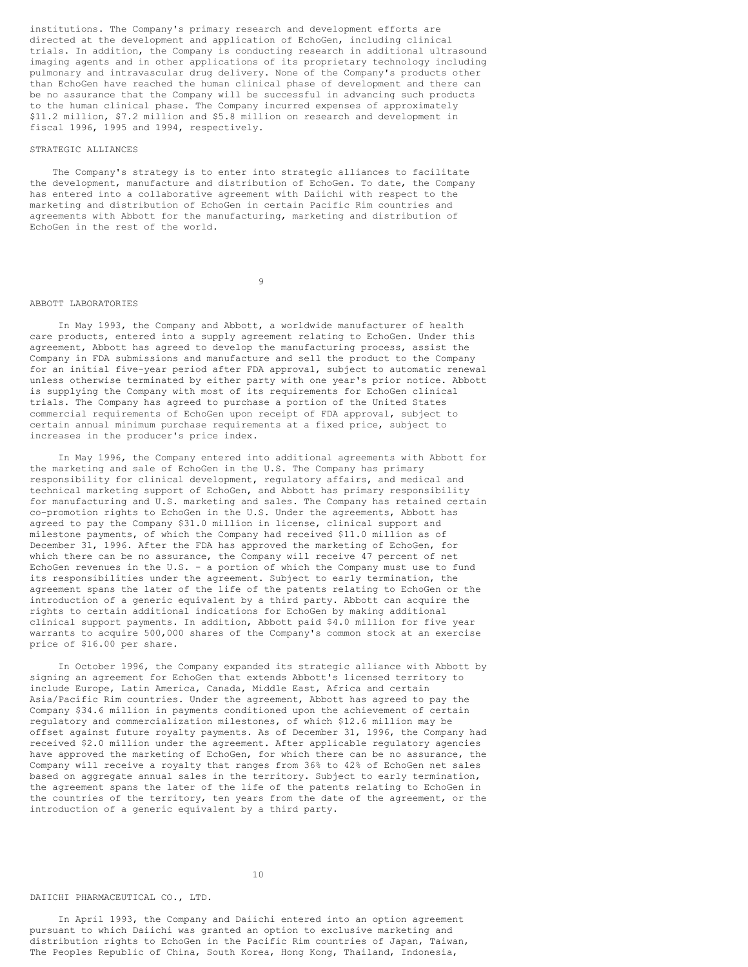institutions. The Company's primary research and development efforts are directed at the development and application of EchoGen, including clinical trials. In addition, the Company is conducting research in additional ultrasound imaging agents and in other applications of its proprietary technology including pulmonary and intravascular drug delivery. None of the Company's products other than EchoGen have reached the human clinical phase of development and there can be no assurance that the Company will be successful in advancing such products to the human clinical phase. The Company incurred expenses of approximately \$11.2 million, \$7.2 million and \$5.8 million on research and development in fiscal 1996, 1995 and 1994, respectively.

#### STRATEGIC ALLIANCES

The Company's strategy is to enter into strategic alliances to facilitate the development, manufacture and distribution of EchoGen. To date, the Company has entered into a collaborative agreement with Daiichi with respect to the marketing and distribution of EchoGen in certain Pacific Rim countries and agreements with Abbott for the manufacturing, marketing and distribution of EchoGen in the rest of the world.

9

### ABBOTT LABORATORIES

In May 1993, the Company and Abbott, a worldwide manufacturer of health care products, entered into a supply agreement relating to EchoGen. Under this agreement, Abbott has agreed to develop the manufacturing process, assist the Company in FDA submissions and manufacture and sell the product to the Company for an initial five-year period after FDA approval, subject to automatic renewal unless otherwise terminated by either party with one year's prior notice. Abbott is supplying the Company with most of its requirements for EchoGen clinical trials. The Company has agreed to purchase a portion of the United States commercial requirements of EchoGen upon receipt of FDA approval, subject to certain annual minimum purchase requirements at a fixed price, subject to increases in the producer's price index.

In May 1996, the Company entered into additional agreements with Abbott for the marketing and sale of EchoGen in the U.S. The Company has primary responsibility for clinical development, regulatory affairs, and medical and technical marketing support of EchoGen, and Abbott has primary responsibility for manufacturing and U.S. marketing and sales. The Company has retained certain co-promotion rights to EchoGen in the U.S. Under the agreements, Abbott has agreed to pay the Company \$31.0 million in license, clinical support and milestone payments, of which the Company had received \$11.0 million as of December 31, 1996. After the FDA has approved the marketing of EchoGen, for which there can be no assurance, the Company will receive 47 percent of net EchoGen revenues in the U.S. - a portion of which the Company must use to fund its responsibilities under the agreement. Subject to early termination, the agreement spans the later of the life of the patents relating to EchoGen or the introduction of a generic equivalent by a third party. Abbott can acquire the rights to certain additional indications for EchoGen by making additional clinical support payments. In addition, Abbott paid \$4.0 million for five year warrants to acquire 500,000 shares of the Company's common stock at an exercise price of \$16.00 per share.

In October 1996, the Company expanded its strategic alliance with Abbott by signing an agreement for EchoGen that extends Abbott's licensed territory to include Europe, Latin America, Canada, Middle East, Africa and certain Asia/Pacific Rim countries. Under the agreement, Abbott has agreed to pay the Company \$34.6 million in payments conditioned upon the achievement of certain regulatory and commercialization milestones, of which \$12.6 million may be offset against future royalty payments. As of December 31, 1996, the Company had received \$2.0 million under the agreement. After applicable regulatory agencies have approved the marketing of EchoGen, for which there can be no assurance, the Company will receive a royalty that ranges from 36% to 42% of EchoGen net sales based on aggregate annual sales in the territory. Subject to early termination, the agreement spans the later of the life of the patents relating to EchoGen in the countries of the territory, ten years from the date of the agreement, or the introduction of a generic equivalent by a third party.

## 10

# DAIICHI PHARMACEUTICAL CO., LTD.

In April 1993, the Company and Daiichi entered into an option agreement pursuant to which Daiichi was granted an option to exclusive marketing and distribution rights to EchoGen in the Pacific Rim countries of Japan, Taiwan, The Peoples Republic of China, South Korea, Hong Kong, Thailand, Indonesia,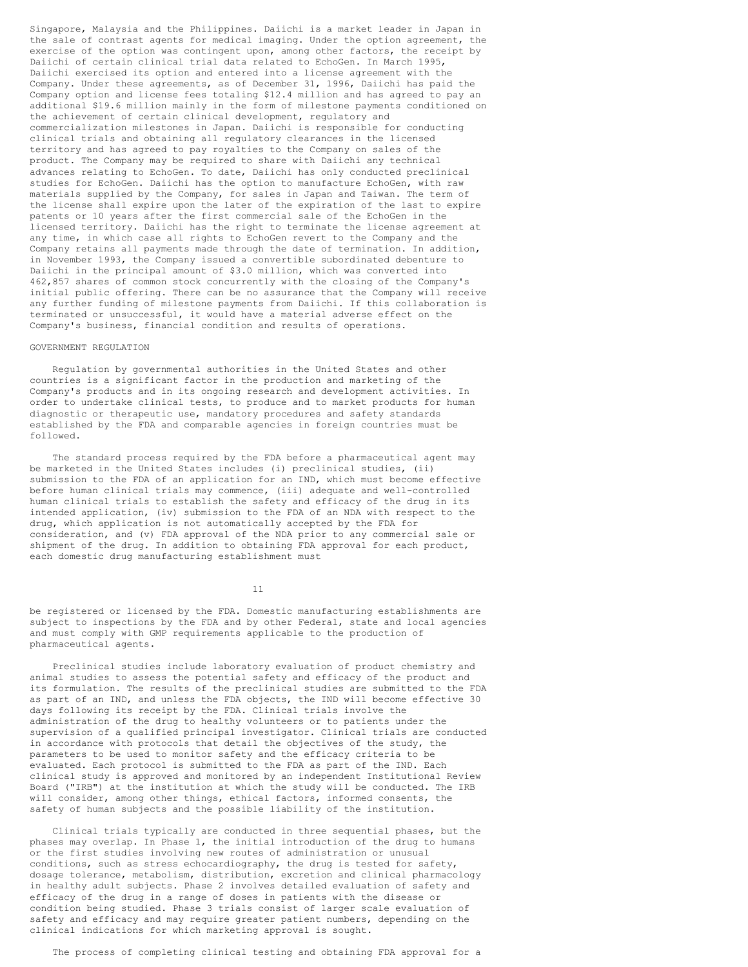Singapore, Malaysia and the Philippines. Daiichi is a market leader in Japan in the sale of contrast agents for medical imaging. Under the option agreement, the exercise of the option was contingent upon, among other factors, the receipt by Daiichi of certain clinical trial data related to EchoGen. In March 1995, Daiichi exercised its option and entered into a license agreement with the Company. Under these agreements, as of December 31, 1996, Daiichi has paid the Company option and license fees totaling \$12.4 million and has agreed to pay an additional \$19.6 million mainly in the form of milestone payments conditioned on the achievement of certain clinical development, regulatory and commercialization milestones in Japan. Daiichi is responsible for conducting clinical trials and obtaining all regulatory clearances in the licensed territory and has agreed to pay royalties to the Company on sales of the product. The Company may be required to share with Daiichi any technical advances relating to EchoGen. To date, Daiichi has only conducted preclinical studies for EchoGen. Daiichi has the option to manufacture EchoGen, with raw materials supplied by the Company, for sales in Japan and Taiwan. The term of the license shall expire upon the later of the expiration of the last to expire patents or 10 years after the first commercial sale of the EchoGen in the licensed territory. Daiichi has the right to terminate the license agreement at any time, in which case all rights to EchoGen revert to the Company and the Company retains all payments made through the date of termination. In addition, in November 1993, the Company issued a convertible subordinated debenture to Daiichi in the principal amount of \$3.0 million, which was converted into 462,857 shares of common stock concurrently with the closing of the Company's initial public offering. There can be no assurance that the Company will receive any further funding of milestone payments from Daiichi. If this collaboration is terminated or unsuccessful, it would have a material adverse effect on the Company's business, financial condition and results of operations.

#### GOVERNMENT REGULATION

Regulation by governmental authorities in the United States and other countries is a significant factor in the production and marketing of the Company's products and in its ongoing research and development activities. In order to undertake clinical tests, to produce and to market products for human diagnostic or therapeutic use, mandatory procedures and safety standards established by the FDA and comparable agencies in foreign countries must be followed.

The standard process required by the FDA before a pharmaceutical agent may be marketed in the United States includes (i) preclinical studies, (ii) submission to the FDA of an application for an IND, which must become effective before human clinical trials may commence, (iii) adequate and well-controlled human clinical trials to establish the safety and efficacy of the drug in its intended application, (iv) submission to the FDA of an NDA with respect to the drug, which application is not automatically accepted by the FDA for consideration, and (v) FDA approval of the NDA prior to any commercial sale or shipment of the drug. In addition to obtaining FDA approval for each product, each domestic drug manufacturing establishment must

11

be registered or licensed by the FDA. Domestic manufacturing establishments are subject to inspections by the FDA and by other Federal, state and local agencies and must comply with GMP requirements applicable to the production of pharmaceutical agents.

Preclinical studies include laboratory evaluation of product chemistry and animal studies to assess the potential safety and efficacy of the product and its formulation. The results of the preclinical studies are submitted to the FDA as part of an IND, and unless the FDA objects, the IND will become effective 30 days following its receipt by the FDA. Clinical trials involve the administration of the drug to healthy volunteers or to patients under the supervision of a qualified principal investigator. Clinical trials are conducted in accordance with protocols that detail the objectives of the study, the parameters to be used to monitor safety and the efficacy criteria to be evaluated. Each protocol is submitted to the FDA as part of the IND. Each clinical study is approved and monitored by an independent Institutional Review Board ("IRB") at the institution at which the study will be conducted. The IRB will consider, among other things, ethical factors, informed consents, the safety of human subjects and the possible liability of the institution.

Clinical trials typically are conducted in three sequential phases, but the phases may overlap. In Phase 1, the initial introduction of the drug to humans or the first studies involving new routes of administration or unusual conditions, such as stress echocardiography, the drug is tested for safety, dosage tolerance, metabolism, distribution, excretion and clinical pharmacology in healthy adult subjects. Phase 2 involves detailed evaluation of safety and efficacy of the drug in a range of doses in patients with the disease or condition being studied. Phase 3 trials consist of larger scale evaluation of safety and efficacy and may require greater patient numbers, depending on the clinical indications for which marketing approval is sought.

The process of completing clinical testing and obtaining FDA approval for a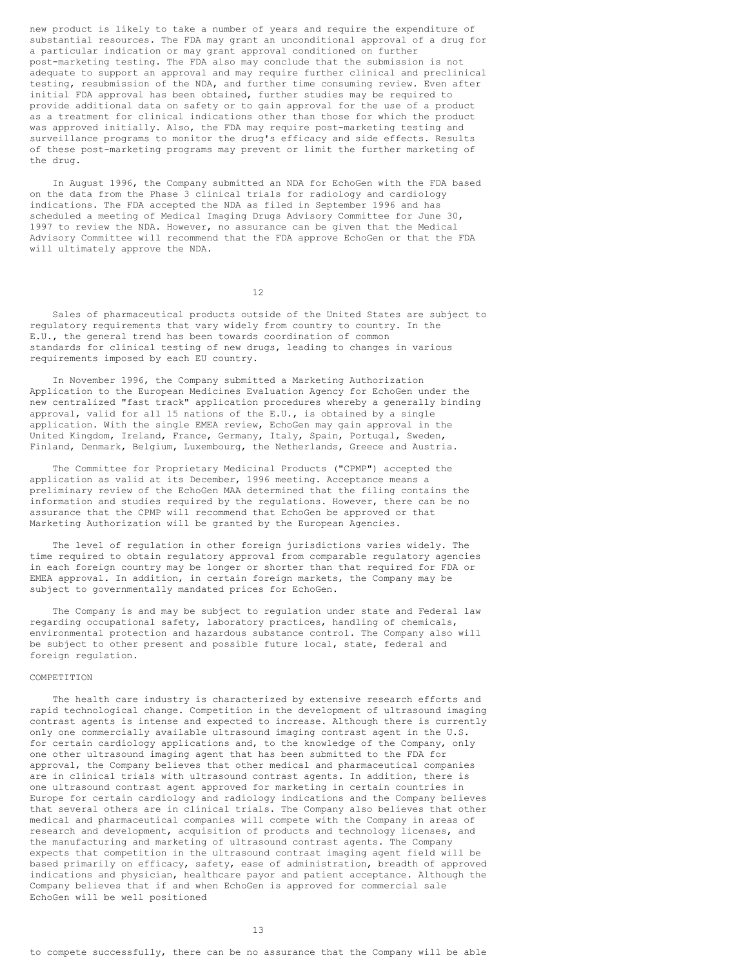new product is likely to take a number of years and require the expenditure of substantial resources. The FDA may grant an unconditional approval of a drug for a particular indication or may grant approval conditioned on further post-marketing testing. The FDA also may conclude that the submission is not adequate to support an approval and may require further clinical and preclinical testing, resubmission of the NDA, and further time consuming review. Even after initial FDA approval has been obtained, further studies may be required to provide additional data on safety or to gain approval for the use of a product as a treatment for clinical indications other than those for which the product was approved initially. Also, the FDA may require post-marketing testing and surveillance programs to monitor the drug's efficacy and side effects. Results of these post-marketing programs may prevent or limit the further marketing of the drug.

In August 1996, the Company submitted an NDA for EchoGen with the FDA based on the data from the Phase 3 clinical trials for radiology and cardiology indications. The FDA accepted the NDA as filed in September 1996 and has scheduled a meeting of Medical Imaging Drugs Advisory Committee for June 30, 1997 to review the NDA. However, no assurance can be given that the Medical Advisory Committee will recommend that the FDA approve EchoGen or that the FDA will ultimately approve the NDA.

12

Sales of pharmaceutical products outside of the United States are subject to regulatory requirements that vary widely from country to country. In the E.U., the general trend has been towards coordination of common standards for clinical testing of new drugs, leading to changes in various requirements imposed by each EU country.

In November 1996, the Company submitted a Marketing Authorization Application to the European Medicines Evaluation Agency for EchoGen under the new centralized "fast track" application procedures whereby a generally binding approval, valid for all 15 nations of the E.U., is obtained by a single application. With the single EMEA review, EchoGen may gain approval in the United Kingdom, Ireland, France, Germany, Italy, Spain, Portugal, Sweden, Finland, Denmark, Belgium, Luxembourg, the Netherlands, Greece and Austria.

The Committee for Proprietary Medicinal Products ("CPMP") accepted the application as valid at its December, 1996 meeting. Acceptance means a preliminary review of the EchoGen MAA determined that the filing contains the information and studies required by the regulations. However, there can be no assurance that the CPMP will recommend that EchoGen be approved or that Marketing Authorization will be granted by the European Agencies.

The level of regulation in other foreign jurisdictions varies widely. The time required to obtain regulatory approval from comparable regulatory agencies in each foreign country may be longer or shorter than that required for FDA or EMEA approval. In addition, in certain foreign markets, the Company may be subject to governmentally mandated prices for EchoGen.

The Company is and may be subject to regulation under state and Federal law regarding occupational safety, laboratory practices, handling of chemicals, environmental protection and hazardous substance control. The Company also will be subject to other present and possible future local, state, federal and foreign regulation.

## COMPETITION

The health care industry is characterized by extensive research efforts and rapid technological change. Competition in the development of ultrasound imaging contrast agents is intense and expected to increase. Although there is currently only one commercially available ultrasound imaging contrast agent in the U.S. for certain cardiology applications and, to the knowledge of the Company, only one other ultrasound imaging agent that has been submitted to the FDA for approval, the Company believes that other medical and pharmaceutical companies are in clinical trials with ultrasound contrast agents. In addition, there is one ultrasound contrast agent approved for marketing in certain countries in Europe for certain cardiology and radiology indications and the Company believes that several others are in clinical trials. The Company also believes that other medical and pharmaceutical companies will compete with the Company in areas of research and development, acquisition of products and technology licenses, and the manufacturing and marketing of ultrasound contrast agents. The Company expects that competition in the ultrasound contrast imaging agent field will be based primarily on efficacy, safety, ease of administration, breadth of approved indications and physician, healthcare payor and patient acceptance. Although the Company believes that if and when EchoGen is approved for commercial sale EchoGen will be well positioned

13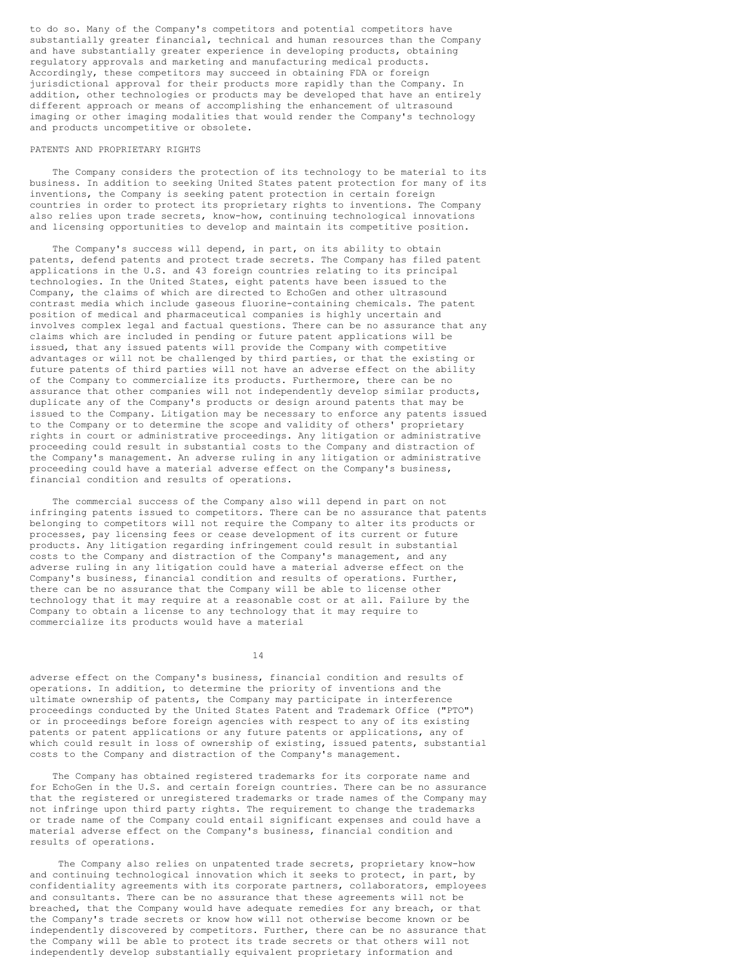to do so. Many of the Company's competitors and potential competitors have substantially greater financial, technical and human resources than the Company and have substantially greater experience in developing products, obtaining regulatory approvals and marketing and manufacturing medical products. Accordingly, these competitors may succeed in obtaining FDA or foreign jurisdictional approval for their products more rapidly than the Company. In addition, other technologies or products may be developed that have an entirely different approach or means of accomplishing the enhancement of ultrasound imaging or other imaging modalities that would render the Company's technology and products uncompetitive or obsolete.

#### PATENTS AND PROPRIETARY RIGHTS

The Company considers the protection of its technology to be material to its business. In addition to seeking United States patent protection for many of its inventions, the Company is seeking patent protection in certain foreign countries in order to protect its proprietary rights to inventions. The Company also relies upon trade secrets, know-how, continuing technological innovations and licensing opportunities to develop and maintain its competitive position.

The Company's success will depend, in part, on its ability to obtain patents, defend patents and protect trade secrets. The Company has filed patent applications in the U.S. and 43 foreign countries relating to its principal technologies. In the United States, eight patents have been issued to the Company, the claims of which are directed to EchoGen and other ultrasound contrast media which include gaseous fluorine-containing chemicals. The patent position of medical and pharmaceutical companies is highly uncertain and involves complex legal and factual questions. There can be no assurance that any claims which are included in pending or future patent applications will be issued, that any issued patents will provide the Company with competitive advantages or will not be challenged by third parties, or that the existing or future patents of third parties will not have an adverse effect on the ability of the Company to commercialize its products. Furthermore, there can be no assurance that other companies will not independently develop similar products, duplicate any of the Company's products or design around patents that may be issued to the Company. Litigation may be necessary to enforce any patents issued to the Company or to determine the scope and validity of others' proprietary rights in court or administrative proceedings. Any litigation or administrative proceeding could result in substantial costs to the Company and distraction of the Company's management. An adverse ruling in any litigation or administrative proceeding could have a material adverse effect on the Company's business, financial condition and results of operations.

The commercial success of the Company also will depend in part on not infringing patents issued to competitors. There can be no assurance that patents belonging to competitors will not require the Company to alter its products or processes, pay licensing fees or cease development of its current or future products. Any litigation regarding infringement could result in substantial costs to the Company and distraction of the Company's management, and any adverse ruling in any litigation could have a material adverse effect on the Company's business, financial condition and results of operations. Further, there can be no assurance that the Company will be able to license other technology that it may require at a reasonable cost or at all. Failure by the Company to obtain a license to any technology that it may require to commercialize its products would have a material

14

adverse effect on the Company's business, financial condition and results of operations. In addition, to determine the priority of inventions and the ultimate ownership of patents, the Company may participate in interference proceedings conducted by the United States Patent and Trademark Office ("PTO") or in proceedings before foreign agencies with respect to any of its existing patents or patent applications or any future patents or applications, any of which could result in loss of ownership of existing, issued patents, substantial costs to the Company and distraction of the Company's management.

The Company has obtained registered trademarks for its corporate name and for EchoGen in the U.S. and certain foreign countries. There can be no assurance that the registered or unregistered trademarks or trade names of the Company may not infringe upon third party rights. The requirement to change the trademarks or trade name of the Company could entail significant expenses and could have a material adverse effect on the Company's business, financial condition and results of operations.

The Company also relies on unpatented trade secrets, proprietary know-how and continuing technological innovation which it seeks to protect, in part, by confidentiality agreements with its corporate partners, collaborators, employees and consultants. There can be no assurance that these agreements will not be breached, that the Company would have adequate remedies for any breach, or that the Company's trade secrets or know how will not otherwise become known or be independently discovered by competitors. Further, there can be no assurance that the Company will be able to protect its trade secrets or that others will not independently develop substantially equivalent proprietary information and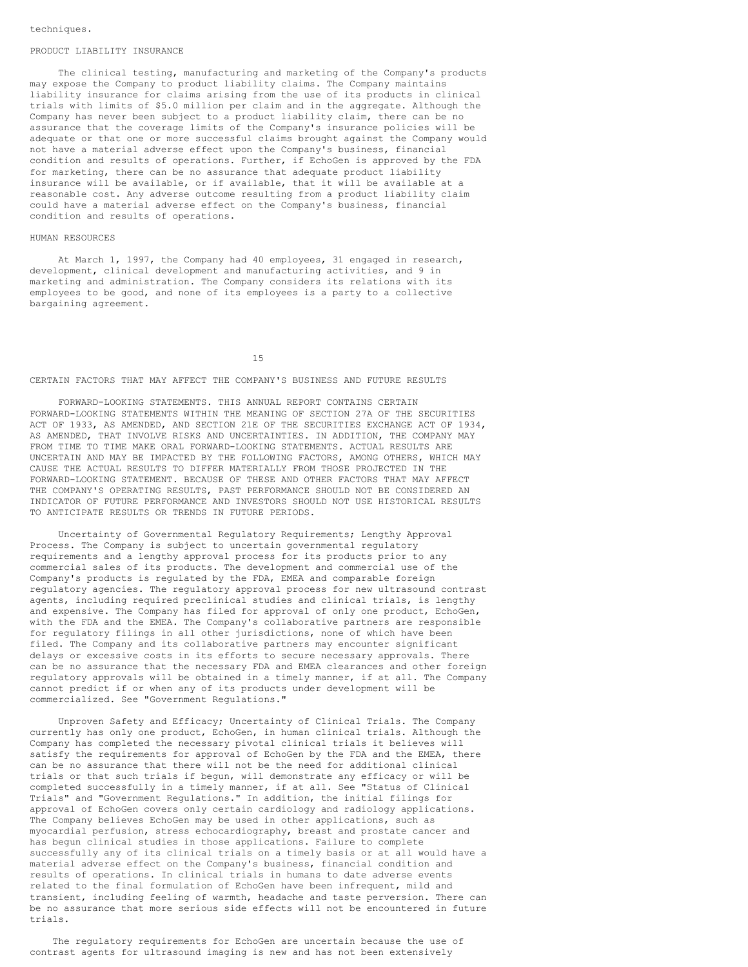#### PRODUCT LIABILITY INSURANCE

The clinical testing, manufacturing and marketing of the Company's products may expose the Company to product liability claims. The Company maintains liability insurance for claims arising from the use of its products in clinical trials with limits of \$5.0 million per claim and in the aggregate. Although the Company has never been subject to a product liability claim, there can be no assurance that the coverage limits of the Company's insurance policies will be adequate or that one or more successful claims brought against the Company would not have a material adverse effect upon the Company's business, financial condition and results of operations. Further, if EchoGen is approved by the FDA for marketing, there can be no assurance that adequate product liability insurance will be available, or if available, that it will be available at a reasonable cost. Any adverse outcome resulting from a product liability claim could have a material adverse effect on the Company's business, financial condition and results of operations.

#### HUMAN RESOURCES

At March 1, 1997, the Company had 40 employees, 31 engaged in research, development, clinical development and manufacturing activities, and 9 in marketing and administration. The Company considers its relations with its employees to be good, and none of its employees is a party to a collective bargaining agreement.

15

## CERTAIN FACTORS THAT MAY AFFECT THE COMPANY'S BUSINESS AND FUTURE RESULTS

FORWARD-LOOKING STATEMENTS. THIS ANNUAL REPORT CONTAINS CERTAIN FORWARD-LOOKING STATEMENTS WITHIN THE MEANING OF SECTION 27A OF THE SECURITIES ACT OF 1933, AS AMENDED, AND SECTION 21E OF THE SECURITIES EXCHANGE ACT OF 1934, AS AMENDED, THAT INVOLVE RISKS AND UNCERTAINTIES. IN ADDITION, THE COMPANY MAY FROM TIME TO TIME MAKE ORAL FORWARD-LOOKING STATEMENTS. ACTUAL RESULTS ARE UNCERTAIN AND MAY BE IMPACTED BY THE FOLLOWING FACTORS, AMONG OTHERS, WHICH MAY CAUSE THE ACTUAL RESULTS TO DIFFER MATERIALLY FROM THOSE PROJECTED IN THE FORWARD-LOOKING STATEMENT. BECAUSE OF THESE AND OTHER FACTORS THAT MAY AFFECT THE COMPANY'S OPERATING RESULTS, PAST PERFORMANCE SHOULD NOT BE CONSIDERED AN INDICATOR OF FUTURE PERFORMANCE AND INVESTORS SHOULD NOT USE HISTORICAL RESULTS TO ANTICIPATE RESULTS OR TRENDS IN FUTURE PERIODS.

Uncertainty of Governmental Regulatory Requirements; Lengthy Approval Process. The Company is subject to uncertain governmental regulatory requirements and a lengthy approval process for its products prior to any commercial sales of its products. The development and commercial use of the Company's products is regulated by the FDA, EMEA and comparable foreign regulatory agencies. The regulatory approval process for new ultrasound contrast agents, including required preclinical studies and clinical trials, is lengthy and expensive. The Company has filed for approval of only one product, EchoGen, with the FDA and the EMEA. The Company's collaborative partners are responsible for regulatory filings in all other jurisdictions, none of which have been filed. The Company and its collaborative partners may encounter significant delays or excessive costs in its efforts to secure necessary approvals. There can be no assurance that the necessary FDA and EMEA clearances and other foreign regulatory approvals will be obtained in a timely manner, if at all. The Company cannot predict if or when any of its products under development will be commercialized. See "Government Regulations."

Unproven Safety and Efficacy; Uncertainty of Clinical Trials. The Company currently has only one product, EchoGen, in human clinical trials. Although the Company has completed the necessary pivotal clinical trials it believes will satisfy the requirements for approval of EchoGen by the FDA and the EMEA, there can be no assurance that there will not be the need for additional clinical trials or that such trials if begun, will demonstrate any efficacy or will be completed successfully in a timely manner, if at all. See "Status of Clinical Trials" and "Government Regulations." In addition, the initial filings for approval of EchoGen covers only certain cardiology and radiology applications. The Company believes EchoGen may be used in other applications, such as myocardial perfusion, stress echocardiography, breast and prostate cancer and has begun clinical studies in those applications. Failure to complete successfully any of its clinical trials on a timely basis or at all would have a material adverse effect on the Company's business, financial condition and results of operations. In clinical trials in humans to date adverse events related to the final formulation of EchoGen have been infrequent, mild and transient, including feeling of warmth, headache and taste perversion. There can be no assurance that more serious side effects will not be encountered in future trials.

The regulatory requirements for EchoGen are uncertain because the use of contrast agents for ultrasound imaging is new and has not been extensively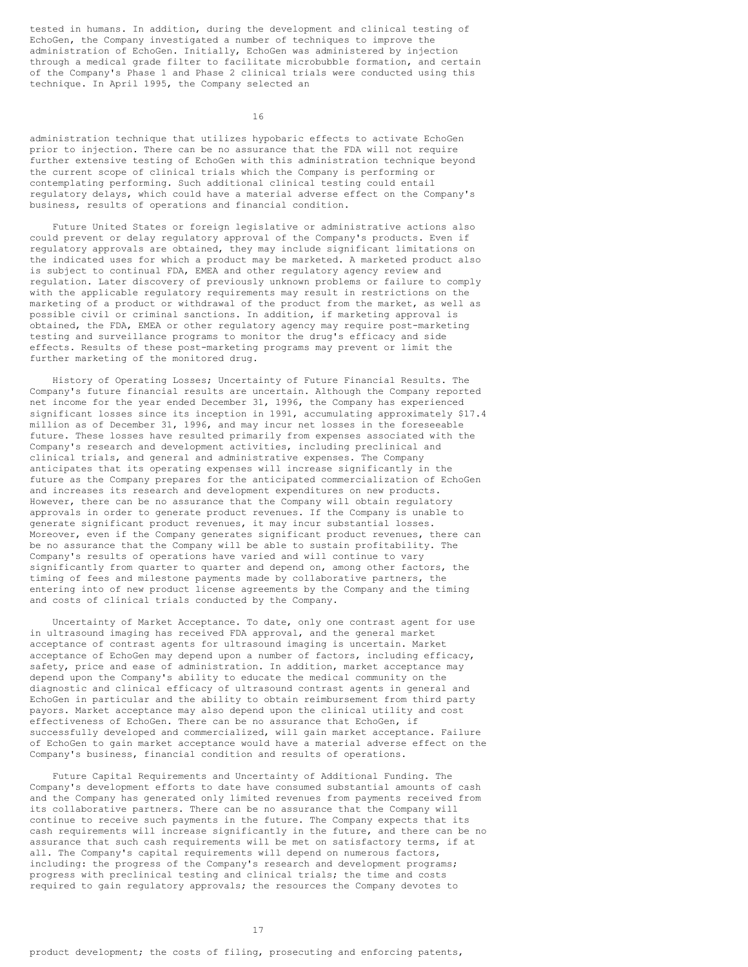tested in humans. In addition, during the development and clinical testing of EchoGen, the Company investigated a number of techniques to improve the administration of EchoGen. Initially, EchoGen was administered by injection through a medical grade filter to facilitate microbubble formation, and certain of the Company's Phase 1 and Phase 2 clinical trials were conducted using this technique. In April 1995, the Company selected an

16

administration technique that utilizes hypobaric effects to activate EchoGen prior to injection. There can be no assurance that the FDA will not require further extensive testing of EchoGen with this administration technique beyond the current scope of clinical trials which the Company is performing or contemplating performing. Such additional clinical testing could entail regulatory delays, which could have a material adverse effect on the Company's business, results of operations and financial condition.

Future United States or foreign legislative or administrative actions also could prevent or delay regulatory approval of the Company's products. Even if regulatory approvals are obtained, they may include significant limitations on the indicated uses for which a product may be marketed. A marketed product also is subject to continual FDA, EMEA and other regulatory agency review and regulation. Later discovery of previously unknown problems or failure to comply with the applicable regulatory requirements may result in restrictions on the marketing of a product or withdrawal of the product from the market, as well as possible civil or criminal sanctions. In addition, if marketing approval is obtained, the FDA, EMEA or other regulatory agency may require post-marketing testing and surveillance programs to monitor the drug's efficacy and side effects. Results of these post-marketing programs may prevent or limit the further marketing of the monitored drug.

History of Operating Losses; Uncertainty of Future Financial Results. The Company's future financial results are uncertain. Although the Company reported net income for the year ended December 31, 1996, the Company has experienced significant losses since its inception in 1991, accumulating approximately \$17.4 million as of December 31, 1996, and may incur net losses in the foreseeable future. These losses have resulted primarily from expenses associated with the Company's research and development activities, including preclinical and clinical trials, and general and administrative expenses. The Company anticipates that its operating expenses will increase significantly in the future as the Company prepares for the anticipated commercialization of EchoGen and increases its research and development expenditures on new products. However, there can be no assurance that the Company will obtain regulatory approvals in order to generate product revenues. If the Company is unable to generate significant product revenues, it may incur substantial losses. Moreover, even if the Company generates significant product revenues, there can be no assurance that the Company will be able to sustain profitability. The Company's results of operations have varied and will continue to vary significantly from quarter to quarter and depend on, among other factors, the timing of fees and milestone payments made by collaborative partners, the entering into of new product license agreements by the Company and the timing and costs of clinical trials conducted by the Company.

Uncertainty of Market Acceptance. To date, only one contrast agent for use in ultrasound imaging has received FDA approval, and the general market acceptance of contrast agents for ultrasound imaging is uncertain. Market acceptance of EchoGen may depend upon a number of factors, including efficacy, safety, price and ease of administration. In addition, market acceptance may depend upon the Company's ability to educate the medical community on the diagnostic and clinical efficacy of ultrasound contrast agents in general and EchoGen in particular and the ability to obtain reimbursement from third party payors. Market acceptance may also depend upon the clinical utility and cost effectiveness of EchoGen. There can be no assurance that EchoGen, if successfully developed and commercialized, will gain market acceptance. Failure of EchoGen to gain market acceptance would have a material adverse effect on the Company's business, financial condition and results of operations.

Future Capital Requirements and Uncertainty of Additional Funding. The Company's development efforts to date have consumed substantial amounts of cash and the Company has generated only limited revenues from payments received from its collaborative partners. There can be no assurance that the Company will continue to receive such payments in the future. The Company expects that its cash requirements will increase significantly in the future, and there can be no assurance that such cash requirements will be met on satisfactory terms, if at all. The Company's capital requirements will depend on numerous factors, including: the progress of the Company's research and development programs; progress with preclinical testing and clinical trials; the time and costs required to gain regulatory approvals; the resources the Company devotes to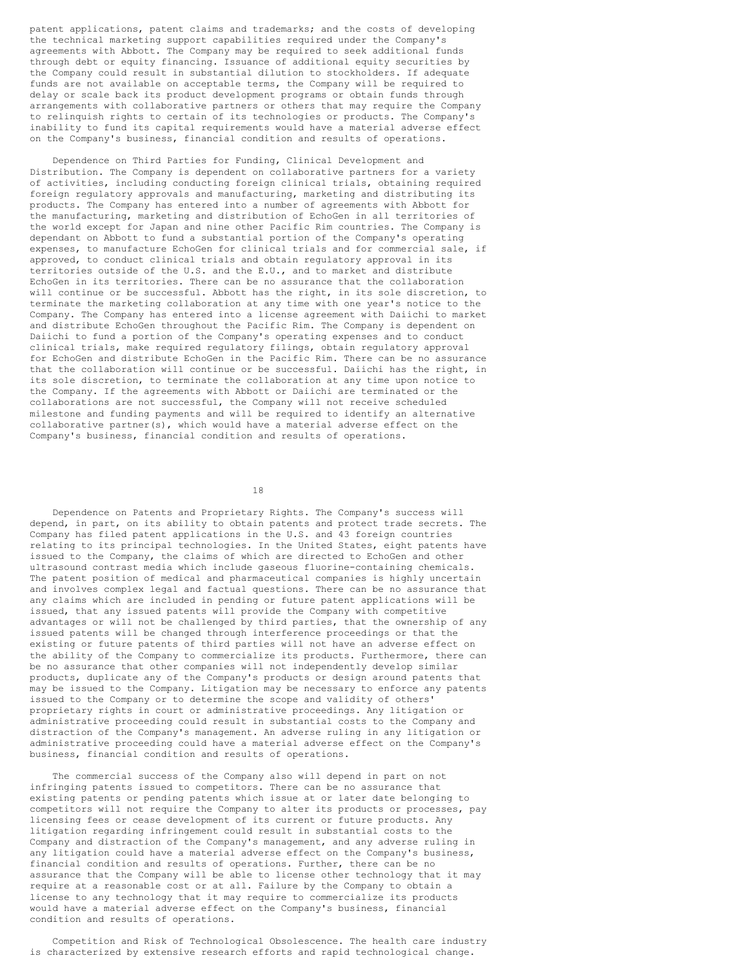patent applications, patent claims and trademarks; and the costs of developing the technical marketing support capabilities required under the Company's agreements with Abbott. The Company may be required to seek additional funds through debt or equity financing. Issuance of additional equity securities by the Company could result in substantial dilution to stockholders. If adequate funds are not available on acceptable terms, the Company will be required to delay or scale back its product development programs or obtain funds through arrangements with collaborative partners or others that may require the Company to relinquish rights to certain of its technologies or products. The Company's inability to fund its capital requirements would have a material adverse effect on the Company's business, financial condition and results of operations.

Dependence on Third Parties for Funding, Clinical Development and Distribution. The Company is dependent on collaborative partners for a variety of activities, including conducting foreign clinical trials, obtaining required foreign regulatory approvals and manufacturing, marketing and distributing its products. The Company has entered into a number of agreements with Abbott for the manufacturing, marketing and distribution of EchoGen in all territories of the world except for Japan and nine other Pacific Rim countries. The Company is dependant on Abbott to fund a substantial portion of the Company's operating expenses, to manufacture EchoGen for clinical trials and for commercial sale, if approved, to conduct clinical trials and obtain regulatory approval in its territories outside of the U.S. and the E.U., and to market and distribute EchoGen in its territories. There can be no assurance that the collaboration will continue or be successful. Abbott has the right, in its sole discretion, to terminate the marketing collaboration at any time with one year's notice to the Company. The Company has entered into a license agreement with Daiichi to market and distribute EchoGen throughout the Pacific Rim. The Company is dependent on Daiichi to fund a portion of the Company's operating expenses and to conduct clinical trials, make required regulatory filings, obtain regulatory approval for EchoGen and distribute EchoGen in the Pacific Rim. There can be no assurance that the collaboration will continue or be successful. Daiichi has the right, in its sole discretion, to terminate the collaboration at any time upon notice to the Company. If the agreements with Abbott or Daiichi are terminated or the collaborations are not successful, the Company will not receive scheduled milestone and funding payments and will be required to identify an alternative collaborative partner(s), which would have a material adverse effect on the Company's business, financial condition and results of operations.

18

Dependence on Patents and Proprietary Rights. The Company's success will depend, in part, on its ability to obtain patents and protect trade secrets. The Company has filed patent applications in the U.S. and 43 foreign countries relating to its principal technologies. In the United States, eight patents have issued to the Company, the claims of which are directed to EchoGen and other ultrasound contrast media which include gaseous fluorine-containing chemicals. The patent position of medical and pharmaceutical companies is highly uncertain and involves complex legal and factual questions. There can be no assurance that any claims which are included in pending or future patent applications will be issued, that any issued patents will provide the Company with competitive advantages or will not be challenged by third parties, that the ownership of any issued patents will be changed through interference proceedings or that the existing or future patents of third parties will not have an adverse effect on the ability of the Company to commercialize its products. Furthermore, there can be no assurance that other companies will not independently develop similar products, duplicate any of the Company's products or design around patents that may be issued to the Company. Litigation may be necessary to enforce any patents issued to the Company or to determine the scope and validity of others' proprietary rights in court or administrative proceedings. Any litigation or administrative proceeding could result in substantial costs to the Company and distraction of the Company's management. An adverse ruling in any litigation or administrative proceeding could have a material adverse effect on the Company's business, financial condition and results of operations.

The commercial success of the Company also will depend in part on not infringing patents issued to competitors. There can be no assurance that existing patents or pending patents which issue at or later date belonging to competitors will not require the Company to alter its products or processes, pay licensing fees or cease development of its current or future products. Any litigation regarding infringement could result in substantial costs to the Company and distraction of the Company's management, and any adverse ruling in any litigation could have a material adverse effect on the Company's business, financial condition and results of operations. Further, there can be no assurance that the Company will be able to license other technology that it may require at a reasonable cost or at all. Failure by the Company to obtain a license to any technology that it may require to commercialize its products would have a material adverse effect on the Company's business, financial condition and results of operations.

Competition and Risk of Technological Obsolescence. The health care industry is characterized by extensive research efforts and rapid technological change.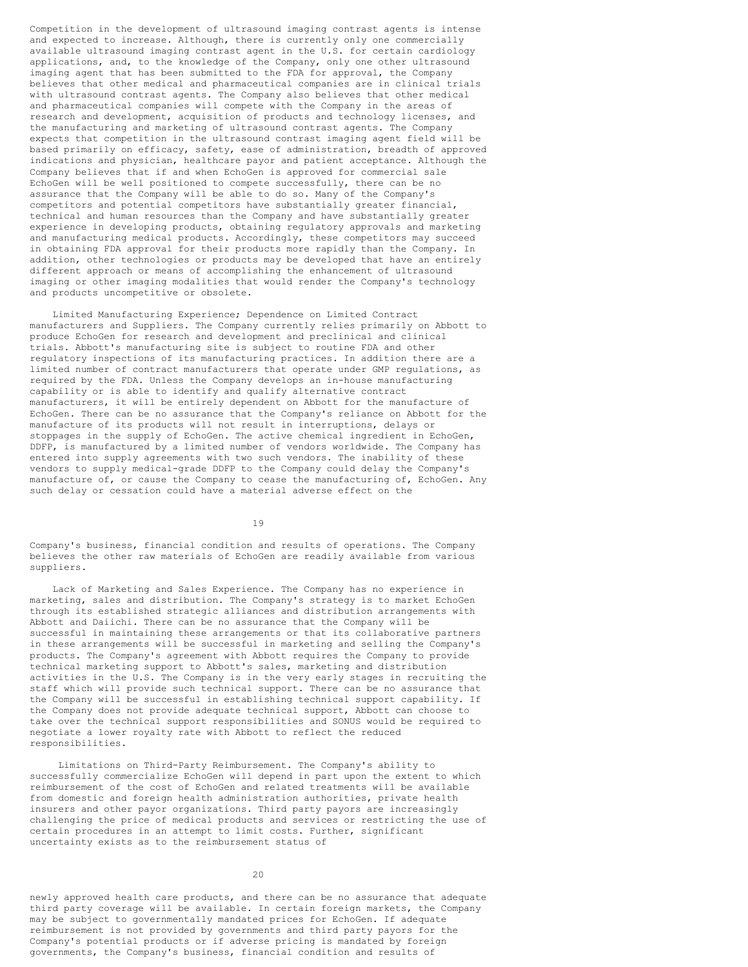Competition in the development of ultrasound imaging contrast agents is intense and expected to increase. Although, there is currently only one commercially available ultrasound imaging contrast agent in the U.S. for certain cardiology applications, and, to the knowledge of the Company, only one other ultrasound imaging agent that has been submitted to the FDA for approval, the Company believes that other medical and pharmaceutical companies are in clinical trials with ultrasound contrast agents. The Company also believes that other medical and pharmaceutical companies will compete with the Company in the areas of research and development, acquisition of products and technology licenses, and the manufacturing and marketing of ultrasound contrast agents. The Company expects that competition in the ultrasound contrast imaging agent field will be based primarily on efficacy, safety, ease of administration, breadth of approved indications and physician, healthcare payor and patient acceptance. Although the Company believes that if and when EchoGen is approved for commercial sale EchoGen will be well positioned to compete successfully, there can be no assurance that the Company will be able to do so. Many of the Company's competitors and potential competitors have substantially greater financial, technical and human resources than the Company and have substantially greater experience in developing products, obtaining regulatory approvals and marketing and manufacturing medical products. Accordingly, these competitors may succeed in obtaining FDA approval for their products more rapidly than the Company. In addition, other technologies or products may be developed that have an entirely different approach or means of accomplishing the enhancement of ultrasound imaging or other imaging modalities that would render the Company's technology and products uncompetitive or obsolete.

Limited Manufacturing Experience; Dependence on Limited Contract manufacturers and Suppliers. The Company currently relies primarily on Abbott to produce EchoGen for research and development and preclinical and clinical trials. Abbott's manufacturing site is subject to routine FDA and other regulatory inspections of its manufacturing practices. In addition there are a limited number of contract manufacturers that operate under GMP regulations, as required by the FDA. Unless the Company develops an in-house manufacturing capability or is able to identify and qualify alternative contract manufacturers, it will be entirely dependent on Abbott for the manufacture of EchoGen. There can be no assurance that the Company's reliance on Abbott for the manufacture of its products will not result in interruptions, delays or stoppages in the supply of EchoGen. The active chemical ingredient in EchoGen, DDFP, is manufactured by a limited number of vendors worldwide. The Company has entered into supply agreements with two such vendors. The inability of these vendors to supply medical-grade DDFP to the Company could delay the Company's manufacture of, or cause the Company to cease the manufacturing of, EchoGen. Any such delay or cessation could have a material adverse effect on the

19

Company's business, financial condition and results of operations. The Company believes the other raw materials of EchoGen are readily available from various suppliers.

Lack of Marketing and Sales Experience. The Company has no experience in marketing, sales and distribution. The Company's strategy is to market EchoGen through its established strategic alliances and distribution arrangements with Abbott and Daiichi. There can be no assurance that the Company will be successful in maintaining these arrangements or that its collaborative partners in these arrangements will be successful in marketing and selling the Company's products. The Company's agreement with Abbott requires the Company to provide technical marketing support to Abbott's sales, marketing and distribution activities in the U.S. The Company is in the very early stages in recruiting the staff which will provide such technical support. There can be no assurance that the Company will be successful in establishing technical support capability. If the Company does not provide adequate technical support, Abbott can choose to take over the technical support responsibilities and SONUS would be required to negotiate a lower royalty rate with Abbott to reflect the reduced responsibilities.

Limitations on Third-Party Reimbursement. The Company's ability to successfully commercialize EchoGen will depend in part upon the extent to which reimbursement of the cost of EchoGen and related treatments will be available from domestic and foreign health administration authorities, private health insurers and other payor organizations. Third party payors are increasingly challenging the price of medical products and services or restricting the use of certain procedures in an attempt to limit costs. Further, significant uncertainty exists as to the reimbursement status of

 $20$ 

newly approved health care products, and there can be no assurance that adequate third party coverage will be available. In certain foreign markets, the Company may be subject to governmentally mandated prices for EchoGen. If adequate reimbursement is not provided by governments and third party payors for the Company's potential products or if adverse pricing is mandated by foreign governments, the Company's business, financial condition and results of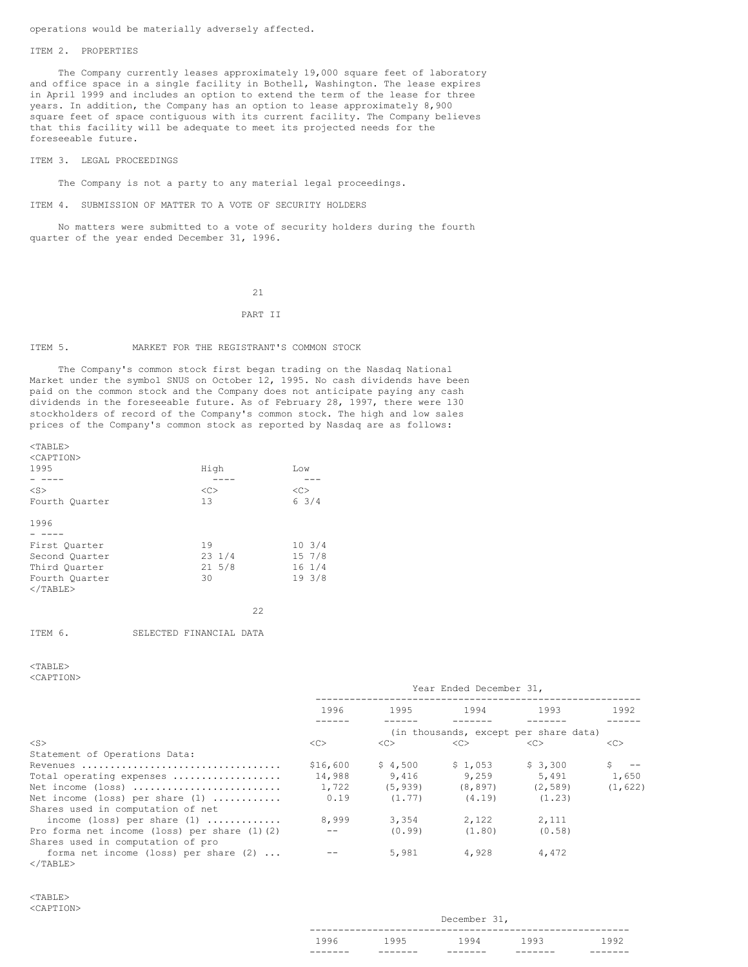## operations would be materially adversely affected.

#### ITEM 2. PROPERTIES

The Company currently leases approximately 19,000 square feet of laboratory and office space in a single facility in Bothell, Washington. The lease expires in April 1999 and includes an option to extend the term of the lease for three years. In addition, the Company has an option to lease approximately 8,900 square feet of space contiguous with its current facility. The Company believes that this facility will be adequate to meet its projected needs for the foreseeable future.

#### ITEM 3. LEGAL PROCEEDINGS

The Company is not a party to any material legal proceedings.

ITEM 4. SUBMISSION OF MATTER TO A VOTE OF SECURITY HOLDERS

No matters were submitted to a vote of security holders during the fourth quarter of the year ended December 31, 1996.

#### 21

#### PART II

#### ITEM 5. MARKET FOR THE REGISTRANT'S COMMON STOCK

The Company's common stock first began trading on the Nasdaq National Market under the symbol SNUS on October 12, 1995. No cash dividends have been paid on the common stock and the Company does not anticipate paying any cash dividends in the foreseeable future. As of February 28, 1997, there were 130 stockholders of record of the Company's common stock. The high and low sales prices of the Company's common stock as reported by Nasdaq are as follows:

| <tarte></tarte>     |                  |                  |
|---------------------|------------------|------------------|
| <caption></caption> |                  |                  |
| 1995                | High             | Low              |
|                     |                  |                  |
| $<$ S $>$           | <<               | <<               |
| Fourth Quarter      | 13               | 63/4             |
| 1996                |                  |                  |
|                     |                  |                  |
| First Ouarter       | 19               | 10, 3/4          |
| Second Quarter      | $23 \frac{1}{4}$ | $15 \t7/8$       |
| Third Ouarter       | $21 \t5/8$       | $16 \frac{1}{4}$ |
| Fourth Quarter      | 30               | 193/8            |
| $\langle$ /TABLE>   |                  |                  |
|                     | 22               |                  |
|                     |                  |                  |

| ITEM 6. |  | SELECTED FINANCIAL DATA |  |
|---------|--|-------------------------|--|
|---------|--|-------------------------|--|

# <TABLE>

 $T$ 

<CAPTION>

|                                                   | Year Ended December 31,               |          |          |          |          |
|---------------------------------------------------|---------------------------------------|----------|----------|----------|----------|
|                                                   | 1996                                  | 1995     | 1994     | 1993     | 1992     |
|                                                   | (in thousands, except per share data) |          |          |          |          |
| $<$ S $>$                                         | <<                                    | <<>      | <<       | <<>      | <<>      |
| Statement of Operations Data:                     |                                       |          |          |          |          |
| Revenues                                          | \$16,600                              | \$4,500  | \$1,053  | \$3,300  |          |
| Total operating expenses                          | 14,988                                | 9.416    | 9,259    | 5,491    | 1,650    |
| Net income (loss)                                 | 1,722                                 | (5, 939) | (8, 897) | (2, 589) | (1, 622) |
| Net income (loss) per share $(1)$                 | 0.19                                  | (1.77)   | (4.19)   | (1, 23)  |          |
| Shares used in computation of net                 |                                       |          |          |          |          |
| income (loss) per share $(1)$                     | 8,999                                 | 3,354    | 2,122    | 2,111    |          |
| Pro forma net income (loss) per share $(1)$ $(2)$ |                                       | (0.99)   | (1.80)   | (0.58)   |          |
| Shares used in computation of pro                 |                                       |          |          |          |          |
| forma net income (loss) per share $(2)$           |                                       | 5,981    | 4,928    | 4,472    |          |
| $\langle$ /TABLE>                                 |                                       |          |          |          |          |

| 1996 | 1995 | 1994         | 1993 | 1992 |
|------|------|--------------|------|------|
|      |      |              |      |      |
|      |      | December 31, |      |      |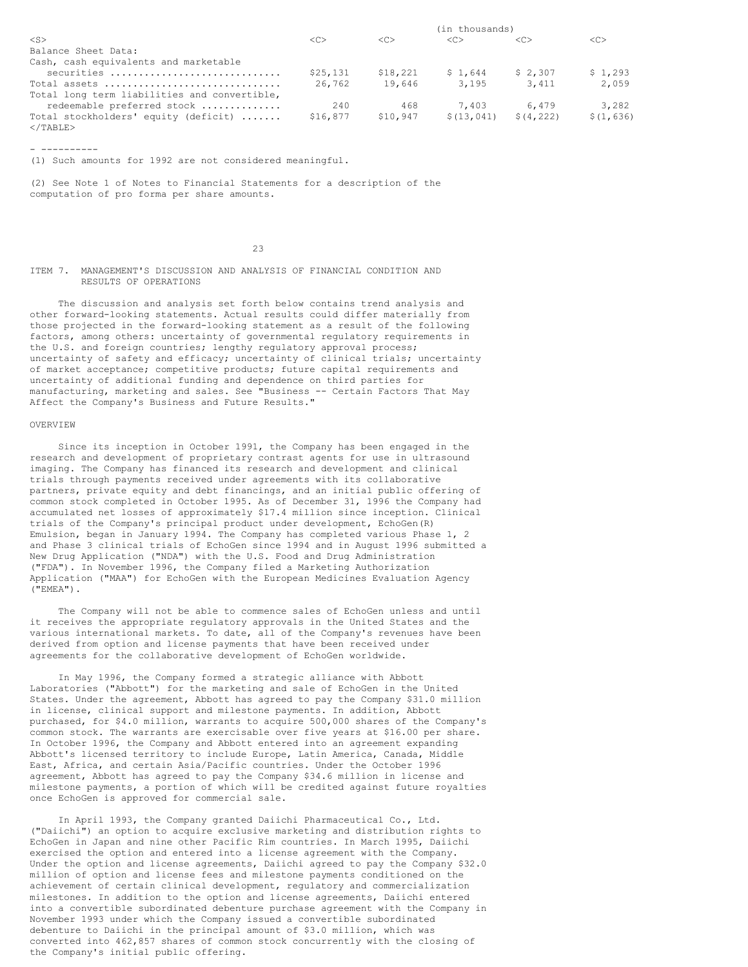|                                                           | (in thousands) |               |                     |               |               |
|-----------------------------------------------------------|----------------|---------------|---------------------|---------------|---------------|
| $<$ S $>$                                                 | < <sub></sub>  | < <sub></sub> | $\langle C \rangle$ | < <sub></sub> | < <sub></sub> |
| Balance Sheet Data:                                       |                |               |                     |               |               |
| Cash, cash equivalents and marketable                     |                |               |                     |               |               |
| securities                                                | \$25,131       | \$18,221      | \$1.644             | \$2,307       | \$1,293       |
| Total assets                                              | 26.762         | 19,646        | 3,195               | 3,411         | 2,059         |
| Total long term liabilities and convertible,              |                |               |                     |               |               |
| redeemable preferred stock                                | 240            | 468           | 7.403               | 6.479         | 3,282         |
| Total stockholders' equity (deficit)<br>$\langle$ /TABLE> | \$16,877       | \$10,947      | \$(13, 041)         | \$(4, 222)    | \$(1, 636)    |

- ----------

(1) Such amounts for 1992 are not considered meaningful.

(2) See Note 1 of Notes to Financial Statements for a description of the computation of pro forma per share amounts.

23

ITEM 7. MANAGEMENT'S DISCUSSION AND ANALYSIS OF FINANCIAL CONDITION AND RESULTS OF OPERATIONS

The discussion and analysis set forth below contains trend analysis and other forward-looking statements. Actual results could differ materially from those projected in the forward-looking statement as a result of the following factors, among others: uncertainty of governmental regulatory requirements in the U.S. and foreign countries; lengthy regulatory approval process; uncertainty of safety and efficacy; uncertainty of clinical trials; uncertainty of market acceptance; competitive products; future capital requirements and uncertainty of additional funding and dependence on third parties for manufacturing, marketing and sales. See "Business -- Certain Factors That May Affect the Company's Business and Future Results."

#### OVERVIEW

Since its inception in October 1991, the Company has been engaged in the research and development of proprietary contrast agents for use in ultrasound imaging. The Company has financed its research and development and clinical trials through payments received under agreements with its collaborative partners, private equity and debt financings, and an initial public offering of common stock completed in October 1995. As of December 31, 1996 the Company had accumulated net losses of approximately \$17.4 million since inception. Clinical trials of the Company's principal product under development, EchoGen(R) Emulsion, began in January 1994. The Company has completed various Phase 1, 2 and Phase 3 clinical trials of EchoGen since 1994 and in August 1996 submitted a New Drug Application ("NDA") with the U.S. Food and Drug Administration ("FDA"). In November 1996, the Company filed a Marketing Authorization Application ("MAA") for EchoGen with the European Medicines Evaluation Agency ("EMEA").

The Company will not be able to commence sales of EchoGen unless and until it receives the appropriate regulatory approvals in the United States and the various international markets. To date, all of the Company's revenues have been derived from option and license payments that have been received under agreements for the collaborative development of EchoGen worldwide.

In May 1996, the Company formed a strategic alliance with Abbott Laboratories ("Abbott") for the marketing and sale of EchoGen in the United States. Under the agreement, Abbott has agreed to pay the Company \$31.0 million in license, clinical support and milestone payments. In addition, Abbott purchased, for \$4.0 million, warrants to acquire 500,000 shares of the Company's common stock. The warrants are exercisable over five years at \$16.00 per share. In October 1996, the Company and Abbott entered into an agreement expanding Abbott's licensed territory to include Europe, Latin America, Canada, Middle East, Africa, and certain Asia/Pacific countries. Under the October 1996 agreement, Abbott has agreed to pay the Company \$34.6 million in license and milestone payments, a portion of which will be credited against future royalties once EchoGen is approved for commercial sale.

In April 1993, the Company granted Daiichi Pharmaceutical Co., Ltd. ("Daiichi") an option to acquire exclusive marketing and distribution rights to EchoGen in Japan and nine other Pacific Rim countries. In March 1995, Daiichi exercised the option and entered into a license agreement with the Company. Under the option and license agreements, Daiichi agreed to pay the Company \$32.0 million of option and license fees and milestone payments conditioned on the achievement of certain clinical development, regulatory and commercialization milestones. In addition to the option and license agreements, Daiichi entered into a convertible subordinated debenture purchase agreement with the Company in November 1993 under which the Company issued a convertible subordinated debenture to Daiichi in the principal amount of \$3.0 million, which was converted into 462,857 shares of common stock concurrently with the closing of the Company's initial public offering.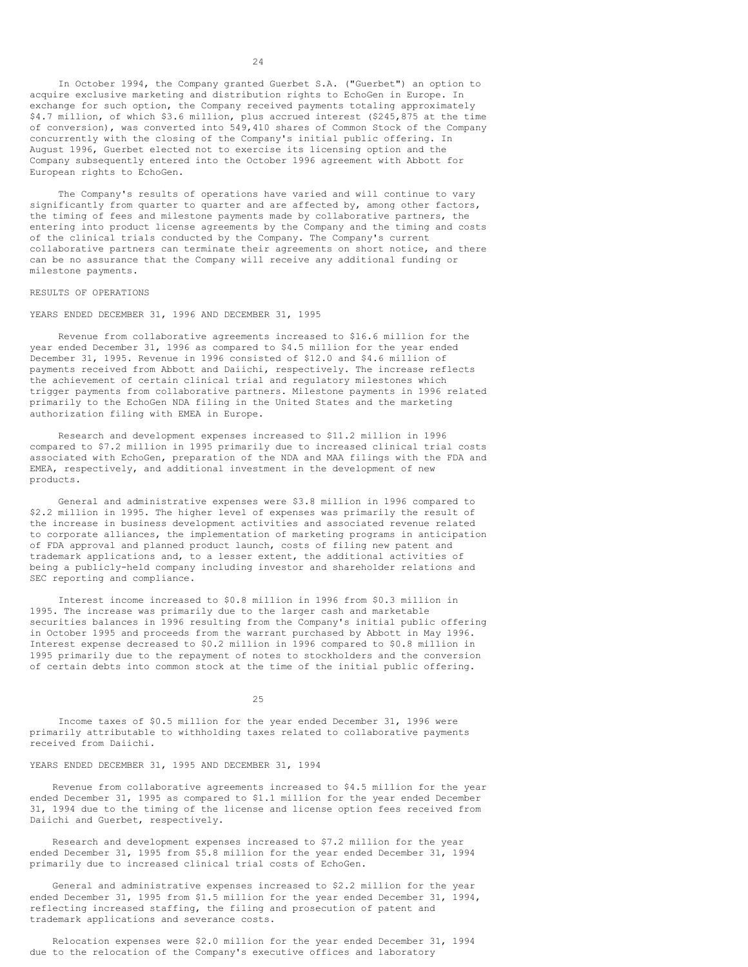In October 1994, the Company granted Guerbet S.A. ("Guerbet") an option to acquire exclusive marketing and distribution rights to EchoGen in Europe. In exchange for such option, the Company received payments totaling approximately \$4.7 million, of which \$3.6 million, plus accrued interest (\$245,875 at the time of conversion), was converted into 549,410 shares of Common Stock of the Company concurrently with the closing of the Company's initial public offering. In August 1996, Guerbet elected not to exercise its licensing option and the Company subsequently entered into the October 1996 agreement with Abbott for European rights to EchoGen.

The Company's results of operations have varied and will continue to vary significantly from quarter to quarter and are affected by, among other factors, the timing of fees and milestone payments made by collaborative partners, the entering into product license agreements by the Company and the timing and costs of the clinical trials conducted by the Company. The Company's current collaborative partners can terminate their agreements on short notice, and there can be no assurance that the Company will receive any additional funding or milestone payments.

#### RESULTS OF OPERATIONS

YEARS ENDED DECEMBER 31, 1996 AND DECEMBER 31, 1995

Revenue from collaborative agreements increased to \$16.6 million for the year ended December 31, 1996 as compared to \$4.5 million for the year ended December 31, 1995. Revenue in 1996 consisted of \$12.0 and \$4.6 million of payments received from Abbott and Daiichi, respectively. The increase reflects the achievement of certain clinical trial and regulatory milestones which trigger payments from collaborative partners. Milestone payments in 1996 related primarily to the EchoGen NDA filing in the United States and the marketing authorization filing with EMEA in Europe.

Research and development expenses increased to \$11.2 million in 1996 compared to \$7.2 million in 1995 primarily due to increased clinical trial costs associated with EchoGen, preparation of the NDA and MAA filings with the FDA and EMEA, respectively, and additional investment in the development of new products.

General and administrative expenses were \$3.8 million in 1996 compared to \$2.2 million in 1995. The higher level of expenses was primarily the result of the increase in business development activities and associated revenue related to corporate alliances, the implementation of marketing programs in anticipation of FDA approval and planned product launch, costs of filing new patent and trademark applications and, to a lesser extent, the additional activities of being a publicly-held company including investor and shareholder relations and SEC reporting and compliance.

Interest income increased to \$0.8 million in 1996 from \$0.3 million in 1995. The increase was primarily due to the larger cash and marketable securities balances in 1996 resulting from the Company's initial public offering in October 1995 and proceeds from the warrant purchased by Abbott in May 1996. Interest expense decreased to \$0.2 million in 1996 compared to \$0.8 million in 1995 primarily due to the repayment of notes to stockholders and the conversion of certain debts into common stock at the time of the initial public offering.

25

Income taxes of \$0.5 million for the year ended December 31, 1996 were primarily attributable to withholding taxes related to collaborative payments received from Daiichi.

# YEARS ENDED DECEMBER 31, 1995 AND DECEMBER 31, 1994

Revenue from collaborative agreements increased to \$4.5 million for the year ended December 31, 1995 as compared to \$1.1 million for the year ended December 31, 1994 due to the timing of the license and license option fees received from Daiichi and Guerbet, respectively.

Research and development expenses increased to \$7.2 million for the year ended December 31, 1995 from \$5.8 million for the year ended December 31, 1994 primarily due to increased clinical trial costs of EchoGen.

General and administrative expenses increased to \$2.2 million for the year ended December 31, 1995 from \$1.5 million for the year ended December 31, 1994, reflecting increased staffing, the filing and prosecution of patent and trademark applications and severance costs.

Relocation expenses were \$2.0 million for the year ended December 31, 1994 due to the relocation of the Company's executive offices and laboratory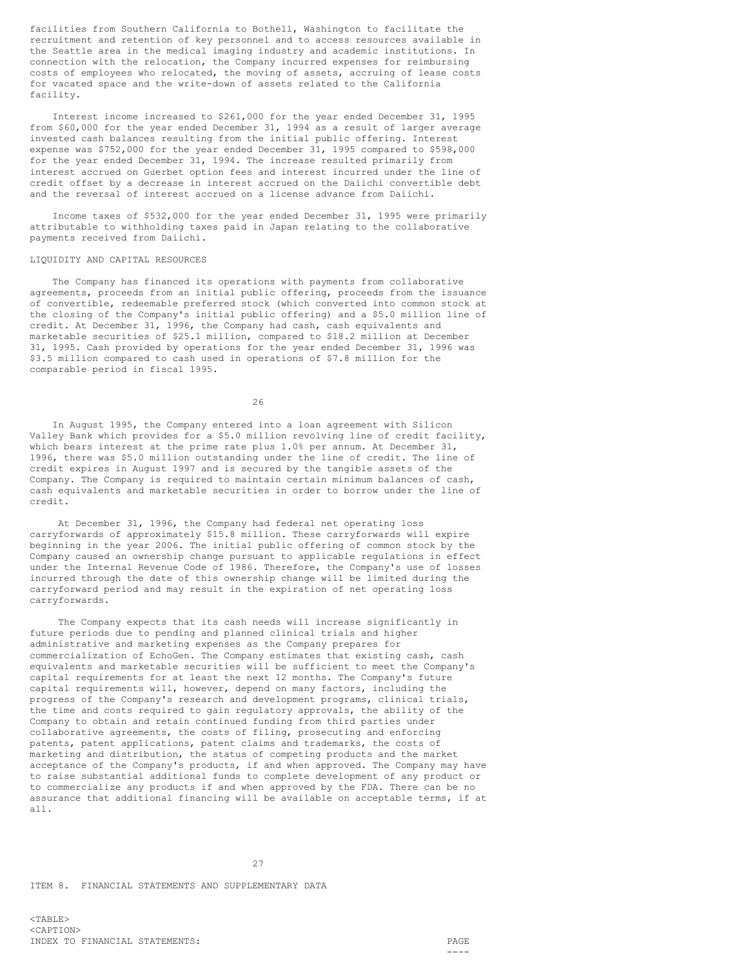facilities from Southern California to Bothell, Washington to facilitate the recruitment and retention of key personnel and to access resources available in the Seattle area in the medical imaging industry and academic institutions. In connection with the relocation, the Company incurred expenses for reimbursing costs of employees who relocated, the moving of assets, accruing of lease costs for vacated space and the write-down of assets related to the California facility.

Interest income increased to \$261,000 for the year ended December 31, 1995 from \$60,000 for the year ended December 31, 1994 as a result of larger average invested cash balances resulting from the initial public offering. Interest expense was \$752,000 for the year ended December 31, 1995 compared to \$598,000 for the year ended December 31, 1994. The increase resulted primarily from interest accrued on Guerbet option fees and interest incurred under the line of credit offset by a decrease in interest accrued on the Daiichi convertible debt and the reversal of interest accrued on a license advance from Daiichi.

Income taxes of \$532,000 for the year ended December 31, 1995 were primarily attributable to withholding taxes paid in Japan relating to the collaborative payments received from Daiichi.

#### LIQUIDITY AND CAPITAL RESOURCES

The Company has financed its operations with payments from collaborative agreements, proceeds from an initial public offering, proceeds from the issuance of convertible, redeemable preferred stock (which converted into common stock at the closing of the Company's initial public offering) and a \$5.0 million line of credit. At December 31, 1996, the Company had cash, cash equivalents and marketable securities of \$25.1 million, compared to \$18.2 million at December 31, 1995. Cash provided by operations for the year ended December 31, 1996 was \$3.5 million compared to cash used in operations of \$7.8 million for the comparable period in fiscal 1995.

26

In August 1995, the Company entered into a loan agreement with Silicon Valley Bank which provides for a \$5.0 million revolving line of credit facility, which bears interest at the prime rate plus 1.0% per annum. At December 31, 1996, there was \$5.0 million outstanding under the line of credit. The line of credit expires in August 1997 and is secured by the tangible assets of the Company. The Company is required to maintain certain minimum balances of cash, cash equivalents and marketable securities in order to borrow under the line of credit.

At December 31, 1996, the Company had federal net operating loss carryforwards of approximately \$15.8 million. These carryforwards will expire beginning in the year 2006. The initial public offering of common stock by the Company caused an ownership change pursuant to applicable regulations in effect under the Internal Revenue Code of 1986. Therefore, the Company's use of losses incurred through the date of this ownership change will be limited during the carryforward period and may result in the expiration of net operating loss carryforwards.

The Company expects that its cash needs will increase significantly in future periods due to pending and planned clinical trials and higher administrative and marketing expenses as the Company prepares for commercialization of EchoGen. The Company estimates that existing cash, cash equivalents and marketable securities will be sufficient to meet the Company's capital requirements for at least the next 12 months. The Company's future capital requirements will, however, depend on many factors, including the progress of the Company's research and development programs, clinical trials, the time and costs required to gain regulatory approvals, the ability of the Company to obtain and retain continued funding from third parties under collaborative agreements, the costs of filing, prosecuting and enforcing patents, patent applications, patent claims and trademarks, the costs of marketing and distribution, the status of competing products and the market acceptance of the Company's products, if and when approved. The Company may have to raise substantial additional funds to complete development of any product or to commercialize any products if and when approved by the FDA. There can be no assurance that additional financing will be available on acceptable terms, if at all.

27

ITEM 8. FINANCIAL STATEMENTS AND SUPPLEMENTARY DATA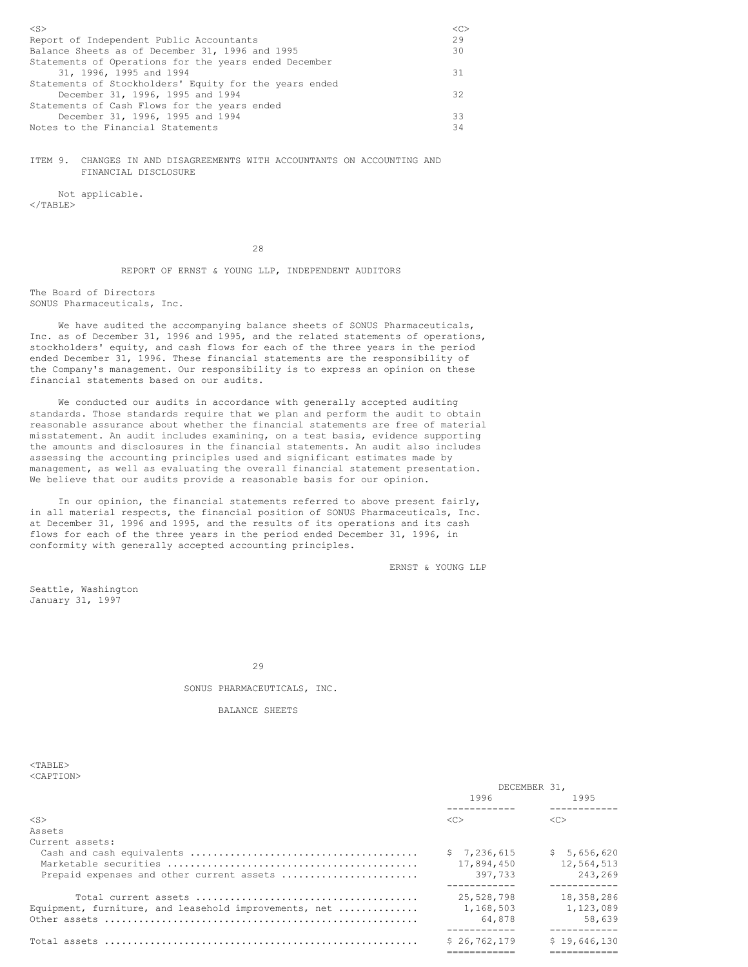| $<$ S $>$<br>$\langle C \rangle$                       |
|--------------------------------------------------------|
| 29<br>Report of Independent Public Accountants         |
| Balance Sheets as of December 31, 1996 and 1995<br>30  |
| Statements of Operations for the years ended December  |
| 31, 1996, 1995 and 1994<br>31                          |
| Statements of Stockholders' Equity for the years ended |
| December 31, 1996, 1995 and 1994<br>32                 |
| Statements of Cash Flows for the years ended           |
| 33<br>December 31, 1996, 1995 and 1994                 |
| Notes to the Financial Statements<br>34                |
|                                                        |

ITEM 9. CHANGES IN AND DISAGREEMENTS WITH ACCOUNTANTS ON ACCOUNTING AND FINANCIAL DISCLOSURE

Not applicable.  $\langle$ /TABLE>

28

REPORT OF ERNST & YOUNG LLP, INDEPENDENT AUDITORS

The Board of Directors SONUS Pharmaceuticals, Inc.

We have audited the accompanying balance sheets of SONUS Pharmaceuticals, Inc. as of December 31, 1996 and 1995, and the related statements of operations, stockholders' equity, and cash flows for each of the three years in the period ended December 31, 1996. These financial statements are the responsibility of the Company's management. Our responsibility is to express an opinion on these financial statements based on our audits.

We conducted our audits in accordance with generally accepted auditing standards. Those standards require that we plan and perform the audit to obtain reasonable assurance about whether the financial statements are free of material misstatement. An audit includes examining, on a test basis, evidence supporting the amounts and disclosures in the financial statements. An audit also includes assessing the accounting principles used and significant estimates made by management, as well as evaluating the overall financial statement presentation. We believe that our audits provide a reasonable basis for our opinion.

In our opinion, the financial statements referred to above present fairly, in all material respects, the financial position of SONUS Pharmaceuticals, Inc. at December 31, 1996 and 1995, and the results of its operations and its cash flows for each of the three years in the period ended December 31, 1996, in conformity with generally accepted accounting principles.

ERNST & YOUNG LLP

Seattle, Washington January 31, 1997

29

SONUS PHARMACEUTICALS, INC.

BALANCE SHEETS

| $<$ TABLE><br>$<$ CAPTION $>$                         |              |                       |
|-------------------------------------------------------|--------------|-----------------------|
|                                                       |              | DECEMBER 31,          |
|                                                       | 1996         | 1995                  |
| $<$ S $>$                                             | <<           | <<                    |
| Assets                                                |              |                       |
| Current assets:                                       |              |                       |
|                                                       | \$7.236.615  | \$5,656,620           |
|                                                       | 17,894,450   | 12,564,513            |
| Prepaid expenses and other current assets             | 397,733      | 243,269<br>---------- |
|                                                       | 25,528,798   | 18,358,286            |
| Equipment, furniture, and leasehold improvements, net | 1,168,503    | 1,123,089             |
|                                                       | 64,878       | 58.639<br>----------  |
| Total assets                                          | \$26.762.179 | \$19,646,130          |
|                                                       |              |                       |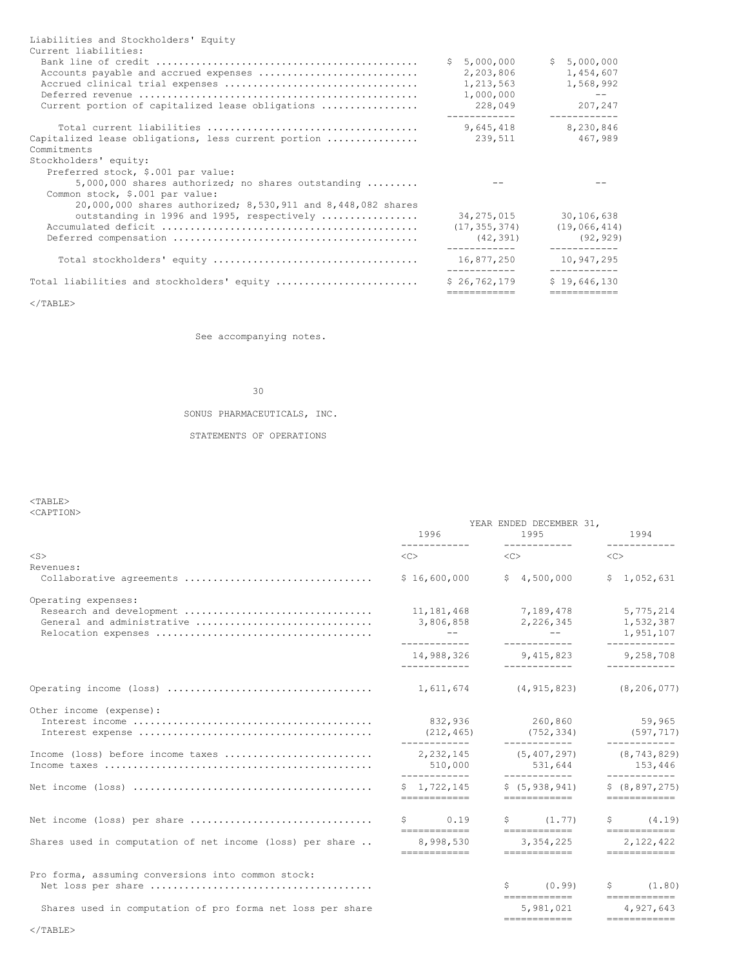| Liabilities and Stockholders' Equity<br>Current liabilities:<br>Accounts payable and accrued expenses<br>Current portion of capitalized lease obligations | \$5,000,000<br>2,203,806<br>1,213,563<br>1,000,000<br>228,049 | \$5,000,000<br>1,454,607<br>1,568,992<br>$\qquad \qquad -$<br>207,247<br>------------ |
|-----------------------------------------------------------------------------------------------------------------------------------------------------------|---------------------------------------------------------------|---------------------------------------------------------------------------------------|
| Capitalized lease obligations, less current portion<br>Commitments<br>Stockholders' equity:                                                               | 9,645,418<br>239,511                                          | 8,230,846<br>467,989                                                                  |
| Preferred stock, \$.001 par value:<br>$5,000,000$ shares authorized; no shares outstanding $\ldots\ldots\ldots$<br>Common stock, \$.001 par value:        |                                                               |                                                                                       |
| 20,000,000 shares authorized; 8,530,911 and 8,448,082 shares<br>outstanding in 1996 and 1995, respectively                                                | 34,275,015<br>(17, 355, 374)<br>(42, 391)                     | 30,106,638<br>(19,066,414)<br>(92, 929)                                               |
|                                                                                                                                                           | 16,877,250                                                    | 10,947,295                                                                            |
| Total liabilities and stockholders' equity                                                                                                                | \$26.762.179<br>============                                  | \$19.646.130<br>------------                                                          |
|                                                                                                                                                           |                                                               |                                                                                       |

 $\rm <$  /TABLE>

See accompanying notes.

# 30

SONUS PHARMACEUTICALS, INC.

STATEMENTS OF OPERATIONS

## <TABLE> <CAPTION>

|                                                                               | 1996<br>-------------                                               | YEAR ENDED DECEMBER 31,<br>1995                                                                                                                                                                                                          | 1994<br>------------                                |
|-------------------------------------------------------------------------------|---------------------------------------------------------------------|------------------------------------------------------------------------------------------------------------------------------------------------------------------------------------------------------------------------------------------|-----------------------------------------------------|
| $<$ S $>$                                                                     | $\langle C \rangle$                                                 | $\langle C \rangle$                                                                                                                                                                                                                      | <<                                                  |
| Revenues:<br>Collaborative agreements                                         | \$16,600,000                                                        | \$4,500,000                                                                                                                                                                                                                              | \$1,052,631                                         |
| Operating expenses:<br>Research and development<br>General and administrative | 11, 181, 468<br>3,806,858<br>$\sim$ $\sim$ $  \sim$<br>------------ | 7,189,478<br>2,226,345<br>$- -$<br>------------                                                                                                                                                                                          | 5,775,214<br>1,532,387<br>1,951,107<br>------------ |
|                                                                               | 14,988,326<br>------------                                          | 9,415,823<br>____________                                                                                                                                                                                                                | 9,258,708<br>------------                           |
|                                                                               | 1,611,674                                                           | (4, 915, 823)                                                                                                                                                                                                                            | (8, 206, 077)                                       |
| Other income (expense):                                                       | 832,936<br>(212, 465)<br>------------                               | 260,860<br>(752, 334)<br>------------                                                                                                                                                                                                    | 59,965<br>(597, 717)<br>------------                |
| Income (loss) before income taxes                                             | 2,232,145<br>510,000<br>------------                                | (5, 407, 297)<br>531,644<br>____________                                                                                                                                                                                                 | (8, 743, 829)<br>153,446<br>------------            |
|                                                                               | \$1.722.145<br>============                                         | \$(5, 938, 941)<br>============                                                                                                                                                                                                          | \$ (8, 897, 275)<br>============                    |
| Net income (loss) per share                                                   | $S \qquad \qquad$<br>0.19<br>============                           | $\sin(1.77)$<br>------------                                                                                                                                                                                                             | $\sin(4.19)$<br>============                        |
| Shares used in computation of net income (loss) per share                     | 8,998,530<br>============                                           | 3,354,225<br>============                                                                                                                                                                                                                | 2,122,422<br>============                           |
| Pro forma, assuming conversions into common stock:                            |                                                                     | (0.99)<br>S and the set of the set of the set of the set of the set of the set of the set of the set of the set of the set of the set of the set of the set of the set of the set of the set of the set of the set of the set of the set | $\sin(1.80)$                                        |
| Shares used in computation of pro forma net loss per share                    |                                                                     | ============<br>5,981,021<br>------------                                                                                                                                                                                                | $=$ = = = = = = = = = = = =<br>4.927.643            |
| $\langle$ /TABLE>                                                             |                                                                     |                                                                                                                                                                                                                                          |                                                     |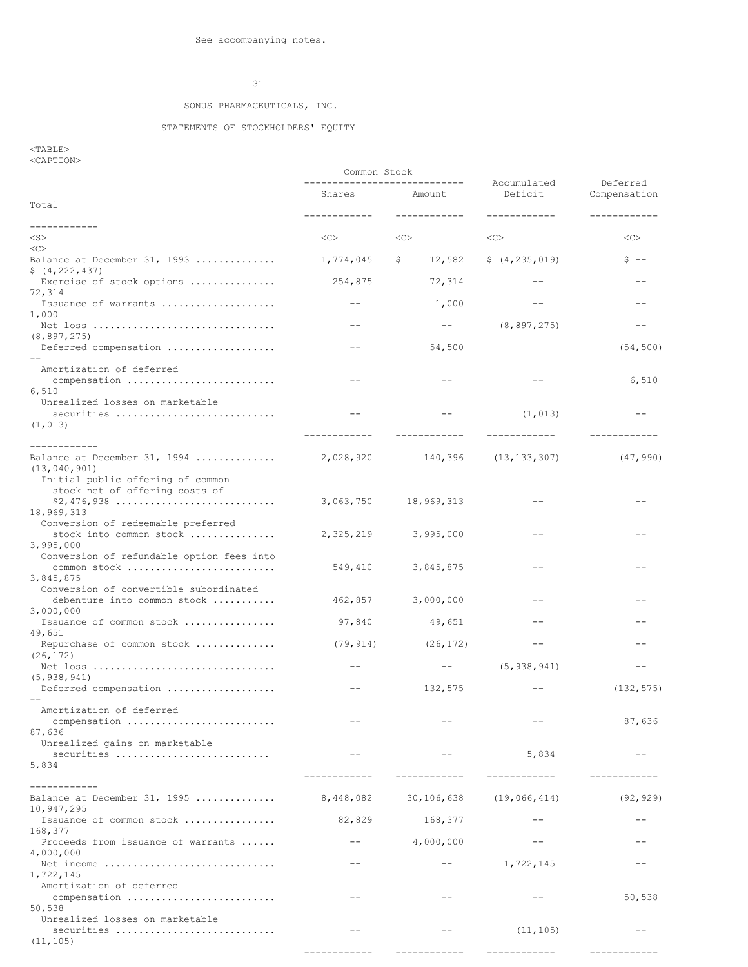## SONUS PHARMACEUTICALS, INC.

#### STATEMENTS OF STOCKHOLDERS' EQUITY

 $<$ TABLE> <CAPTION>

---------------------------- Accumulated Deferred Shares Amount Total ------------ ------------ ------------ ------------ ------------ <S> <C> <C> <C> <C>  $<$ Balance at December 31, 1993 ............... 1,774,045 \$ 12,582 \$ (4,235,019) \$ --\$ (4,222,437) Exercise of stock options ............... 254,875 72,314 -- -- 72,314 Issuance of warrants .................... -- 1,000 -- -- 1,000 Net loss ................................ -- -- (8,897,275) -- (8,897,275) Deferred compensation ................... -- 54,500 (54,500) -- Amortization of deferred compensation .......................... -- -- -- 6,510 6,510 Unrealized losses on marketable securities ............................ -- -- (1,013) -- (1,013) ------------ ------------ ------------ ------------ ------------ Balance at December 31, 1994 .............. 2,028,920 140,396 (13,133,307) (47,990) (13,040,901) Initial public offering of common stock net of offering costs of \$2,476,938 ............................ 3,063,750 18,969,313 -- -- 18,969,313 Conversion of redeemable preferred stock into common stock ............... 2,325,219 3,995,000 -- -- 3,995,000 Conversion of refundable option fees into common stock .......................... 549,410 3,845,875 -- -- 3,845,875 Conversion of convertible subordinated debenture into common stock ........... 462,857 3,000,000 -- -- 3,000,000 Issuance of common stock ................ 97,840 49,651 -- -- 49,651 Repurchase of common stock ............... (79,914) (26,172) -- -- -- -- -- -- --(26,172) Net loss ................................ -- -- (5,938,941) -- (5,938,941) Deferred compensation ................... -- 132,575 -- (132,575) -- Amortization of deferred compensation .......................... -- -- -- 87,636 87,636 Unrealized gains on marketable securities ........................... -- -- 5,834 -- 5,834 ------------ ------------ ------------ ------------ ------------ Balance at December 31, 1995 .............. 8,448,082 30,106,638 (19,066,414) (92,929) 10,947,295 Issuance of common stock ................ 82,829 168,377 -- -- 168,377 Proceeds from issuance of warrants  $\dots$ .....  $-$  4,000,000 -- - - - - - - - - -4,000,000 Net income .............................. -- -- 1,722,145 -- 1,722,145 Amortization of deferred compensation .......................... -- -- -- 50,538 50,538 Unrealized losses on marketable securities ............................ -- -- (11,105) -- (11,105)

Common Stock

------------ ------------ ------------ ------------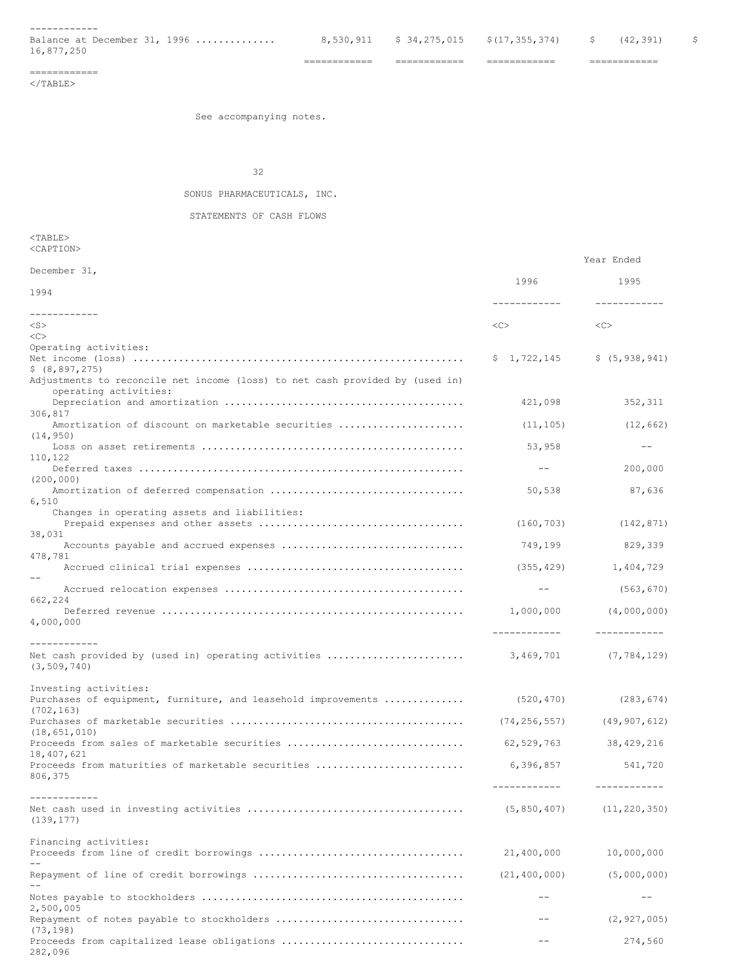------------<br>Balance at December 31, 1996 ...............

16,877,250

 $8, 530, 911$  \$  $34, 275, 015$  \$(17,355,374) \$ (42,391) \$

============ ============ ============ ============

# ============

 $<$ /TABLE $>$ 

See accompanying notes.

32

## SONUS PHARMACEUTICALS, INC.

STATEMENTS OF CASH FLOWS

<TABLE> <CAPTION>

282,096

|                                                                                                  |                               | Year Ended       |
|--------------------------------------------------------------------------------------------------|-------------------------------|------------------|
| December 31,                                                                                     | 1996                          | 1995             |
| 1994                                                                                             | ------------                  | ------------     |
| ------------<br>$<$ S $>$                                                                        | <<>                           | <<               |
| <<                                                                                               |                               |                  |
| Operating activities:                                                                            | \$1,722,145                   | \$ (5, 938, 941) |
| \$ (8, 897, 275)<br>Adjustments to reconcile net income (loss) to net cash provided by (used in) |                               |                  |
| operating activities:                                                                            | 421,098                       | 352,311          |
| 306,817<br>Amortization of discount on marketable securities                                     | (11, 105)                     | (12, 662)        |
| (14, 950)                                                                                        | 53,958                        | $- -$            |
| 110,122                                                                                          | $\sim$ $ -$                   | 200,000          |
| (200, 000)                                                                                       | 50,538                        | 87,636           |
| 6,510<br>Changes in operating assets and liabilities:                                            |                               |                  |
| 38,031                                                                                           | (160, 703)                    | (142, 871)       |
| 478,781                                                                                          | 749,199                       | 829,339          |
|                                                                                                  |                               | 1,404,729        |
| 662,224                                                                                          | $---$                         | (563, 670)       |
| 4,000,000                                                                                        | 1,000,000                     | (4,000,000)      |
| ------------                                                                                     | -------------                 | ------------     |
| (3, 509, 740)                                                                                    |                               | (7, 784, 129)    |
| Investing activities:<br>Purchases of equipment, furniture, and leasehold improvements           | (520, 470)                    | (283, 674)       |
| (702, 163)                                                                                       | $(74, 256, 557)$ (49,907,612) |                  |
| (18, 651, 010)<br>Proceeds from sales of marketable securities                                   | 62,529,763                    | 38,429,216       |
| 18,407,621<br>Proceeds from maturities of marketable securities<br>806,375                       | 6,396,857                     | 541,720          |
|                                                                                                  | -------------                 | ------------     |
| ------------<br>(139, 177)                                                                       | (5, 850, 407)                 | (11, 220, 350)   |
| Financing activities:                                                                            |                               |                  |
|                                                                                                  | 21,400,000                    | 10,000,000       |
|                                                                                                  | (21, 400, 000)                | (5,000,000)      |
| 2,500,005                                                                                        |                               | $- -$            |
| Repayment of notes payable to stockholders<br>(73, 198)                                          | $- -$                         | (2, 927, 005)    |

Proceeds from capitalized lease obligations ................................ -- 274,560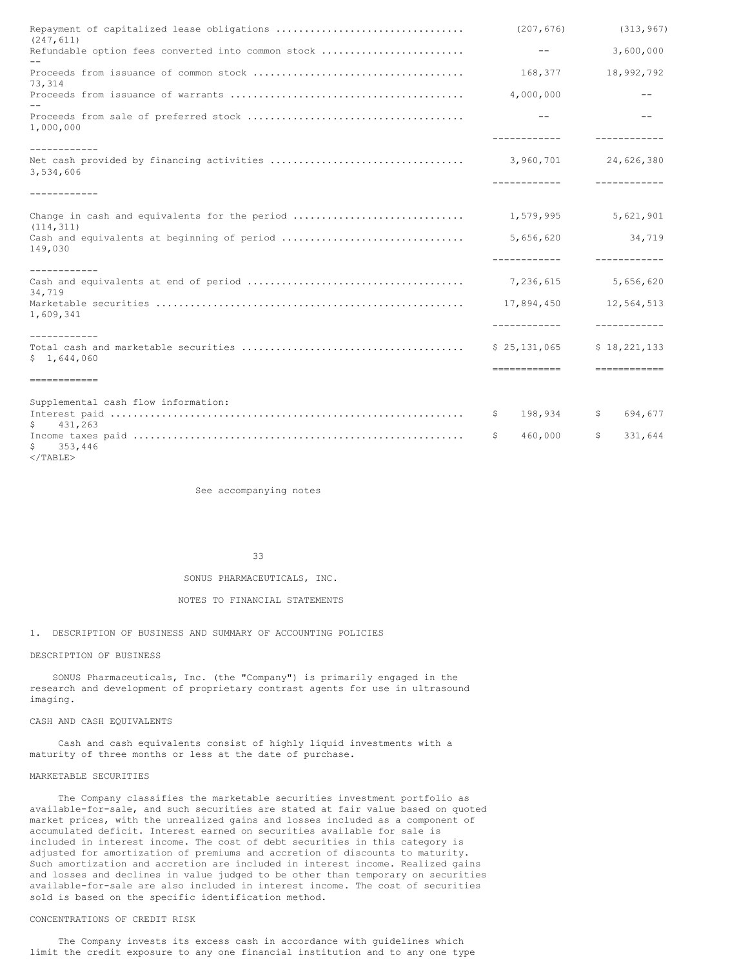| (247, 611)                                                  | (207, 676)                 | (313, 967)                                                                                                                                                                                                                                                                                                                                                                                                                                                                                             |
|-------------------------------------------------------------|----------------------------|--------------------------------------------------------------------------------------------------------------------------------------------------------------------------------------------------------------------------------------------------------------------------------------------------------------------------------------------------------------------------------------------------------------------------------------------------------------------------------------------------------|
| Refundable option fees converted into common stock          | $- -$                      | 3,600,000                                                                                                                                                                                                                                                                                                                                                                                                                                                                                              |
| 73,314                                                      | 168,377                    | 18,992,792                                                                                                                                                                                                                                                                                                                                                                                                                                                                                             |
|                                                             | 4,000,000                  | $ -$                                                                                                                                                                                                                                                                                                                                                                                                                                                                                                   |
| 1,000,000                                                   | $ -$<br>------------       | $ -$                                                                                                                                                                                                                                                                                                                                                                                                                                                                                                   |
| ------------<br>3,534,606                                   | 3,960,701<br>____________  | 24,626,380<br>____________                                                                                                                                                                                                                                                                                                                                                                                                                                                                             |
| ------------                                                |                            |                                                                                                                                                                                                                                                                                                                                                                                                                                                                                                        |
| Change in cash and equivalents for the period<br>(114, 311) | 1,579,995                  | 5,621,901                                                                                                                                                                                                                                                                                                                                                                                                                                                                                              |
| Cash and equivalents at beginning of period<br>149,030      | 5,656,620                  | 34,719                                                                                                                                                                                                                                                                                                                                                                                                                                                                                                 |
| ------------                                                |                            |                                                                                                                                                                                                                                                                                                                                                                                                                                                                                                        |
| 34,719                                                      |                            | 5,656,620                                                                                                                                                                                                                                                                                                                                                                                                                                                                                              |
| 1,609,341                                                   | 17,894,450<br>____________ | 12,564,513<br>------------                                                                                                                                                                                                                                                                                                                                                                                                                                                                             |
| ------------<br>\$1,644,060                                 | \$25,131,065               | \$18,221,133<br>$\begin{array}{cccccccccccccc} \multicolumn{2}{c}{} & \multicolumn{2}{c}{} & \multicolumn{2}{c}{} & \multicolumn{2}{c}{} & \multicolumn{2}{c}{} & \multicolumn{2}{c}{} & \multicolumn{2}{c}{} & \multicolumn{2}{c}{} & \multicolumn{2}{c}{} & \multicolumn{2}{c}{} & \multicolumn{2}{c}{} & \multicolumn{2}{c}{} & \multicolumn{2}{c}{} & \multicolumn{2}{c}{} & \multicolumn{2}{c}{} & \multicolumn{2}{c}{} & \multicolumn{2}{c}{} & \multicolumn{2}{c}{} & \multicolumn{2}{c}{} & \$ |
| =============                                               |                            |                                                                                                                                                                                                                                                                                                                                                                                                                                                                                                        |
| Supplemental cash flow information:                         |                            |                                                                                                                                                                                                                                                                                                                                                                                                                                                                                                        |
| 431,263<br>$\mathsf{S}^-$                                   | 198,934<br>Ş.              | \$<br>694,677                                                                                                                                                                                                                                                                                                                                                                                                                                                                                          |
| $\mathsf{S}$<br>353,446                                     | 460,000<br>\$              | \$<br>331,644                                                                                                                                                                                                                                                                                                                                                                                                                                                                                          |

 $<$ /TABLE>

See accompanying notes

33

SONUS PHARMACEUTICALS, INC.

## NOTES TO FINANCIAL STATEMENTS

# 1. DESCRIPTION OF BUSINESS AND SUMMARY OF ACCOUNTING POLICIES

#### DESCRIPTION OF BUSINESS

SONUS Pharmaceuticals, Inc. (the "Company") is primarily engaged in the research and development of proprietary contrast agents for use in ultrasound imaging.

#### CASH AND CASH EQUIVALENTS

Cash and cash equivalents consist of highly liquid investments with a maturity of three months or less at the date of purchase.

#### MARKETABLE SECURITIES

The Company classifies the marketable securities investment portfolio as available-for-sale, and such securities are stated at fair value based on quoted market prices, with the unrealized gains and losses included as a component of accumulated deficit. Interest earned on securities available for sale is included in interest income. The cost of debt securities in this category is adjusted for amortization of premiums and accretion of discounts to maturity. Such amortization and accretion are included in interest income. Realized gains and losses and declines in value judged to be other than temporary on securities available-for-sale are also included in interest income. The cost of securities sold is based on the specific identification method.

## CONCENTRATIONS OF CREDIT RISK

The Company invests its excess cash in accordance with guidelines which limit the credit exposure to any one financial institution and to any one type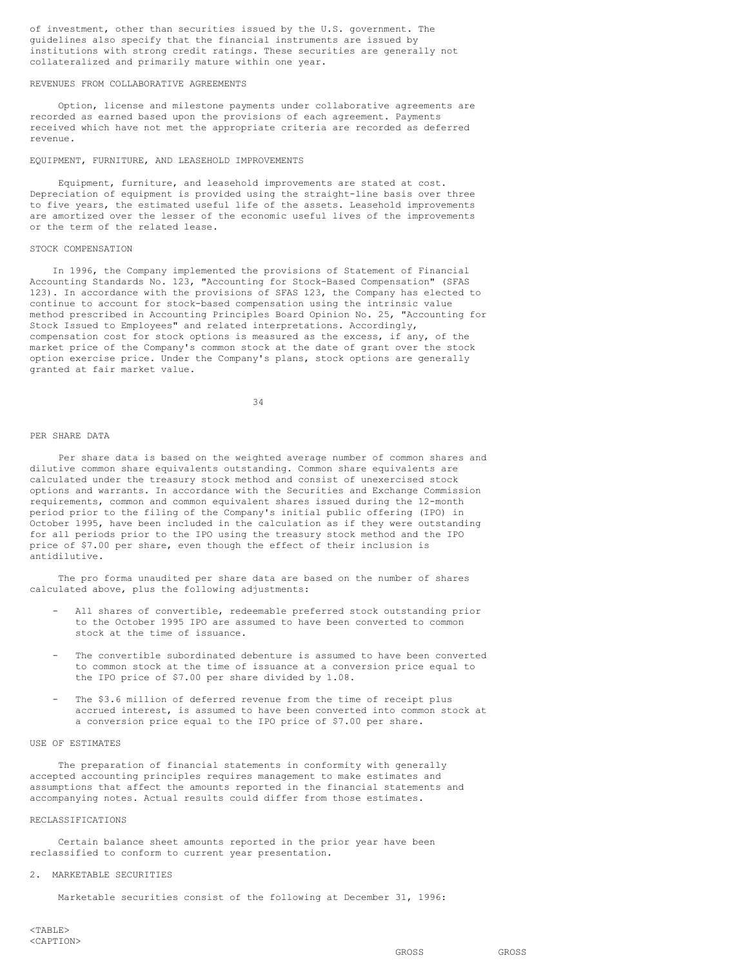of investment, other than securities issued by the U.S. government. The guidelines also specify that the financial instruments are issued by institutions with strong credit ratings. These securities are generally not collateralized and primarily mature within one year.

## REVENUES FROM COLLABORATIVE AGREEMENTS

Option, license and milestone payments under collaborative agreements are recorded as earned based upon the provisions of each agreement. Payments received which have not met the appropriate criteria are recorded as deferred revenue.

#### EQUIPMENT, FURNITURE, AND LEASEHOLD IMPROVEMENTS

Equipment, furniture, and leasehold improvements are stated at cost. Depreciation of equipment is provided using the straight-line basis over three to five years, the estimated useful life of the assets. Leasehold improvements are amortized over the lesser of the economic useful lives of the improvements or the term of the related lease.

#### STOCK COMPENSATION

In 1996, the Company implemented the provisions of Statement of Financial Accounting Standards No. 123, "Accounting for Stock-Based Compensation" (SFAS 123). In accordance with the provisions of SFAS 123, the Company has elected to continue to account for stock-based compensation using the intrinsic value method prescribed in Accounting Principles Board Opinion No. 25, "Accounting for Stock Issued to Employees" and related interpretations. Accordingly, compensation cost for stock options is measured as the excess, if any, of the market price of the Company's common stock at the date of grant over the stock option exercise price. Under the Company's plans, stock options are generally granted at fair market value.

34

#### PER SHARE DATA

Per share data is based on the weighted average number of common shares and dilutive common share equivalents outstanding. Common share equivalents are calculated under the treasury stock method and consist of unexercised stock options and warrants. In accordance with the Securities and Exchange Commission requirements, common and common equivalent shares issued during the 12-month period prior to the filing of the Company's initial public offering (IPO) in October 1995, have been included in the calculation as if they were outstanding for all periods prior to the IPO using the treasury stock method and the IPO price of \$7.00 per share, even though the effect of their inclusion is antidilutive.

The pro forma unaudited per share data are based on the number of shares calculated above, plus the following adjustments:

- All shares of convertible, redeemable preferred stock outstanding prior to the October 1995 IPO are assumed to have been converted to common stock at the time of issuance.
- The convertible subordinated debenture is assumed to have been converted to common stock at the time of issuance at a conversion price equal to the IPO price of \$7.00 per share divided by 1.08.
- The \$3.6 million of deferred revenue from the time of receipt plus accrued interest, is assumed to have been converted into common stock at a conversion price equal to the IPO price of \$7.00 per share.

#### USE OF ESTIMATES

The preparation of financial statements in conformity with generally accepted accounting principles requires management to make estimates and assumptions that affect the amounts reported in the financial statements and accompanying notes. Actual results could differ from those estimates.

## RECLASSIFICATIONS

Certain balance sheet amounts reported in the prior year have been reclassified to conform to current year presentation.

#### 2. MARKETABLE SECURITIES

Marketable securities consist of the following at December 31, 1996: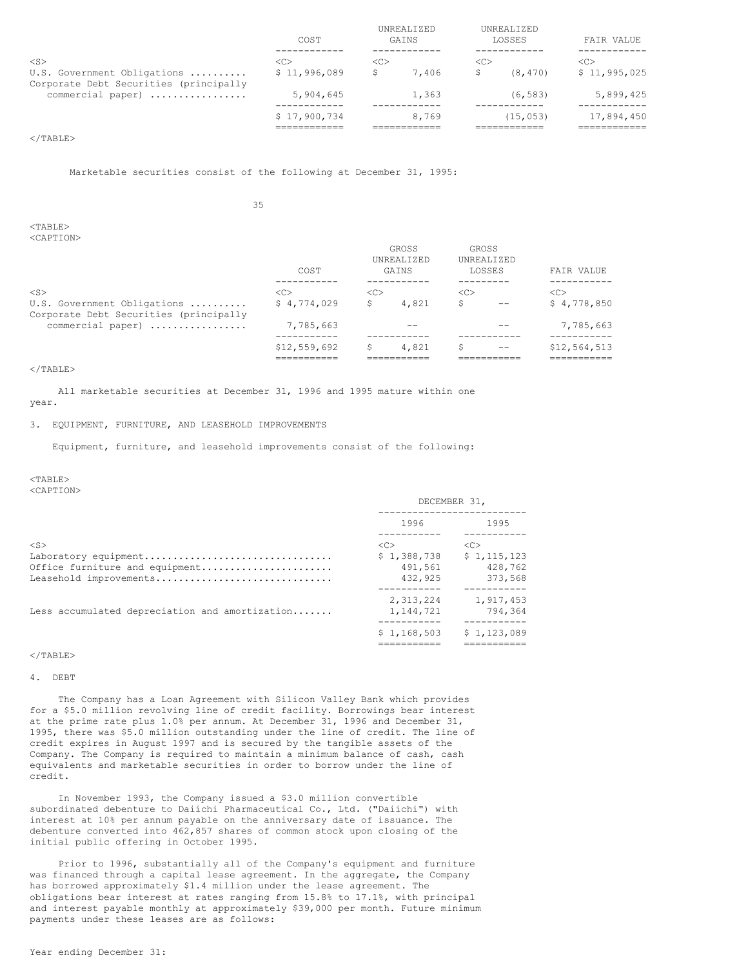|                                                                       | COST          | UNREALIZED<br>GAINS |       |    | UNREALIZED<br>LOSSES | FAIR VALUE    |
|-----------------------------------------------------------------------|---------------|---------------------|-------|----|----------------------|---------------|
| $<$ S $>$                                                             | < <sub></sub> | < <sub></sub>       |       | << |                      | < <sub></sub> |
| U.S. Government Obligations<br>Corporate Debt Securities (principally | \$11,996,089  |                     | 7,406 |    | (8, 470)             | \$11,995,025  |
| commercial paper)                                                     | 5,904,645     |                     | 1,363 |    | (6.583)              | 5,899,425     |
|                                                                       | \$17,900,734  |                     | 8,769 |    | (15, 053)            | 17,894,450    |
|                                                                       |               |                     |       |    |                      |               |

## $<$ /TABLE>

Marketable securities consist of the following at December 31, 1995:

35

# $<$ TABLE>

<CAPTION>

|                                                                       | COST          | せいいっさ<br>UNREALIZED<br>GAINS |       | 17N1.3.3<br>UNREALIZED<br>LOSSES |       | FAIR VALUE   |  |
|-----------------------------------------------------------------------|---------------|------------------------------|-------|----------------------------------|-------|--------------|--|
| $<$ S $>$                                                             | < <sub></sub> | <<                           |       | <<                               |       | <<           |  |
| U.S. Government Obligations<br>Corporate Debt Securities (principally | \$4,774,029   | S                            | 4,821 |                                  | $- -$ | \$4,778,850  |  |
| commercial paper)                                                     | 7,785,663     |                              |       |                                  |       | 7,785,663    |  |
|                                                                       | \$12,559,692  |                              | 4,821 |                                  | $- -$ | \$12,564,513 |  |
|                                                                       |               |                              |       |                                  |       |              |  |

GROSS GROSS

#### $\langle$ /TABLE>

All marketable securities at December 31, 1996 and 1995 mature within one year.

## 3. EQUIPMENT, FURNITURE, AND LEASEHOLD IMPROVEMENTS

Equipment, furniture, and leasehold improvements consist of the following:

#### <TABLE>

<CAPTION>

|                                                |                           | DECEMBER 31.              |
|------------------------------------------------|---------------------------|---------------------------|
|                                                | 1996                      | 1995                      |
| $<$ S $>$                                      | < <sub></sub>             | < <sub></sub>             |
| Laboratory equipment                           | \$1,388,738               | \$1,115,123               |
| Office furniture and equipment                 | 491.561                   | 428,762                   |
| Leasehold improvements                         | 432,925                   | 373,568                   |
|                                                | 2,313,224                 | 1,917,453                 |
| Less accumulated depreciation and amortization | 1,144,721                 | 794,364                   |
|                                                | ----------<br>\$1,168,503 | ----------<br>\$1,123,089 |
|                                                |                           |                           |
| $\langle$ /TABLE>                              |                           |                           |

4. DEBT

The Company has a Loan Agreement with Silicon Valley Bank which provides for a \$5.0 million revolving line of credit facility. Borrowings bear interest at the prime rate plus 1.0% per annum. At December 31, 1996 and December 31, 1995, there was \$5.0 million outstanding under the line of credit. The line of credit expires in August 1997 and is secured by the tangible assets of the Company. The Company is required to maintain a minimum balance of cash, cash equivalents and marketable securities in order to borrow under the line of credit.

In November 1993, the Company issued a \$3.0 million convertible subordinated debenture to Daiichi Pharmaceutical Co., Ltd. ("Daiichi") with interest at 10% per annum payable on the anniversary date of issuance. The debenture converted into 462,857 shares of common stock upon closing of the initial public offering in October 1995.

Prior to 1996, substantially all of the Company's equipment and furniture was financed through a capital lease agreement. In the aggregate, the Company has borrowed approximately \$1.4 million under the lease agreement. The obligations bear interest at rates ranging from 15.8% to 17.1%, with principal and interest payable monthly at approximately \$39,000 per month. Future minimum payments under these leases are as follows: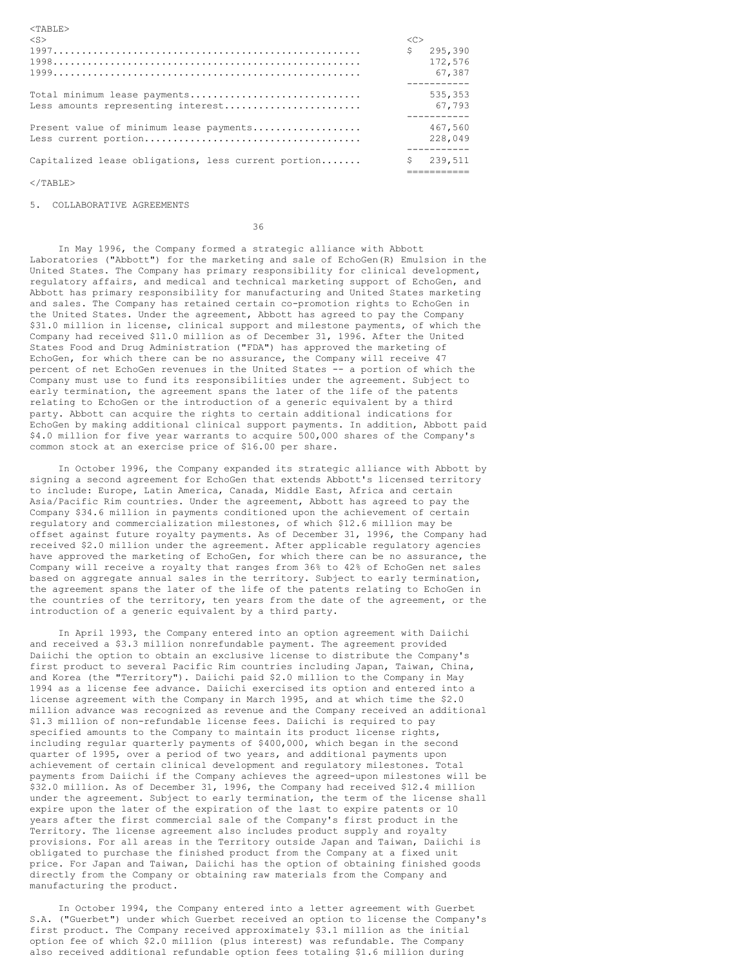| $<$ S>                                                             | < <sub><br/>\$</sub> | 295,390<br>172,576<br>67.387 |
|--------------------------------------------------------------------|----------------------|------------------------------|
| Total minimum lease payments<br>Less amounts representing interest |                      | 535,353<br>67,793            |
| Present value of minimum lease payments                            |                      | 467.560<br>228,049           |
| Capitalized lease obligations, less current portion                | S.                   | 239,511                      |

 $<$ /TABLE>

<TABLE>

5. COLLABORATIVE AGREEMENTS

36

In May 1996, the Company formed a strategic alliance with Abbott Laboratories ("Abbott") for the marketing and sale of EchoGen(R) Emulsion in the United States. The Company has primary responsibility for clinical development, regulatory affairs, and medical and technical marketing support of EchoGen, and Abbott has primary responsibility for manufacturing and United States marketing and sales. The Company has retained certain co-promotion rights to EchoGen in the United States. Under the agreement, Abbott has agreed to pay the Company \$31.0 million in license, clinical support and milestone payments, of which the Company had received \$11.0 million as of December 31, 1996. After the United States Food and Drug Administration ("FDA") has approved the marketing of EchoGen, for which there can be no assurance, the Company will receive 47 percent of net EchoGen revenues in the United States -- a portion of which the Company must use to fund its responsibilities under the agreement. Subject to early termination, the agreement spans the later of the life of the patents relating to EchoGen or the introduction of a generic equivalent by a third party. Abbott can acquire the rights to certain additional indications for EchoGen by making additional clinical support payments. In addition, Abbott paid \$4.0 million for five year warrants to acquire 500,000 shares of the Company's common stock at an exercise price of \$16.00 per share.

In October 1996, the Company expanded its strategic alliance with Abbott by signing a second agreement for EchoGen that extends Abbott's licensed territory to include: Europe, Latin America, Canada, Middle East, Africa and certain Asia/Pacific Rim countries. Under the agreement, Abbott has agreed to pay the Company \$34.6 million in payments conditioned upon the achievement of certain regulatory and commercialization milestones, of which \$12.6 million may be offset against future royalty payments. As of December 31, 1996, the Company had received \$2.0 million under the agreement. After applicable regulatory agencies have approved the marketing of EchoGen, for which there can be no assurance, the Company will receive a royalty that ranges from 36% to 42% of EchoGen net sales based on aggregate annual sales in the territory. Subject to early termination, the agreement spans the later of the life of the patents relating to EchoGen in the countries of the territory, ten years from the date of the agreement, or the introduction of a generic equivalent by a third party.

In April 1993, the Company entered into an option agreement with Daiichi and received a \$3.3 million nonrefundable payment. The agreement provided Daiichi the option to obtain an exclusive license to distribute the Company's first product to several Pacific Rim countries including Japan, Taiwan, China, and Korea (the "Territory"). Daiichi paid \$2.0 million to the Company in May 1994 as a license fee advance. Daiichi exercised its option and entered into a license agreement with the Company in March 1995, and at which time the \$2.0 million advance was recognized as revenue and the Company received an additional \$1.3 million of non-refundable license fees. Daiichi is required to pay specified amounts to the Company to maintain its product license rights, including regular quarterly payments of \$400,000, which began in the second quarter of 1995, over a period of two years, and additional payments upon achievement of certain clinical development and regulatory milestones. Total payments from Daiichi if the Company achieves the agreed-upon milestones will be \$32.0 million. As of December 31, 1996, the Company had received \$12.4 million under the agreement. Subject to early termination, the term of the license shall expire upon the later of the expiration of the last to expire patents or 10 years after the first commercial sale of the Company's first product in the Territory. The license agreement also includes product supply and royalty provisions. For all areas in the Territory outside Japan and Taiwan, Daiichi is obligated to purchase the finished product from the Company at a fixed unit price. For Japan and Taiwan, Daiichi has the option of obtaining finished goods directly from the Company or obtaining raw materials from the Company and manufacturing the product.

In October 1994, the Company entered into a letter agreement with Guerbet S.A. ("Guerbet") under which Guerbet received an option to license the Company's first product. The Company received approximately \$3.1 million as the initial option fee of which \$2.0 million (plus interest) was refundable. The Company also received additional refundable option fees totaling \$1.6 million during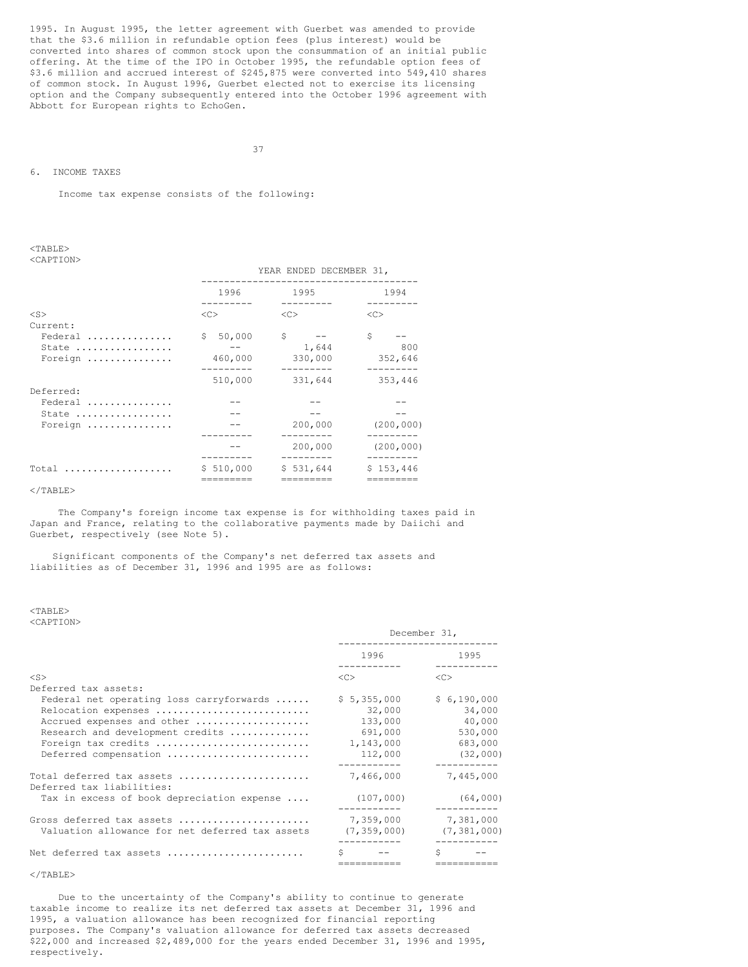1995. In August 1995, the letter agreement with Guerbet was amended to provide that the \$3.6 million in refundable option fees (plus interest) would be converted into shares of common stock upon the consummation of an initial public offering. At the time of the IPO in October 1995, the refundable option fees of \$3.6 million and accrued interest of \$245,875 were converted into 549,410 shares of common stock. In August 1996, Guerbet elected not to exercise its licensing option and the Company subsequently entered into the October 1996 agreement with Abbott for European rights to EchoGen.

37

#### 6. INCOME TAXES

Income tax expense consists of the following:

#### <TABLE> <CAPTION>

|           | YEAR ENDED DECEMBER 31, |           |            |  |  |  |
|-----------|-------------------------|-----------|------------|--|--|--|
|           | 1996                    | 1995      | 1994       |  |  |  |
|           |                         |           |            |  |  |  |
| $<$ S $>$ | <<                      | <<        | <<         |  |  |  |
| Current:  |                         |           |            |  |  |  |
| Federal   | 50,000<br>\$.           | S         | S          |  |  |  |
| State     |                         | 1,644     | 800        |  |  |  |
| Foreign   | 460,000                 | 330,000   | 352,646    |  |  |  |
|           |                         |           |            |  |  |  |
|           | 510,000                 | 331,644   | 353,446    |  |  |  |
| Deferred: |                         |           |            |  |  |  |
| Federal   |                         |           |            |  |  |  |
| State     |                         |           |            |  |  |  |
| Foreign   |                         | 200,000   | (200, 000) |  |  |  |
|           |                         |           |            |  |  |  |
|           |                         | 200,000   | (200, 000) |  |  |  |
|           |                         |           |            |  |  |  |
| Total     | \$510,000               | \$531,644 | \$153,446  |  |  |  |
|           |                         |           |            |  |  |  |
|           |                         |           |            |  |  |  |

## $<$ /TABLE>

The Company's foreign income tax expense is for withholding taxes paid in Japan and France, relating to the collaborative payments made by Daiichi and Guerbet, respectively (see Note 5).

Significant components of the Company's net deferred tax assets and liabilities as of December 31, 1996 and 1995 are as follows:

#### <TABLE> <CAPTION>

| NUILL LEUIV                                            | December 31,                                                                                                 |               |  |
|--------------------------------------------------------|--------------------------------------------------------------------------------------------------------------|---------------|--|
|                                                        | 1996 — 1996 — 1997 — 1998 — 1998 — 1998 — 1998 — 1998 — 1998 — 1998 — 1998 — 1998 — 1998 — 1998 — 1998 — 199 | 1995          |  |
| $<$ S $>$                                              | <<>                                                                                                          | <<            |  |
| Deferred tax assets:                                   |                                                                                                              |               |  |
| Federal net operating loss carryforwards               | \$5,355,000                                                                                                  | \$6,190,000   |  |
| Relocation expenses                                    | 32,000                                                                                                       | 34,000        |  |
| Accrued expenses and other                             | 133,000                                                                                                      | 40,000        |  |
| Research and development credits                       | 691,000                                                                                                      | 530,000       |  |
| Foreign tax credits                                    | 1,143,000                                                                                                    | 683,000       |  |
| Deferred compensation                                  | 112,000                                                                                                      | (32,000)      |  |
|                                                        |                                                                                                              | -----------   |  |
| Total deferred tax assets<br>Deferred tax liabilities: | 7,466,000                                                                                                    | 7,445,000     |  |
| Tax in excess of book depreciation expense             | (107,000)                                                                                                    | (64,000)      |  |
| Gross deferred tax assets                              | 7,359,000                                                                                                    | 7,381,000     |  |
| Valuation allowance for net deferred tax assets        | (7, 359, 000)                                                                                                | (7, 381, 000) |  |
|                                                        |                                                                                                              | --------      |  |
| Net deferred tax assets                                |                                                                                                              | Ŝ.            |  |
|                                                        | ===========                                                                                                  | ===========   |  |

#### $\langle$ /TABLE>

Due to the uncertainty of the Company's ability to continue to generate taxable income to realize its net deferred tax assets at December 31, 1996 and 1995, a valuation allowance has been recognized for financial reporting purposes. The Company's valuation allowance for deferred tax assets decreased \$22,000 and increased \$2,489,000 for the years ended December 31, 1996 and 1995, respectively.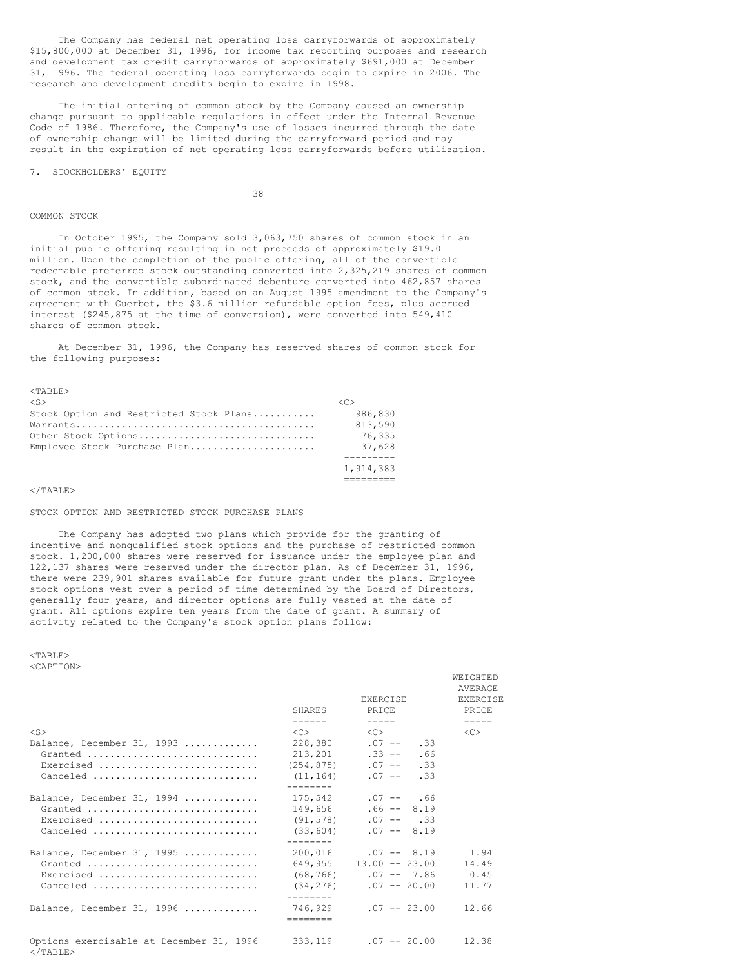The Company has federal net operating loss carryforwards of approximately \$15,800,000 at December 31, 1996, for income tax reporting purposes and research and development tax credit carryforwards of approximately \$691,000 at December 31, 1996. The federal operating loss carryforwards begin to expire in 2006. The research and development credits begin to expire in 1998.

The initial offering of common stock by the Company caused an ownership change pursuant to applicable regulations in effect under the Internal Revenue Code of 1986. Therefore, the Company's use of losses incurred through the date of ownership change will be limited during the carryforward period and may result in the expiration of net operating loss carryforwards before utilization.

7. STOCKHOLDERS' EQUITY

38

#### COMMON STOCK

In October 1995, the Company sold 3,063,750 shares of common stock in an initial public offering resulting in net proceeds of approximately \$19.0 million. Upon the completion of the public offering, all of the convertible redeemable preferred stock outstanding converted into 2,325,219 shares of common stock, and the convertible subordinated debenture converted into 462,857 shares of common stock. In addition, based on an August 1995 amendment to the Company's agreement with Guerbet, the \$3.6 million refundable option fees, plus accrued interest (\$245,875 at the time of conversion), were converted into 549,410 shares of common stock.

At December 31, 1996, the Company has reserved shares of common stock for the following purposes:

| $<$ TABLE $>$                           |                     |
|-----------------------------------------|---------------------|
| $<$ S>                                  | $\langle C \rangle$ |
| Stock Option and Restricted Stock Plans | 986,830             |
|                                         | 813,590             |
| Other Stock Options                     | 76,335              |
| Emplovee Stock Purchase Plan            | 37,628              |
|                                         |                     |
|                                         | 1,914,383           |
|                                         |                     |

 $<$ /TABLE>

#### STOCK OPTION AND RESTRICTED STOCK PURCHASE PLANS

The Company has adopted two plans which provide for the granting of incentive and nonqualified stock options and the purchase of restricted common stock. 1,200,000 shares were reserved for issuance under the employee plan and 122,137 shares were reserved under the director plan. As of December 31, 1996, there were 239,901 shares available for future grant under the plans. Employee stock options vest over a period of time determined by the Board of Directors, generally four years, and director options are fully vested at the date of grant. All options expire ten years from the date of grant. A summary of activity related to the Company's stock option plans follow:

 $<$ TABLE> <CAPTION>

| へいハビ エコロルマ |  |  |
|------------|--|--|
|            |  |  |

|                                                                  | SHARES              | EXERCISE<br>PRICE            | AVERAGE<br>EXERCISE<br><b>PRTCE</b> |
|------------------------------------------------------------------|---------------------|------------------------------|-------------------------------------|
|                                                                  | $- - - - - -$       | $\frac{1}{2}$                | $\frac{1}{2}$                       |
| $<$ S $>$                                                        | $\langle C \rangle$ | $\langle C \rangle$          | $<<$ $>$                            |
| Balance, December 31, 1993                                       |                     | $228,380$ .07 -- .33         |                                     |
| Granted                                                          |                     | $213,201$ . $33 -- .66$      |                                     |
| Exercised                                                        |                     | $(254, 875)$ .07 -- .33      |                                     |
| Canceled                                                         |                     | $(11, 164)$ .07 -- .33       |                                     |
|                                                                  | --------            |                              |                                     |
| Balance, December 31, 1994                                       |                     | $175,542$ .07 -- .66         |                                     |
| Granted                                                          |                     | $149,656$ .66 -- 8.19        |                                     |
| Exercised                                                        |                     | $(91, 578)$ .07 -- .33       |                                     |
| Canceled                                                         |                     | $(33, 604)$ .07 -- 8.19      |                                     |
|                                                                  | --------            |                              |                                     |
| Balance, December 31, 1995                                       |                     | $200,016$ .07 -- 8.19 1.94   |                                     |
| Granted                                                          |                     | $649,955$ 13.00 -- 23.00     | 14.49                               |
| Exercised                                                        |                     | $(68, 766)$ .07 -- 7.86 0.45 |                                     |
| Canceled                                                         |                     | $(34, 276)$ .07 -- 20.00     | 11.77                               |
|                                                                  | --------            |                              |                                     |
| Balance, December 31, 1996                                       | ---------           | $746.929$ .07 -- 23.00       | 12.66                               |
|                                                                  |                     |                              |                                     |
| Options exercisable at December 31, 1996<br>$\langle$ /TARLE $>$ |                     | $333,119$ .07 -- 20.00       | 12.38                               |

WEIGHTED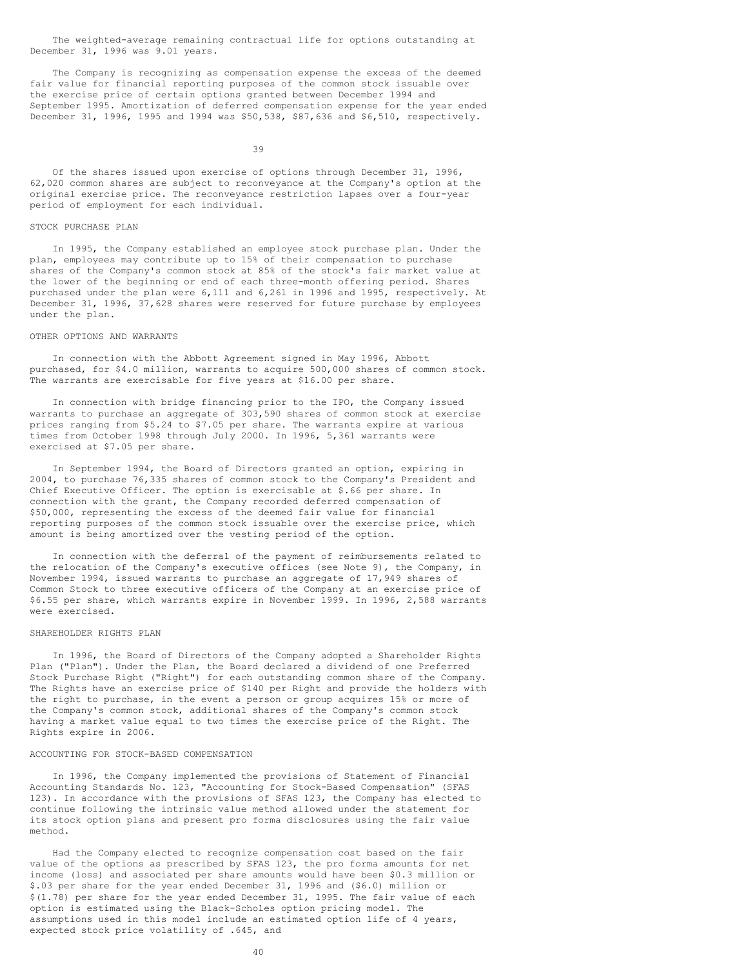The weighted-average remaining contractual life for options outstanding at December 31, 1996 was 9.01 years.

The Company is recognizing as compensation expense the excess of the deemed fair value for financial reporting purposes of the common stock issuable over the exercise price of certain options granted between December 1994 and September 1995. Amortization of deferred compensation expense for the year ended December 31, 1996, 1995 and 1994 was \$50,538, \$87,636 and \$6,510, respectively.

39

Of the shares issued upon exercise of options through December 31, 1996, 62,020 common shares are subject to reconveyance at the Company's option at the original exercise price. The reconveyance restriction lapses over a four-year period of employment for each individual.

## STOCK PURCHASE PLAN

In 1995, the Company established an employee stock purchase plan. Under the plan, employees may contribute up to 15% of their compensation to purchase shares of the Company's common stock at 85% of the stock's fair market value at the lower of the beginning or end of each three-month offering period. Shares purchased under the plan were 6,111 and 6,261 in 1996 and 1995, respectively. At December 31, 1996, 37,628 shares were reserved for future purchase by employees under the plan.

#### OTHER OPTIONS AND WARRANTS

In connection with the Abbott Agreement signed in May 1996, Abbott purchased, for \$4.0 million, warrants to acquire 500,000 shares of common stock. The warrants are exercisable for five years at \$16.00 per share.

In connection with bridge financing prior to the IPO, the Company issued warrants to purchase an aggregate of 303,590 shares of common stock at exercise prices ranging from \$5.24 to \$7.05 per share. The warrants expire at various times from October 1998 through July 2000. In 1996, 5,361 warrants were exercised at \$7.05 per share.

In September 1994, the Board of Directors granted an option, expiring in 2004, to purchase 76,335 shares of common stock to the Company's President and Chief Executive Officer. The option is exercisable at \$.66 per share. In connection with the grant, the Company recorded deferred compensation of \$50,000, representing the excess of the deemed fair value for financial reporting purposes of the common stock issuable over the exercise price, which amount is being amortized over the vesting period of the option.

In connection with the deferral of the payment of reimbursements related to the relocation of the Company's executive offices (see Note 9), the Company, in November 1994, issued warrants to purchase an aggregate of 17,949 shares of Common Stock to three executive officers of the Company at an exercise price of \$6.55 per share, which warrants expire in November 1999. In 1996, 2,588 warrants were exercised.

#### SHAREHOLDER RIGHTS PLAN

In 1996, the Board of Directors of the Company adopted a Shareholder Rights Plan ("Plan"). Under the Plan, the Board declared a dividend of one Preferred Stock Purchase Right ("Right") for each outstanding common share of the Company. The Rights have an exercise price of \$140 per Right and provide the holders with the right to purchase, in the event a person or group acquires 15% or more of the Company's common stock, additional shares of the Company's common stock having a market value equal to two times the exercise price of the Right. The Rights expire in 2006.

## ACCOUNTING FOR STOCK-BASED COMPENSATION

In 1996, the Company implemented the provisions of Statement of Financial Accounting Standards No. 123, "Accounting for Stock-Based Compensation" (SFAS 123). In accordance with the provisions of SFAS 123, the Company has elected to continue following the intrinsic value method allowed under the statement for its stock option plans and present pro forma disclosures using the fair value method.

Had the Company elected to recognize compensation cost based on the fair value of the options as prescribed by SFAS 123, the pro forma amounts for net income (loss) and associated per share amounts would have been \$0.3 million or \$.03 per share for the year ended December 31, 1996 and (\$6.0) million or \$(1.78) per share for the year ended December 31, 1995. The fair value of each option is estimated using the Black-Scholes option pricing model. The assumptions used in this model include an estimated option life of 4 years, expected stock price volatility of .645, and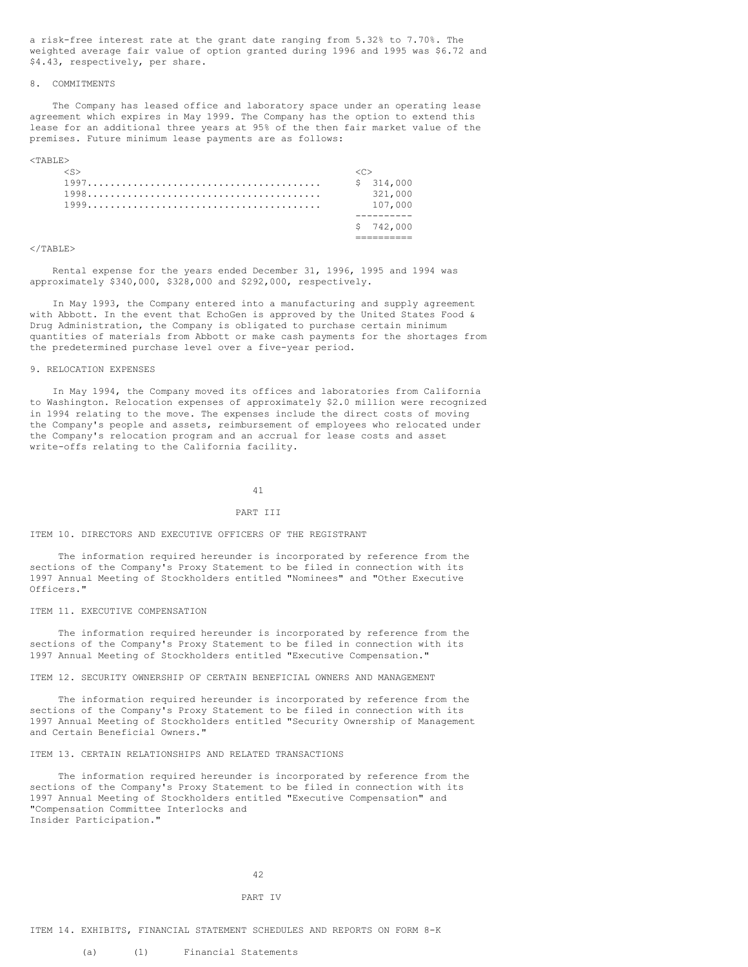a risk-free interest rate at the grant date ranging from 5.32% to 7.70%. The weighted average fair value of option granted during 1996 and 1995 was \$6.72 and \$4.43, respectively, per share.

## 8. COMMITMENTS

The Company has leased office and laboratory space under an operating lease agreement which expires in May 1999. The Company has the option to extend this lease for an additional three years at 95% of the then fair market value of the premises. Future minimum lease payments are as follows:

<TABLE>

|  | \$314,000 |
|--|-----------|
|  | 321,000   |
|  | 107,000   |
|  |           |
|  | \$742,000 |
|  |           |

#### $<$ /TABLE>

Rental expense for the years ended December 31, 1996, 1995 and 1994 was approximately \$340,000, \$328,000 and \$292,000, respectively.

In May 1993, the Company entered into a manufacturing and supply agreement with Abbott. In the event that EchoGen is approved by the United States Food & Drug Administration, the Company is obligated to purchase certain minimum quantities of materials from Abbott or make cash payments for the shortages from the predetermined purchase level over a five-year period.

#### 9. RELOCATION EXPENSES

In May 1994, the Company moved its offices and laboratories from California to Washington. Relocation expenses of approximately \$2.0 million were recognized in 1994 relating to the move. The expenses include the direct costs of moving the Company's people and assets, reimbursement of employees who relocated under the Company's relocation program and an accrual for lease costs and asset write-offs relating to the California facility.

#### 41

#### PART III

#### ITEM 10. DIRECTORS AND EXECUTIVE OFFICERS OF THE REGISTRANT

The information required hereunder is incorporated by reference from the sections of the Company's Proxy Statement to be filed in connection with its 1997 Annual Meeting of Stockholders entitled "Nominees" and "Other Executive Officers."

#### ITEM 11. EXECUTIVE COMPENSATION

The information required hereunder is incorporated by reference from the sections of the Company's Proxy Statement to be filed in connection with its 1997 Annual Meeting of Stockholders entitled "Executive Compensation."

## ITEM 12. SECURITY OWNERSHIP OF CERTAIN BENEFICIAL OWNERS AND MANAGEMENT

The information required hereunder is incorporated by reference from the sections of the Company's Proxy Statement to be filed in connection with its 1997 Annual Meeting of Stockholders entitled "Security Ownership of Management and Certain Beneficial Owners."

## ITEM 13. CERTAIN RELATIONSHIPS AND RELATED TRANSACTIONS

The information required hereunder is incorporated by reference from the sections of the Company's Proxy Statement to be filed in connection with its 1997 Annual Meeting of Stockholders entitled "Executive Compensation" and "Compensation Committee Interlocks and Insider Participation."

#### 42

#### PART IV

#### ITEM 14. EXHIBITS, FINANCIAL STATEMENT SCHEDULES AND REPORTS ON FORM 8-K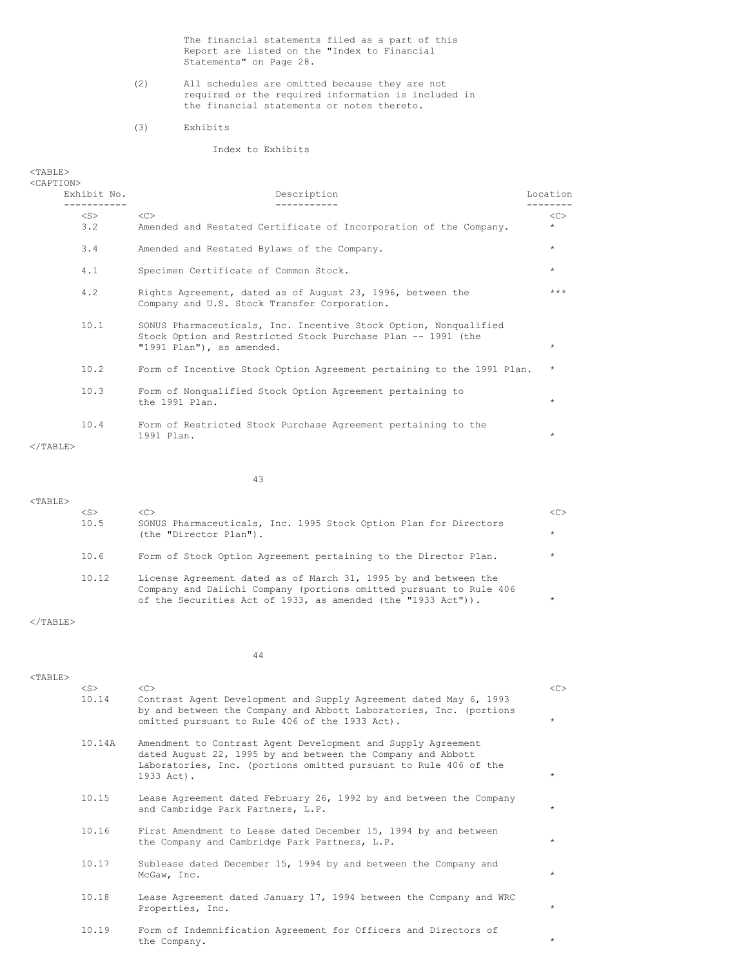The financial statements filed as a part of this Report are listed on the "Index to Financial Statements" on Page 28.

- (2) All schedules are omitted because they are not required or the required information is included in the financial statements or notes thereto.
- (3) Exhibits

# Index to Exhibits

<TABLE>

| $<$ CAPTION $>$   |                  |                                                                                                                                                               |               |
|-------------------|------------------|---------------------------------------------------------------------------------------------------------------------------------------------------------------|---------------|
|                   | Exhibit No.      | Description                                                                                                                                                   | Location      |
|                   | $<$ S $>$<br>3.2 | <<<br>Amended and Restated Certificate of Incorporation of the Company.                                                                                       | <<<br>$\star$ |
|                   | 3.4              | Amended and Restated Bylaws of the Company.                                                                                                                   | $\star$       |
|                   | 4.1              | Specimen Certificate of Common Stock.                                                                                                                         | $\star$       |
|                   | 4.2              | Rights Agreement, dated as of August 23, 1996, between the<br>Company and U.S. Stock Transfer Corporation.                                                    | $***$         |
|                   | 10.1             | SONUS Pharmaceuticals, Inc. Incentive Stock Option, Nonqualified<br>Stock Option and Restricted Stock Purchase Plan -- 1991 (the<br>"1991 Plan"), as amended. | $\star$       |
|                   | 10.2             | Form of Incentive Stock Option Agreement pertaining to the 1991 Plan.                                                                                         | $\star$       |
|                   | 10.3             | Form of Nonqualified Stock Option Agreement pertaining to<br>the 1991 Plan.                                                                                   | $\star$       |
| $\langle$ /TABLE> | 10.4             | Form of Restricted Stock Purchase Agreement pertaining to the<br>1991 Plan.                                                                                   | $\star$       |

43

| <s></s> | <c></c>                                                                                                                                                                                               | < <sub></sub> |
|---------|-------------------------------------------------------------------------------------------------------------------------------------------------------------------------------------------------------|---------------|
| 10.5    | SONUS Pharmaceuticals, Inc. 1995 Stock Option Plan for Directors<br>(the "Director Plan").                                                                                                            | $\star$       |
| 10.6    | Form of Stock Option Agreement pertaining to the Director Plan.                                                                                                                                       | $\star$       |
| 10.12   | License Agreement dated as of March 31, 1995 by and between the<br>Company and Daiichi Company (portions omitted pursuant to Rule 406<br>of the Securities Act of 1933, as amended (the "1933 Act")). | $\star$       |

 $<$ /TABLE>

<TABLE>

44

| $<$ TABLE> |           |                                                                                                                                                                                                               |         |
|------------|-----------|---------------------------------------------------------------------------------------------------------------------------------------------------------------------------------------------------------------|---------|
|            | $<$ S $>$ | <<                                                                                                                                                                                                            | <<      |
|            | 10.14     | Contrast Agent Development and Supply Agreement dated May 6, 1993<br>by and between the Company and Abbott Laboratories, Inc. (portions<br>omitted pursuant to Rule 406 of the 1933 Act).                     | $\star$ |
|            | 10.14A    | Amendment to Contrast Agent Development and Supply Agreement<br>dated August 22, 1995 by and between the Company and Abbott<br>Laboratories, Inc. (portions omitted pursuant to Rule 406 of the<br>1933 Act). | $\star$ |
|            | 10.15     | Lease Agreement dated February 26, 1992 by and between the Company<br>and Cambridge Park Partners, L.P.                                                                                                       | $\star$ |
|            | 10.16     | First Amendment to Lease dated December 15, 1994 by and between<br>the Company and Cambridge Park Partners, L.P.                                                                                              | $\star$ |
|            | 10.17     | Sublease dated December 15, 1994 by and between the Company and<br>McGaw, Inc.                                                                                                                                | $\star$ |
|            | 10.18     | Lease Agreement dated January 17, 1994 between the Company and WRC<br>Properties, Inc.                                                                                                                        | $\star$ |
|            | 10.19     | Form of Indemnification Agreement for Officers and Directors of<br>the Company.                                                                                                                               | $\star$ |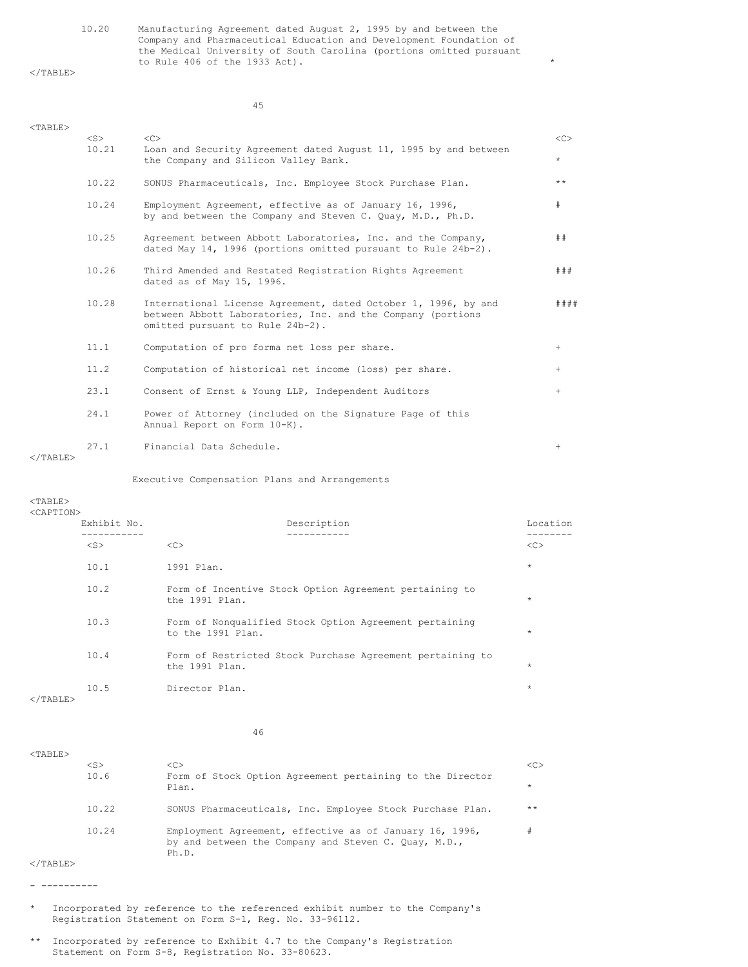10.20 Manufacturing Agreement dated August 2, 1995 by and between the Company and Pharmaceutical Education and Development Foundation of the Medical University of South Carolina (portions omitted pursuant to Rule 406 of the 1933 Act).

 $<$ /TABLE>

45

| $<$ TABLE>        |                    |                                                                                                                                                                   |         |
|-------------------|--------------------|-------------------------------------------------------------------------------------------------------------------------------------------------------------------|---------|
|                   | $<$ S $>$<br>10.21 | $<<$ $C>$<br>Loan and Security Agreement dated August 11, 1995 by and between                                                                                     | <<      |
|                   |                    | the Company and Silicon Valley Bank.                                                                                                                              | $\star$ |
|                   | 10.22              | SONUS Pharmaceuticals, Inc. Employee Stock Purchase Plan.                                                                                                         | $***$   |
|                   | 10.24              | Employment Agreement, effective as of January 16, 1996,<br>by and between the Company and Steven C. Quay, M.D., Ph.D.                                             | #       |
|                   | 10.25              | Agreement between Abbott Laboratories, Inc. and the Company,<br>dated May 14, 1996 (portions omitted pursuant to Rule 24b-2).                                     | ##      |
|                   | 10.26              | Third Amended and Restated Registration Rights Agreement<br>dated as of May 15, 1996.                                                                             | # # #   |
|                   | 10.28              | International License Agreement, dated October 1, 1996, by and<br>between Abbott Laboratories, Inc. and the Company (portions<br>omitted pursuant to Rule 24b-2). | # # # # |
|                   | 11.1               | Computation of pro forma net loss per share.                                                                                                                      | $+$     |
|                   | 11.2               | Computation of historical net income (loss) per share.                                                                                                            | $+$     |
|                   | 23.1               | Consent of Ernst & Young LLP, Independent Auditors                                                                                                                | $+$     |
|                   | 24.1               | Power of Attorney (included on the Signature Page of this<br>Annual Report on Form 10-K).                                                                         |         |
| $\langle$ /TABLE> | 27.1               | Financial Data Schedule.                                                                                                                                          | $^{+}$  |

Executive Compensation Plans and Arrangements

## <TABLE>

#### <CAPTION>

| Exhibit No. | Description                                                                 | Location   |
|-------------|-----------------------------------------------------------------------------|------------|
|             |                                                                             |            |
| $<$ S $>$   | <<                                                                          | <<         |
| 10.1        | 1991 Plan.                                                                  | $\star$    |
| 10.2        | Form of Incentive Stock Option Agreement pertaining to<br>the 1991 Plan.    | $\star$    |
| 10.3        | Form of Nonqualified Stock Option Agreement pertaining<br>to the 1991 Plan. | $\star$    |
| 10.4        | Form of Restricted Stock Purchase Agreement pertaining to<br>the 1991 Plan. | $\star$    |
| 10.5        | Director Plan.                                                              | $^{\star}$ |

 $<$ /TABLE>

## 46

| $<$ TABLE> |           |                                                                                                                          |         |
|------------|-----------|--------------------------------------------------------------------------------------------------------------------------|---------|
|            | $<$ S $>$ | < <sub></sub>                                                                                                            | <<>     |
|            | 10.6      | Form of Stock Option Agreement pertaining to the Director<br>Plan.                                                       | $\star$ |
|            | 10.22     | SONUS Pharmaceuticals, Inc. Employee Stock Purchase Plan.                                                                | $***$   |
|            | 10.24     | Employment Agreement, effective as of January 16, 1996,<br>by and between the Company and Steven C. Quay, M.D.,<br>Ph.D. |         |

 $<$ /TABLE $>$ 

- ----------

- \* Incorporated by reference to the referenced exhibit number to the Company's Registration Statement on Form S-1, Reg. No. 33-96112.
- \*\* Incorporated by reference to Exhibit 4.7 to the Company's Registration Statement on Form S-8, Registration No. 33-80623.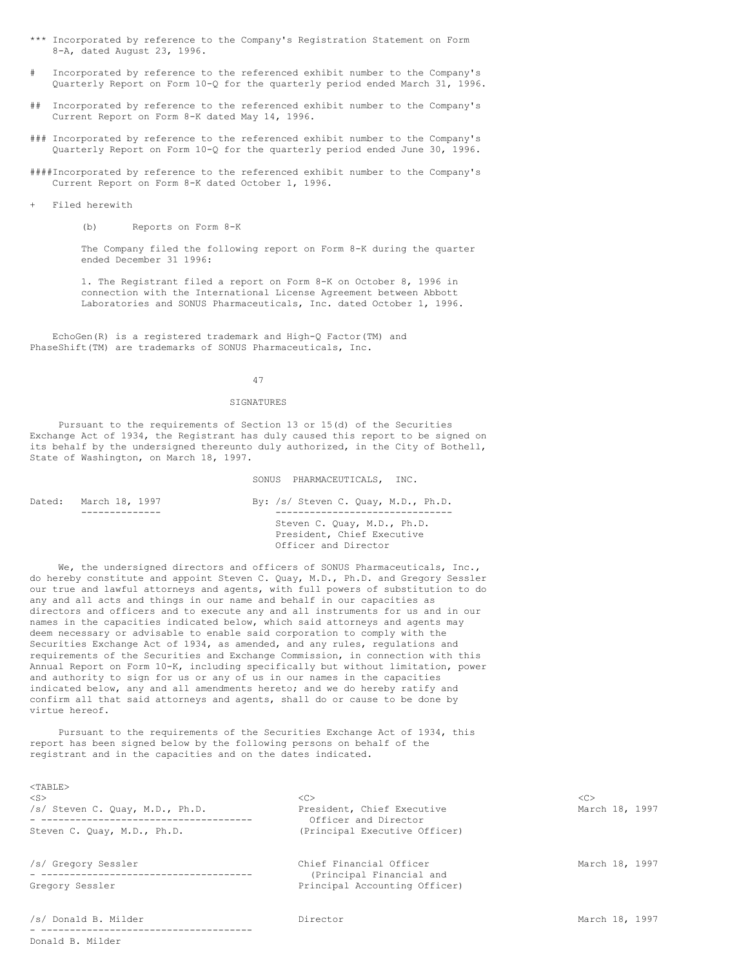- \*\*\* Incorporated by reference to the Company's Registration Statement on Form 8-A, dated August 23, 1996.
- Incorporated by reference to the referenced exhibit number to the Company's Quarterly Report on Form 10-Q for the quarterly period ended March 31, 1996.
- ## Incorporated by reference to the referenced exhibit number to the Company's Current Report on Form 8-K dated May 14, 1996.
- ### Incorporated by reference to the referenced exhibit number to the Company's Quarterly Report on Form 10-Q for the quarterly period ended June 30, 1996.
- ####Incorporated by reference to the referenced exhibit number to the Company's Current Report on Form 8-K dated October 1, 1996.
- + Filed herewith

(b) Reports on Form 8-K

The Company filed the following report on Form 8-K during the quarter ended December 31 1996:

1. The Registrant filed a report on Form 8-K on October 8, 1996 in connection with the International License Agreement between Abbott Laboratories and SONUS Pharmaceuticals, Inc. dated October 1, 1996.

EchoGen(R) is a registered trademark and High-Q Factor(TM) and PhaseShift(TM) are trademarks of SONUS Pharmaceuticals, Inc.

### 47

## SIGNATURES

Pursuant to the requirements of Section 13 or 15(d) of the Securities Exchange Act of 1934, the Registrant has duly caused this report to be signed on its behalf by the undersigned thereunto duly authorized, in the City of Bothell, State of Washington, on March 18, 1997.

#### SONUS PHARMACEUTICALS, INC.

| Dated: | March 18, 1997 | By: /s/ Steven C. Quay, M.D., Ph.D.                                               |
|--------|----------------|-----------------------------------------------------------------------------------|
|        |                | Steven C. Ouay, M.D., Ph.D.<br>President, Chief Executive<br>Officer and Director |

We, the undersigned directors and officers of SONUS Pharmaceuticals, Inc., do hereby constitute and appoint Steven C. Quay, M.D., Ph.D. and Gregory Sessler our true and lawful attorneys and agents, with full powers of substitution to do any and all acts and things in our name and behalf in our capacities as directors and officers and to execute any and all instruments for us and in our names in the capacities indicated below, which said attorneys and agents may deem necessary or advisable to enable said corporation to comply with the Securities Exchange Act of 1934, as amended, and any rules, regulations and requirements of the Securities and Exchange Commission, in connection with this Annual Report on Form 10-K, including specifically but without limitation, power and authority to sign for us or any of us in our names in the capacities indicated below, any and all amendments hereto; and we do hereby ratify and confirm all that said attorneys and agents, shall do or cause to be done by virtue hereof.

Pursuant to the requirements of the Securities Exchange Act of 1934, this report has been signed below by the following persons on behalf of the registrant and in the capacities and on the dates indicated.

| AI AD BEZ                       |                                                     |                |
|---------------------------------|-----------------------------------------------------|----------------|
| $<$ S $>$                       | < <sub></sub>                                       | <<             |
| /s/ Steven C. Quay, M.D., Ph.D. | President, Chief Executive<br>Officer and Director  | March 18, 1997 |
| Steven C. Quay, M.D., Ph.D.     | (Principal Executive Officer)                       |                |
| /s/ Gregory Sessler             | Chief Financial Officer<br>(Principal Financial and | March 18, 1997 |
| Gregory Sessler                 | Principal Accounting Officer)                       |                |
| /s/ Donald B. Milder            | Director                                            | March 18, 1997 |
|                                 |                                                     |                |

 $2020T$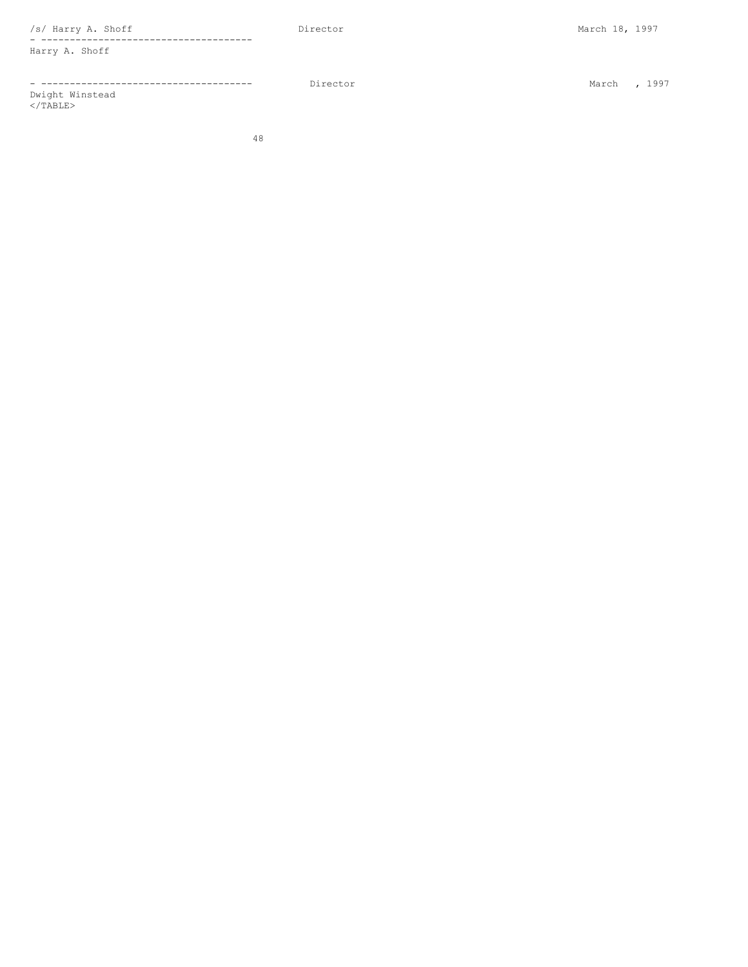/s/ Harry A. Shoff Director March 18, 1997

- ------------------------------------- Harry A. Shoff

- ------------------------------------- Director March , 1997 Dwight Winstead

 $\langle$ /TABLE $>$ 

48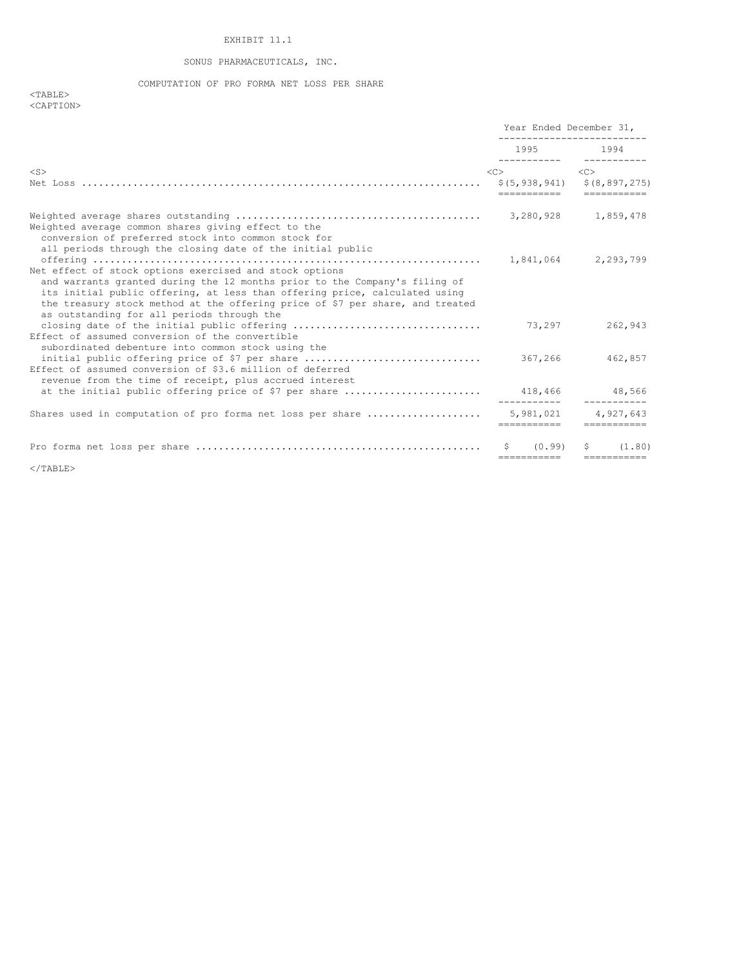# EXHIBIT 11.1

# SONUS PHARMACEUTICALS, INC.

COMPUTATION OF PRO FORMA NET LOSS PER SHARE

 $<$ TABLE $>$ <CAPTION>

|                                                                                                                                                                                                                                                                                   | Year Ended December 31,<br>_____________________                                      |                     |                         |
|-----------------------------------------------------------------------------------------------------------------------------------------------------------------------------------------------------------------------------------------------------------------------------------|---------------------------------------------------------------------------------------|---------------------|-------------------------|
|                                                                                                                                                                                                                                                                                   | 1995 1994                                                                             |                     |                         |
| $<$ S $>$                                                                                                                                                                                                                                                                         | $\langle C \rangle$<br>$$(5, 938, 941)$ $$(8, 897, 275)$<br>========================= | $\langle C \rangle$ |                         |
| Weighted average common shares giving effect to the<br>conversion of preferred stock into common stock for                                                                                                                                                                        |                                                                                       |                     |                         |
| all periods through the closing date of the initial public<br>Net effect of stock options exercised and stock options<br>and warrants granted during the 12 months prior to the Company's filing of<br>its initial public offering, at less than offering price, calculated using | 1,841,064 2,293,799                                                                   |                     |                         |
| the treasury stock method at the offering price of \$7 per share, and treated<br>as outstanding for all periods through the<br>Effect of assumed conversion of the convertible                                                                                                    | 73.297                                                                                |                     | 262,943                 |
| subordinated debenture into common stock using the<br>initial public offering price of \$7 per share<br>Effect of assumed conversion of \$3.6 million of deferred                                                                                                                 | 367,266                                                                               |                     | 462,857                 |
| revenue from the time of receipt, plus accrued interest                                                                                                                                                                                                                           |                                                                                       |                     |                         |
| Shares used in computation of pro forma net loss per share  5,981,021 4,927,643                                                                                                                                                                                                   |                                                                                       |                     | -----------             |
|                                                                                                                                                                                                                                                                                   | (0.99)<br>------------                                                                |                     | (1, 80)<br>------------ |

</TABLE>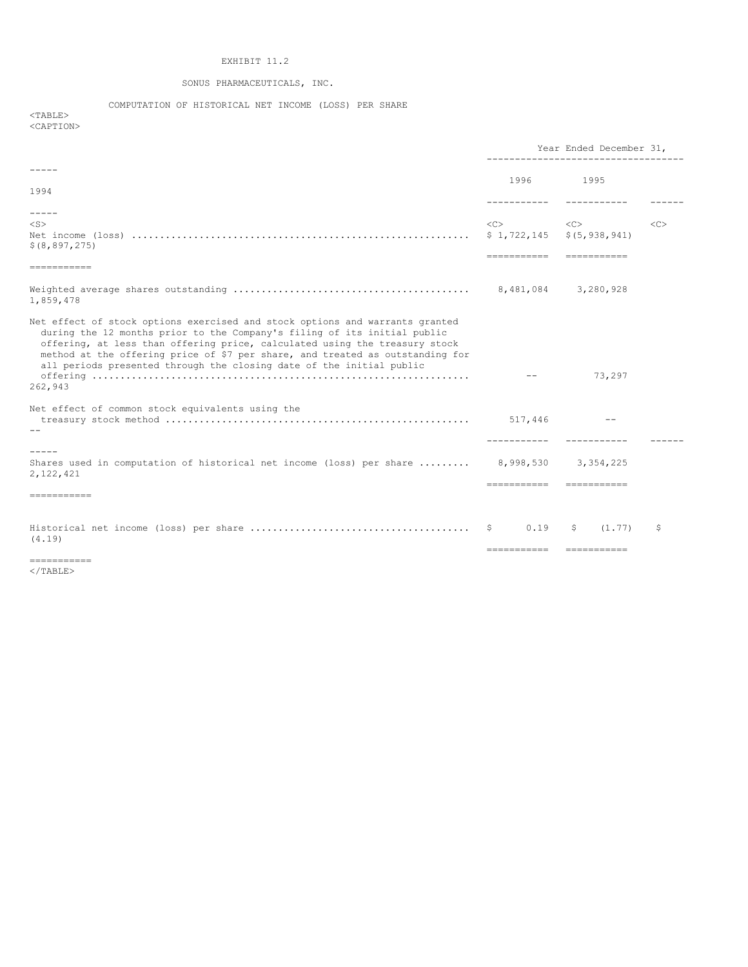# EXHIBIT 11.2

# SONUS PHARMACEUTICALS, INC.

COMPUTATION OF HISTORICAL NET INCOME (LOSS) PER SHARE

 $<$ TABLE> <CAPTION>

|                                                                                                                                                                                                                                                                                                                                                                                                            | Year Ended December 31, |                                                                    |    |  |
|------------------------------------------------------------------------------------------------------------------------------------------------------------------------------------------------------------------------------------------------------------------------------------------------------------------------------------------------------------------------------------------------------------|-------------------------|--------------------------------------------------------------------|----|--|
|                                                                                                                                                                                                                                                                                                                                                                                                            | 1996                    | 1995                                                               |    |  |
| 1994                                                                                                                                                                                                                                                                                                                                                                                                       |                         |                                                                    |    |  |
| $- - - - -$                                                                                                                                                                                                                                                                                                                                                                                                |                         |                                                                    |    |  |
| $<$ S $>$<br>\$ (8, 897, 275)                                                                                                                                                                                                                                                                                                                                                                              | <<>                     | < <c><br/><math>\$1,722,145</math> <math>\$ (5,938,941)</math></c> | << |  |
| ------------                                                                                                                                                                                                                                                                                                                                                                                               |                         |                                                                    |    |  |
| 1,859,478                                                                                                                                                                                                                                                                                                                                                                                                  |                         | 3,280,928                                                          |    |  |
| Net effect of stock options exercised and stock options and warrants granted<br>during the 12 months prior to the Company's filing of its initial public<br>offering, at less than offering price, calculated using the treasury stock<br>method at the offering price of \$7 per share, and treated as outstanding for<br>all periods presented through the closing date of the initial public<br>262,943 |                         | 73,297                                                             |    |  |
| Net effect of common stock equivalents using the                                                                                                                                                                                                                                                                                                                                                           |                         |                                                                    |    |  |
|                                                                                                                                                                                                                                                                                                                                                                                                            | 517,446                 | $- -$                                                              |    |  |
|                                                                                                                                                                                                                                                                                                                                                                                                            |                         |                                                                    |    |  |
| $- - - - -$<br>Shares used in computation of historical net income (loss) per share $8,998,530$<br>2,122,421                                                                                                                                                                                                                                                                                               | -----------             | 3,354,225<br><b>CONSIDERED</b>                                     |    |  |
| ============                                                                                                                                                                                                                                                                                                                                                                                               |                         |                                                                    |    |  |
|                                                                                                                                                                                                                                                                                                                                                                                                            |                         |                                                                    |    |  |
| (4.19)                                                                                                                                                                                                                                                                                                                                                                                                     | Ş.<br>0.19              | (1.77)<br>\$                                                       | S  |  |
| ===========                                                                                                                                                                                                                                                                                                                                                                                                | ===========             | ===========                                                        |    |  |

</TABLE>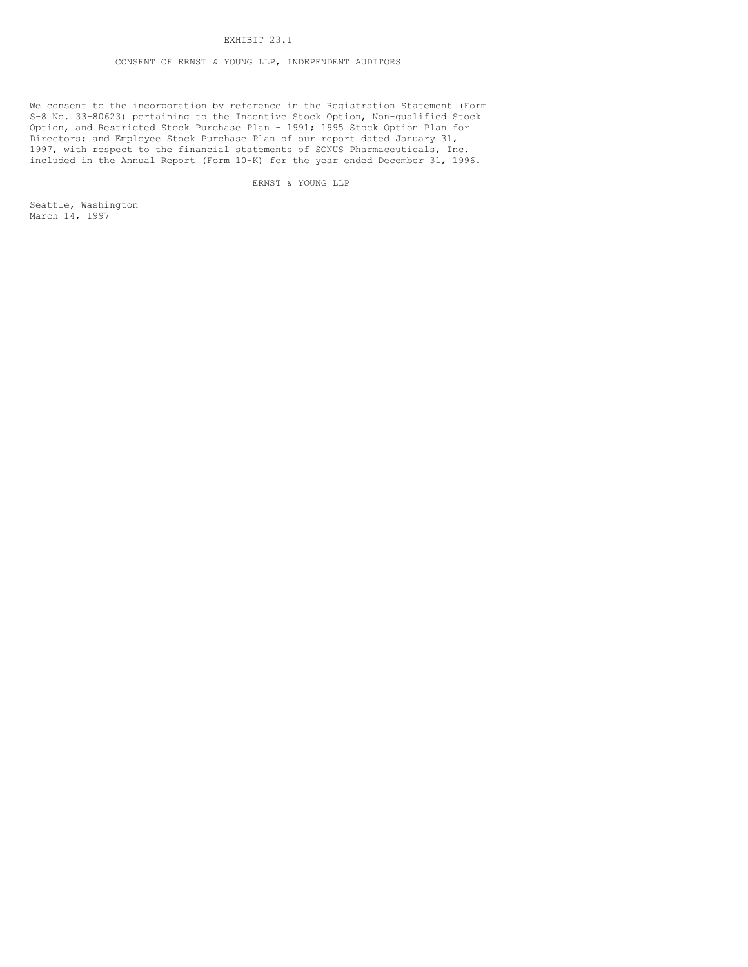## EXHIBIT 23.1

## CONSENT OF ERNST & YOUNG LLP, INDEPENDENT AUDITORS

We consent to the incorporation by reference in the Registration Statement (Form S-8 No. 33-80623) pertaining to the Incentive Stock Option, Non-qualified Stock Option, and Restricted Stock Purchase Plan - 1991; 1995 Stock Option Plan for Directors; and Employee Stock Purchase Plan of our report dated January 31, 1997, with respect to the financial statements of SONUS Pharmaceuticals, Inc. included in the Annual Report (Form 10-K) for the year ended December 31, 1996.

ERNST & YOUNG LLP

Seattle, Washington March 14, 1997